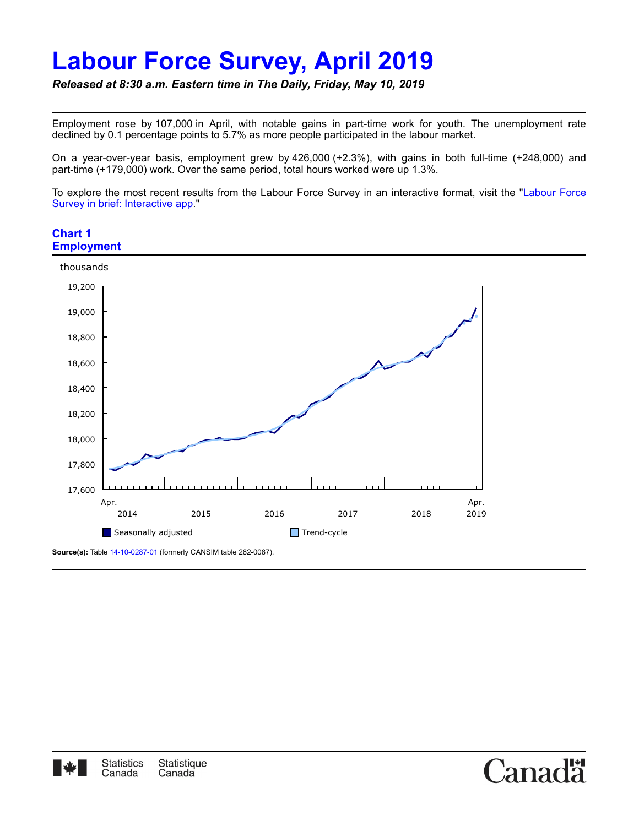# **Labour Force Survey, April 2019**

*Released at 8:30 a.m. Eastern time in The Daily, Friday, May 10, 2019*

Employment rose by 107,000 in April, with notable gains in part-time work for youth. The unemployment rate declined by 0.1 percentage points to 5.7% as more people participated in the labour market.

On a year-over-year basis, employment grew by 426,000 (+2.3%), with gains in both full-time (+248,000) and part-time (+179,000) work. Over the same period, total hours worked were up 1.3%.

[To explore the most recent results from the Labour Force Survey in an interactive format, visit the "Labour Force](https://www150.statcan.gc.ca/n1/pub/14-20-0001/142000012018001-eng.htm) Survey in brief: Interactive app."

Canac

## **Chart 1 Employment**





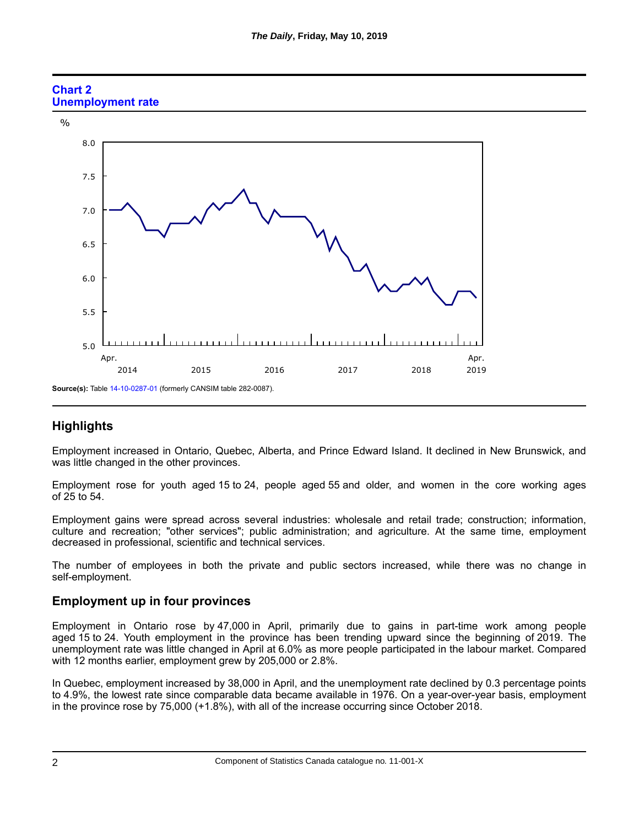

## **Chart 2 Unemployment rate**

# **Highlights**

Employment increased in Ontario, Quebec, Alberta, and Prince Edward Island. It declined in New Brunswick, and was little changed in the other provinces.

Employment rose for youth aged 15 to 24, people aged 55 and older, and women in the core working ages of 25 to 54.

Employment gains were spread across several industries: wholesale and retail trade; construction; information, culture and recreation; "other services"; public administration; and agriculture. At the same time, employment decreased in professional, scientific and technical services.

The number of employees in both the private and public sectors increased, while there was no change in self-employment.

# **Employment up in four provinces**

Employment in Ontario rose by 47,000 in April, primarily due to gains in part-time work among people aged 15 to 24. Youth employment in the province has been trending upward since the beginning of 2019. The unemployment rate was little changed in April at 6.0% as more people participated in the labour market. Compared with 12 months earlier, employment grew by 205,000 or 2.8%.

In Quebec, employment increased by 38,000 in April, and the unemployment rate declined by 0.3 percentage points to 4.9%, the lowest rate since comparable data became available in 1976. On a year-over-year basis, employment in the province rose by 75,000 (+1.8%), with all of the increase occurring since October 2018.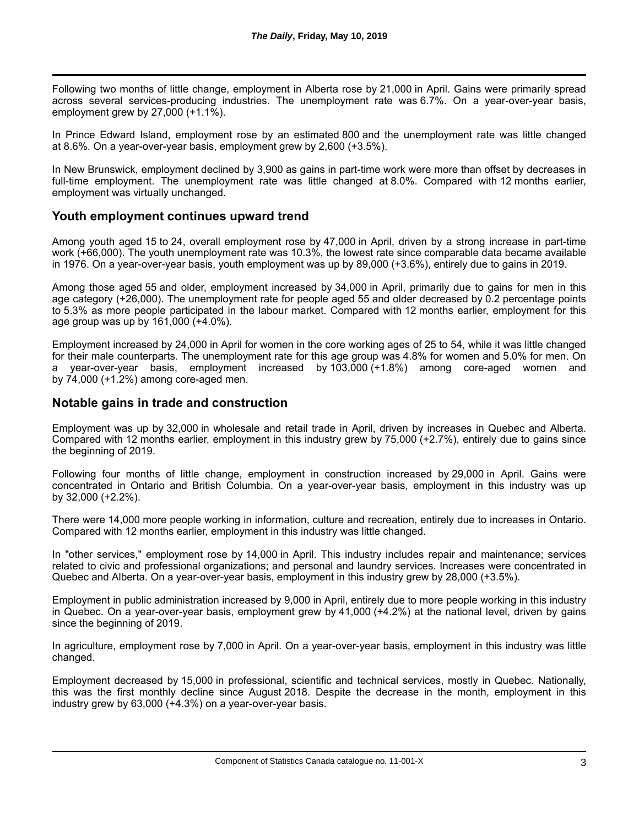Following two months of little change, employment in Alberta rose by 21,000 in April. Gains were primarily spread across several services-producing industries. The unemployment rate was 6.7%. On a year-over-year basis, employment grew by 27,000 (+1.1%).

In Prince Edward Island, employment rose by an estimated 800 and the unemployment rate was little changed at 8.6%. On a year-over-year basis, employment grew by 2,600 (+3.5%).

In New Brunswick, employment declined by 3,900 as gains in part-time work were more than offset by decreases in full-time employment. The unemployment rate was little changed at 8.0%. Compared with 12 months earlier, employment was virtually unchanged.

## **Youth employment continues upward trend**

Among youth aged 15 to 24, overall employment rose by 47,000 in April, driven by a strong increase in part-time work (+66,000). The youth unemployment rate was 10.3%, the lowest rate since comparable data became available in 1976. On a year-over-year basis, youth employment was up by 89,000 (+3.6%), entirely due to gains in 2019.

Among those aged 55 and older, employment increased by 34,000 in April, primarily due to gains for men in this age category (+26,000). The unemployment rate for people aged 55 and older decreased by 0.2 percentage points to 5.3% as more people participated in the labour market. Compared with 12 months earlier, employment for this age group was up by 161,000 (+4.0%).

Employment increased by 24,000 in April for women in the core working ages of 25 to 54, while it was little changed for their male counterparts. The unemployment rate for this age group was 4.8% for women and 5.0% for men. On a year-over-year basis, employment increased by 103,000 (+1.8%) among core-aged women and by 74,000 (+1.2%) among core-aged men.

## **Notable gains in trade and construction**

Employment was up by 32,000 in wholesale and retail trade in April, driven by increases in Quebec and Alberta. Compared with 12 months earlier, employment in this industry grew by 75,000 (+2.7%), entirely due to gains since the beginning of 2019.

Following four months of little change, employment in construction increased by 29,000 in April. Gains were concentrated in Ontario and British Columbia. On a year-over-year basis, employment in this industry was up by 32,000 (+2.2%).

There were 14,000 more people working in information, culture and recreation, entirely due to increases in Ontario. Compared with 12 months earlier, employment in this industry was little changed.

In "other services," employment rose by 14,000 in April. This industry includes repair and maintenance; services related to civic and professional organizations; and personal and laundry services. Increases were concentrated in Quebec and Alberta. On a year-over-year basis, employment in this industry grew by 28,000 (+3.5%).

Employment in public administration increased by 9,000 in April, entirely due to more people working in this industry in Quebec. On a year-over-year basis, employment grew by 41,000 (+4.2%) at the national level, driven by gains since the beginning of 2019.

In agriculture, employment rose by 7,000 in April. On a year-over-year basis, employment in this industry was little changed.

Employment decreased by 15,000 in professional, scientific and technical services, mostly in Quebec. Nationally, this was the first monthly decline since August 2018. Despite the decrease in the month, employment in this industry grew by 63,000 (+4.3%) on a year-over-year basis.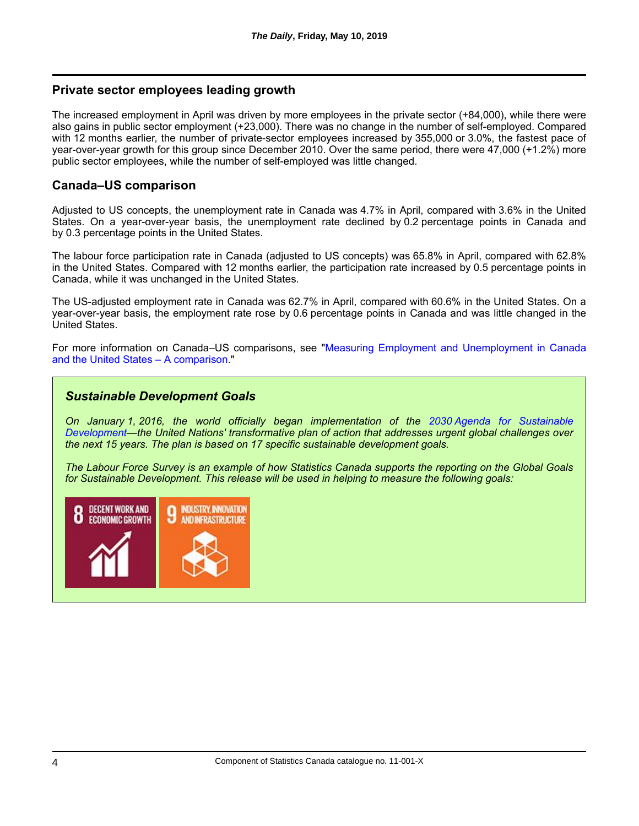## **Private sector employees leading growth**

The increased employment in April was driven by more employees in the private sector (+84,000), while there were also gains in public sector employment (+23,000). There was no change in the number of self-employed. Compared with 12 months earlier, the number of private-sector employees increased by 355,000 or 3.0%, the fastest pace of year-over-year growth for this group since December 2010. Over the same period, there were 47,000 (+1.2%) more public sector employees, while the number of self-employed was little changed.

## **Canada–US comparison**

Adjusted to US concepts, the unemployment rate in Canada was 4.7% in April, compared with 3.6% in the United States. On a year-over-year basis, the unemployment rate declined by 0.2 percentage points in Canada and by 0.3 percentage points in the United States.

The labour force participation rate in Canada (adjusted to US concepts) was 65.8% in April, compared with 62.8% in the United States. Compared with 12 months earlier, the participation rate increased by 0.5 percentage points in Canada, while it was unchanged in the United States.

The US-adjusted employment rate in Canada was 62.7% in April, compared with 60.6% in the United States. On a year-over-year basis, the employment rate rose by 0.6 percentage points in Canada and was little changed in the United States.

[For more information on Canada–US comparisons, see "Measuring Employment and Unemployment in Canada](https://www150.statcan.gc.ca/n1/en/catalogue/75-005-M2015002) and the United States – A comparison."

## *Sustainable Development Goals*

*On January 1, 2016, the world officially began implementation of the 2030 Agenda for Sustainable [Development—the United Nations' transformative plan of action that addresses urgent global challenges over](http://www.un.org/sustainabledevelopment/development-agenda/) the next 15 years. The plan is based on 17 specific sustainable development goals.*

*The Labour Force Survey is an example of how Statistics Canada supports the reporting on the Global Goals for Sustainable Development. This release will be used in helping to measure the following goals:*

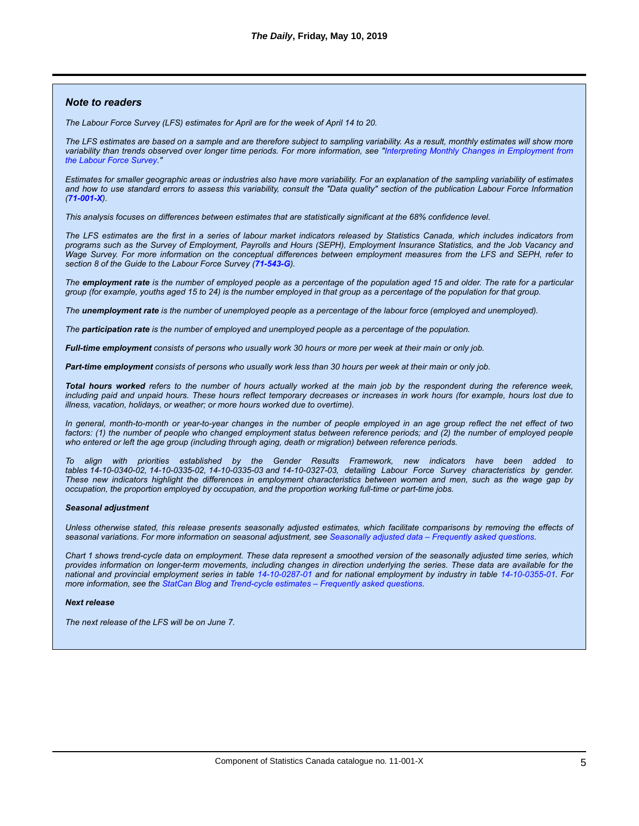#### *Note to readers*

*The Labour Force Survey (LFS) estimates for April are for the week of April 14 to 20.*

*The LFS estimates are based on a sample and are therefore subject to sampling variability. As a result, monthly estimates will show more [variability than trends observed over longer time periods. For more information, see "Interpreting Monthly Changes in Employment from](https://www150.statcan.gc.ca/n1/en/catalogue/11-626-X2014033) the Labour Force Survey."*

*Estimates for smaller geographic areas or industries also have more variability. For an explanation of the sampling variability of estimates and how to use standard errors to assess this variability, consult the "Data quality" section of the publication Labour Force Information ([71-001-X](https://www150.statcan.gc.ca/en/catalogue/71-001-X)).*

*This analysis focuses on differences between estimates that are statistically significant at the 68% confidence level.*

*The LFS estimates are the first in a series of labour market indicators released by Statistics Canada, which includes indicators from programs such as the Survey of Employment, Payrolls and Hours (SEPH), Employment Insurance Statistics, and the Job Vacancy and Wage Survey. For more information on the conceptual differences between employment measures from the LFS and SEPH, refer to section 8 of the Guide to the Labour Force Survey ([71-543-G](https://www150.statcan.gc.ca/en/catalogue/71-543-G)).*

*The employment rate is the number of employed people as a percentage of the population aged 15 and older. The rate for a particular group (for example, youths aged 15 to 24) is the number employed in that group as a percentage of the population for that group.*

*The unemployment rate is the number of unemployed people as a percentage of the labour force (employed and unemployed).*

*The participation rate is the number of employed and unemployed people as a percentage of the population.*

*Full-time employment consists of persons who usually work 30 hours or more per week at their main or only job.*

*Part-time employment consists of persons who usually work less than 30 hours per week at their main or only job.*

*Total hours worked refers to the number of hours actually worked at the main job by the respondent during the reference week, including paid and unpaid hours. These hours reflect temporary decreases or increases in work hours (for example, hours lost due to illness, vacation, holidays, or weather; or more hours worked due to overtime).*

*In general, month-to-month or year-to-year changes in the number of people employed in an age group reflect the net effect of two* factors: (1) the number of people who changed employment status between reference periods; and (2) the number of employed people *who entered or left the age group (including through aging, death or migration) between reference periods.*

*To align with priorities established by the Gender Results Framework, new indicators have been added to tables 14-10-0340-02, 14-10-0335-02, 14-10-0335-03 and 14-10-0327-03, detailing Labour Force Survey characteristics by gender. These new indicators highlight the differences in employment characteristics between women and men, such as the wage gap by occupation, the proportion employed by occupation, and the proportion working full-time or part-time jobs.*

#### *Seasonal adjustment*

*Unless otherwise stated, this release presents seasonally adjusted estimates, which facilitate comparisons by removing the effects of seasonal variations. For more information on seasonal adjustment, see [Seasonally adjusted data – Frequently asked questions](http://www.statcan.gc.ca/dai-quo/btd-add/btd-add-eng.htm).*

*Chart 1 shows trend-cycle data on employment. These data represent a smoothed version of the seasonally adjusted time series, which provides information on longer-term movements, including changes in direction underlying the series. These data are available for the national and provincial employment series in table [14-10-0287-01](https://www150.statcan.gc.ca/t1/tbl1/en/tv.action?pid=1410028701) and for national employment by industry in table [14-10-0355-01](https://www150.statcan.gc.ca/t1/tbl1/en/tv.action?pid=1410035501). For more information, see the [StatCan Blog](http://www.statcan.gc.ca/eng/blog-blogue/cs-sc/trend_cycle) and [Trend-cycle estimates – Frequently asked questions.](http://www.statcan.gc.ca/eng/dai/btd/tce-faq)*

#### *Next release*

*The next release of the LFS will be on June 7.*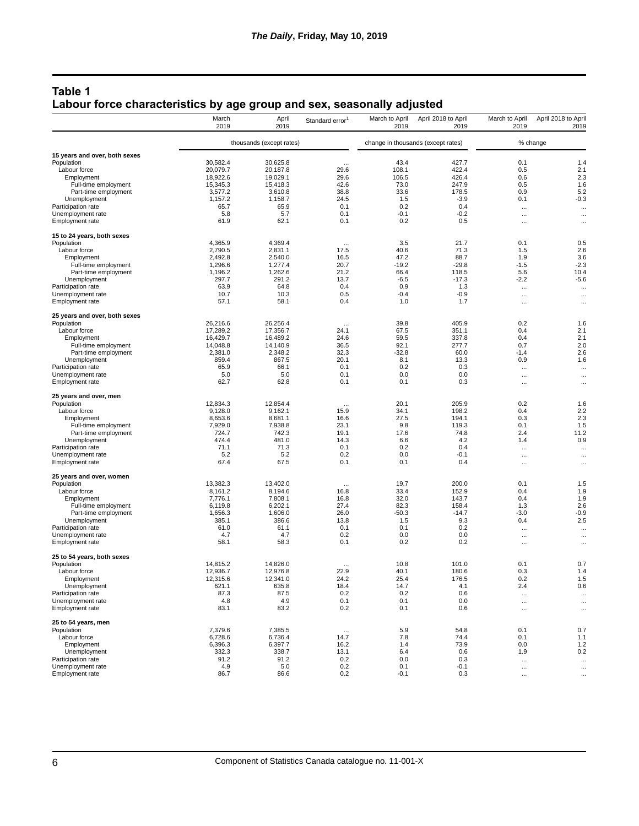## **Table 1 Labour force characteristics by age group and sex, seasonally adjusted**

|                                             | March<br>2019 | April<br>2019            | Standard error <sup>1</sup> | March to April<br>2019 | April 2018 to April<br>2019        | March to April<br>2019 | April 2018 to April<br>2019 |
|---------------------------------------------|---------------|--------------------------|-----------------------------|------------------------|------------------------------------|------------------------|-----------------------------|
|                                             |               | thousands (except rates) |                             |                        | change in thousands (except rates) |                        | % change                    |
| 15 years and over, both sexes               |               |                          |                             |                        |                                    |                        |                             |
| Population                                  | 30,582.4      | 30,625.8                 | $\cdots$                    | 43.4                   | 427.7                              | 0.1                    | 1.4                         |
| Labour force                                | 20,079.7      | 20,187.8                 | 29.6                        | 108.1                  | 422.4                              | 0.5                    | 2.1                         |
| Employment                                  | 18,922.6      | 19.029.1                 | 29.6                        | 106.5                  | 426.4                              | 0.6                    | 2.3                         |
| Full-time employment                        | 15,345.3      | 15,418.3                 | 42.6                        | 73.0                   | 247.9                              | 0.5                    | 1.6                         |
| Part-time employment                        | 3,577.2       | 3,610.8                  | 38.8                        | 33.6                   | 178.5                              | 0.9                    | 5.2                         |
| Unemployment                                | 1,157.2       | 1,158.7                  | 24.5                        | 1.5                    | $-3.9$                             | 0.1                    | $-0.3$                      |
| Participation rate                          | 65.7          | 65.9                     | 0.1                         | 0.2                    | 0.4                                | $\cdots$               | $\ddotsc$                   |
| Unemployment rate                           | 5.8           | 5.7                      | 0.1                         | $-0.1$                 | $-0.2$                             | $\cdots$               | $\cdots$                    |
| <b>Employment rate</b>                      | 61.9          | 62.1                     | 0.1                         | 0.2                    | 0.5                                | $\cdots$               | $\cdots$                    |
| 15 to 24 years, both sexes<br>Population    | 4,365.9       | 4.369.4                  | $\cdots$                    | 3.5                    | 21.7                               | 0.1                    | 0.5                         |
| Labour force                                | 2,790.5       | 2,831.1                  | 17.5                        | 40.6                   | 71.3                               | 1.5                    | 2.6                         |
| Employment                                  | 2,492.8       | 2,540.0                  | 16.5                        | 47.2                   | 88.7                               | 1.9                    | 3.6                         |
| Full-time employment                        | 1,296.6       | 1,277.4                  | 20.7                        | $-19.2$                | $-29.8$                            | $-1.5$                 | $-2.3$                      |
| Part-time employment                        | 1,196.2       | 1,262.6                  | 21.2                        | 66.4                   | 118.5                              | 5.6                    | 10.4                        |
| Unemployment                                | 297.7         | 291.2                    | 13.7                        | $-6.5$                 | $-17.3$                            | $-2.2$                 | $-5.6$                      |
| Participation rate                          | 63.9          | 64.8                     | 0.4                         | 0.9                    | 1.3                                | $\ldots$               | $\cdots$                    |
| Unemployment rate                           | 10.7          | 10.3                     | 0.5                         | $-0.4$                 | $-0.9$                             | $\cdots$               | $\ddotsc$                   |
| <b>Employment rate</b>                      | 57.1          | 58.1                     | 0.4                         | 1.0                    | 1.7                                | $\cdots$               | $\cdots$                    |
| 25 years and over, both sexes               |               |                          |                             |                        |                                    |                        |                             |
| Population                                  | 26.216.6      | 26,256.4                 | $\cdots$                    | 39.8                   | 405.9                              | 0.2                    | 1.6                         |
| Labour force                                | 17.289.2      | 17.356.7                 | 24.1                        | 67.5                   | 351.1                              | 0.4                    | 2.1                         |
| Employment                                  | 16,429.7      | 16,489.2                 | 24.6                        | 59.5                   | 337.8                              | 0.4                    | 2.1                         |
| Full-time employment                        | 14,048.8      | 14,140.9                 | 36.5                        | 92.1                   | 277.7                              | 0.7                    | 2.0                         |
| Part-time employment                        | 2.381.0       | 2,348.2                  | 32.3                        | $-32.8$                | 60.0                               | $-1.4$                 | 2.6                         |
| Unemployment                                | 859.4         | 867.5                    | 20.1                        | 8.1                    | 13.3                               | 0.9                    | 1.6                         |
| Participation rate                          | 65.9          | 66.1                     | 0.1                         | 0.2                    | 0.3                                | $\cdots$               | $\cdots$                    |
| Unemployment rate<br><b>Employment rate</b> | 5.0<br>62.7   | 5.0<br>62.8              | 0.1<br>0.1                  | 0.0<br>0.1             | 0.0<br>0.3                         | $\ldots$<br>$\cdots$   | $\cdots$<br>$\ddotsc$       |
| 25 years and over, men                      |               |                          |                             |                        |                                    |                        |                             |
| Population                                  | 12,834.3      | 12,854.4                 | $\cdots$                    | 20.1                   | 205.9                              | 0.2                    | 1.6                         |
| Labour force                                | 9,128.0       | 9,162.1                  | 15.9                        | 34.1                   | 198.2                              | 0.4                    | 2.2                         |
| Employment                                  | 8,653.6       | 8,681.1                  | 16.6                        | 27.5                   | 194.1                              | 0.3                    | 2.3                         |
| Full-time employment                        | 7,929.0       | 7,938.8                  | 23.1                        | 9.8                    | 119.3                              | 0.1                    | 1.5                         |
| Part-time employment                        | 724.7         | 742.3                    | 19.1                        | 17.6                   | 74.8                               | 2.4                    | 11.2                        |
| Unemployment                                | 474.4         | 481.0                    | 14.3                        | 6.6                    | 4.2                                | 1.4                    | 0.9                         |
| Participation rate                          | 71.1          | 71.3                     | 0.1                         | 0.2                    | 0.4                                | $\cdots$               | $\ddotsc$                   |
| Unemployment rate                           | 5.2           | 5.2                      | 0.2                         | 0.0                    | $-0.1$                             | $\cdots$               | $\cdots$                    |
| <b>Employment rate</b>                      | 67.4          | 67.5                     | 0.1                         | 0.1                    | 0.4                                | $\cdots$               | $\cdots$                    |
| 25 years and over, women<br>Population      | 13,382.3      | 13,402.0                 |                             | 19.7                   | 200.0                              | 0.1                    | 1.5                         |
| Labour force                                | 8,161.2       | 8,194.6                  | $\cdots$<br>16.8            | 33.4                   | 152.9                              | 0.4                    | 1.9                         |
| Employment                                  | 7,776.1       | 7,808.1                  | 16.8                        | 32.0                   | 143.7                              | 0.4                    | 1.9                         |
| Full-time employment                        | 6,119.8       | 6,202.1                  | 27.4                        | 82.3                   | 158.4                              | 1.3                    | 2.6                         |
| Part-time employment                        | 1,656.3       | 1,606.0                  | 26.0                        | $-50.3$                | $-14.7$                            | $-3.0$                 | $-0.9$                      |
| Unemployment                                | 385.1         | 386.6                    | 13.8                        | 1.5                    | 9.3                                | 0.4                    | 2.5                         |
| Participation rate                          | 61.0          | 61.1                     | 0.1                         | 0.1                    | 0.2                                | $\cdots$               | $\cdots$                    |
| Unemployment rate                           | 4.7           | 4.7                      | 0.2                         | 0.0                    | 0.0                                | $\cdots$               | $\ddotsc$                   |
| <b>Employment rate</b>                      | 58.1          | 58.3                     | 0.1                         | 0.2                    | 0.2                                | $\cdots$               | $\cdots$                    |
| 25 to 54 years, both sexes                  |               |                          |                             |                        |                                    |                        |                             |
| Population                                  | 14.815.2      | 14,826.0                 |                             | 10.8                   | 101.0                              | 0.1                    | 0.7                         |
| Labour force                                | 12.936.7      | 12,976.8                 | 22.9                        | 40.1                   | 180.6                              | 0.3                    | 1.4                         |
| Employment                                  | 12,315.6      | 12,341.0                 | 24.2                        | 25.4                   | 176.5                              | 0.2                    | 1.5                         |
| Unemployment                                | 621.1<br>87.3 | 635.8<br>87.5            | 18.4<br>0.2                 | 14.7                   | 4.1<br>0.6                         | 2.4                    | 0.6                         |
| Participation rate<br>Unemployment rate     | 4.8           | 4.9                      | 0.1                         | 0.2<br>0.1             | 0.0                                | $\ldots$               | $\cdots$                    |
| Employment rate                             | 83.1          | 83.2                     | 0.2                         | 0.1                    | 0.6                                | $\cdots$<br>$\cdots$   | $\cdots$<br>$\cdots$        |
| 25 to 54 years, men                         |               |                          |                             |                        |                                    |                        |                             |
| Population                                  | 7,379.6       | 7,385.5                  | $\cdots$                    | 5.9                    | 54.8                               | 0.1                    | 0.7                         |
| Labour force                                | 6,728.6       | 6,736.4                  | 14.7                        | 7.8                    | 74.4                               | 0.1                    | 1.1                         |
| Employment                                  | 6,396.3       | 6,397.7                  | 16.2                        | 1.4                    | 73.9                               | 0.0                    | 1.2                         |
| Unemployment                                | 332.3         | 338.7                    | 13.1                        | 6.4                    | 0.6                                | 1.9                    | 0.2                         |
| Participation rate                          | 91.2          | 91.2                     | 0.2                         | 0.0                    | 0.3                                | $\ldots$               | $\cdots$                    |
| Unemployment rate                           | 4.9           | 5.0                      | 0.2                         | 0.1                    | $-0.1$                             | $\cdots$               | $\ddotsc$                   |
| Employment rate                             | 86.7          | 86.6                     | 0.2                         | $-0.1$                 | 0.3                                | $\cdots$               | $\cdots$                    |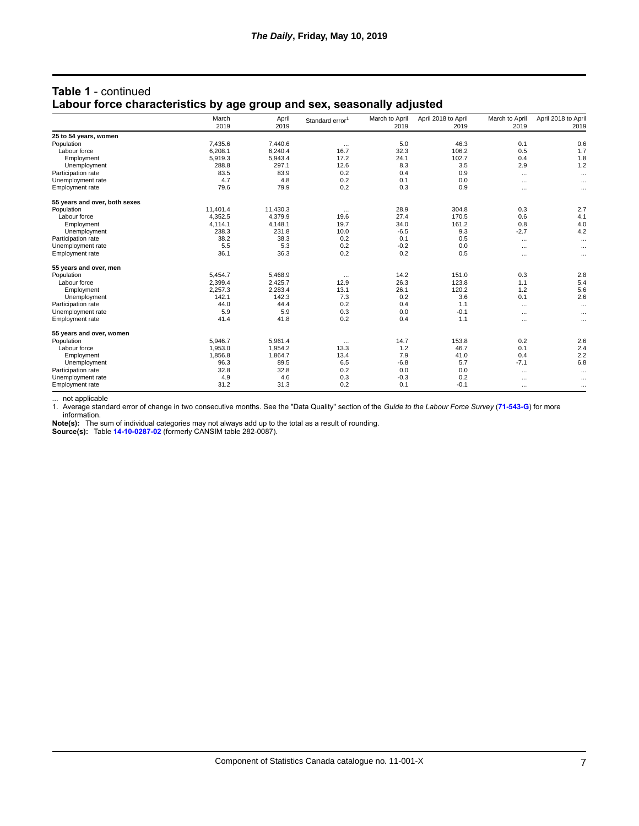|                               | March<br>2019 | April<br>2019 | Standard error <sup>1</sup> | March to April<br>2019 | April 2018 to April<br>2019 | March to April<br>2019 | April 2018 to April<br>2019 |
|-------------------------------|---------------|---------------|-----------------------------|------------------------|-----------------------------|------------------------|-----------------------------|
| 25 to 54 years, women         |               |               |                             |                        |                             |                        |                             |
| Population                    | 7,435.6       | 7,440.6       | $\cdots$                    | 5.0                    | 46.3                        | 0.1                    | 0.6                         |
| Labour force                  | 6,208.1       | 6,240.4       | 16.7                        | 32.3                   | 106.2                       | 0.5                    | 1.7                         |
| Employment                    | 5,919.3       | 5,943.4       | 17.2                        | 24.1                   | 102.7                       | 0.4                    | 1.8                         |
| Unemployment                  | 288.8         | 297.1         | 12.6                        | 8.3                    | 3.5                         | 2.9                    | 1.2                         |
| Participation rate            | 83.5          | 83.9          | 0.2                         | 0.4                    | 0.9                         | $\cdots$               |                             |
| Unemployment rate             | 4.7           | 4.8           | 0.2                         | 0.1                    | 0.0                         | $\cdots$               |                             |
| Employment rate               | 79.6          | 79.9          | 0.2                         | 0.3                    | 0.9                         | $\cdots$               |                             |
| 55 years and over, both sexes |               |               |                             |                        |                             |                        |                             |
| Population                    | 11,401.4      | 11,430.3      | $\cdots$                    | 28.9                   | 304.8                       | 0.3                    | 2.7                         |
| Labour force                  | 4.352.5       | 4,379.9       | 19.6                        | 27.4                   | 170.5                       | 0.6                    | 4.1                         |
| Employment                    | 4,114.1       | 4,148.1       | 19.7                        | 34.0                   | 161.2                       | 0.8                    | 4.0                         |
| Unemployment                  | 238.3         | 231.8         | 10.0                        | $-6.5$                 | 9.3                         | $-2.7$                 | 4.2                         |
| Participation rate            | 38.2          | 38.3          | 0.2                         | 0.1                    | 0.5                         | $\cdots$               | $\cdots$                    |
| Unemployment rate             | 5.5           | 5.3           | 0.2                         | $-0.2$                 | 0.0                         | $\cdots$               | $\cdots$                    |
| Employment rate               | 36.1          | 36.3          | 0.2                         | 0.2                    | 0.5                         | $\cdots$               |                             |
| 55 years and over, men        |               |               |                             |                        |                             |                        |                             |
| Population                    | 5,454.7       | 5,468.9       | $\cdots$                    | 14.2                   | 151.0                       | 0.3                    | 2.8                         |
| Labour force                  | 2,399.4       | 2,425.7       | 12.9                        | 26.3                   | 123.8                       | 1.1                    | 5.4                         |
| Employment                    | 2,257.3       | 2,283.4       | 13.1                        | 26.1                   | 120.2                       | 1.2                    | 5.6                         |
| Unemployment                  | 142.1         | 142.3         | 7.3                         | 0.2                    | 3.6                         | 0.1                    | 2.6                         |
| Participation rate            | 44.0          | 44.4          | 0.2                         | 0.4                    | 1.1                         | $\cdots$               |                             |
| Unemployment rate             | 5.9           | 5.9           | 0.3                         | 0.0                    | $-0.1$                      | $\cdots$               |                             |
| Employment rate               | 41.4          | 41.8          | 0.2                         | 0.4                    | 1.1                         | $\cdots$               | $\cdots$                    |
| 55 years and over, women      |               |               |                             |                        |                             |                        |                             |
| Population                    | 5,946.7       | 5,961.4       | $\cdots$                    | 14.7                   | 153.8                       | 0.2                    | 2.6                         |
| Labour force                  | 1,953.0       | 1,954.2       | 13.3                        | 1.2                    | 46.7                        | 0.1                    | 2.4                         |
| Employment                    | 1,856.8       | 1,864.7       | 13.4                        | 7.9                    | 41.0                        | 0.4                    | 2.2                         |
| Unemployment                  | 96.3          | 89.5          | 6.5                         | $-6.8$                 | 5.7                         | $-7.1$                 | 6.8                         |
| Participation rate            | 32.8          | 32.8          | 0.2                         | 0.0                    | 0.0                         | $\cdots$               | $\cdots$                    |
| Unemployment rate             | 4.9           | 4.6           | 0.3                         | $-0.3$                 | 0.2                         | $\cdots$               |                             |
| Employment rate               | 31.2          | 31.3          | 0.2                         | 0.1                    | $-0.1$                      | $\cdots$               | $\cdots$                    |

## **Table 1** - continued **Labour force characteristics by age group and sex, seasonally adjusted**

... not applicable

1. Average standard error of change in two consecutive months. See the "Data Quality" section of the *Guide to the Labour Force Survey* (**[71-543-G](https://www150.statcan.gc.ca/en/catalogue/71-543-G)**) for more information.

**Note(s):** The sum of individual categories may not always add up to the total as a result of rounding.

**Source(s):** Table **[14-10-0287-02](https://www150.statcan.gc.ca/t1/tbl1/en/tv.action?pid=1410028702)** (formerly CANSIM table 282-0087).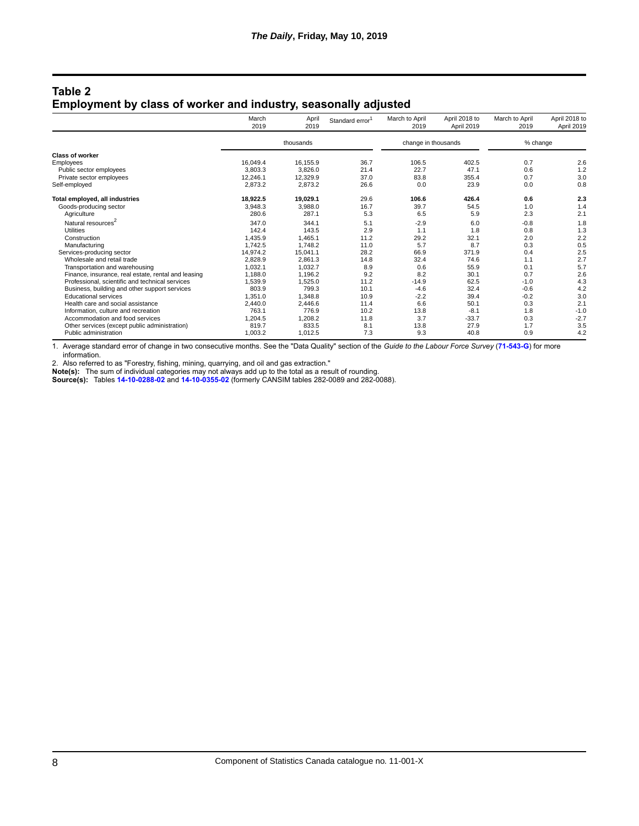#### **Table 2 Employment by class of worker and industry, seasonally adjusted**

|                                                     | March<br>2019 | April<br>2019 | Standard error <sup>1</sup> | March to April<br>2019 | April 2018 to<br>April 2019 | March to April<br>2019 | April 2018 to<br>April 2019 |
|-----------------------------------------------------|---------------|---------------|-----------------------------|------------------------|-----------------------------|------------------------|-----------------------------|
|                                                     |               | thousands     |                             | change in thousands    |                             | % change               |                             |
| <b>Class of worker</b>                              |               |               |                             |                        |                             |                        |                             |
| Employees                                           | 16.049.4      | 16.155.9      | 36.7                        | 106.5                  | 402.5                       | 0.7                    | 2.6                         |
| Public sector employees                             | 3,803.3       | 3,826.0       | 21.4                        | 22.7                   | 47.1                        | 0.6                    | 1.2                         |
| Private sector employees                            | 12,246.1      | 12,329.9      | 37.0                        | 83.8                   | 355.4                       | 0.7                    | 3.0                         |
| Self-employed                                       | 2,873.2       | 2,873.2       | 26.6                        | 0.0                    | 23.9                        | 0.0                    | 0.8                         |
| Total employed, all industries                      | 18,922.5      | 19,029.1      | 29.6                        | 106.6                  | 426.4                       | 0.6                    | 2.3                         |
| Goods-producing sector                              | 3,948.3       | 3,988.0       | 16.7                        | 39.7                   | 54.5                        | 1.0                    | 1.4                         |
| Agriculture                                         | 280.6         | 287.1         | 5.3                         | 6.5                    | 5.9                         | 2.3                    | 2.1                         |
| Natural resources <sup>2</sup>                      | 347.0         | 344.1         | 5.1                         | $-2.9$                 | 6.0                         | $-0.8$                 | 1.8                         |
| <b>Utilities</b>                                    | 142.4         | 143.5         | 2.9                         | 1.1                    | 1.8                         | 0.8                    | 1.3                         |
| Construction                                        | 1,435.9       | 1,465.1       | 11.2                        | 29.2                   | 32.1                        | 2.0                    | 2.2                         |
| Manufacturing                                       | 1.742.5       | 1.748.2       | 11.0                        | 5.7                    | 8.7                         | 0.3                    | 0.5                         |
| Services-producing sector                           | 14.974.2      | 15,041.1      | 28.2                        | 66.9                   | 371.9                       | 0.4                    | 2.5                         |
| Wholesale and retail trade                          | 2,828.9       | 2,861.3       | 14.8                        | 32.4                   | 74.6                        | 1.1                    | 2.7                         |
| Transportation and warehousing                      | 1,032.1       | 1.032.7       | 8.9                         | 0.6                    | 55.9                        | 0.1                    | 5.7                         |
| Finance, insurance, real estate, rental and leasing | 1,188.0       | 1,196.2       | 9.2                         | 8.2                    | 30.1                        | 0.7                    | 2.6                         |
| Professional, scientific and technical services     | 1,539.9       | 1,525.0       | 11.2                        | $-14.9$                | 62.5                        | $-1.0$                 | 4.3                         |
| Business, building and other support services       | 803.9         | 799.3         | 10.1                        | $-4.6$                 | 32.4                        | $-0.6$                 | 4.2                         |
| <b>Educational services</b>                         | 1,351.0       | 1,348.8       | 10.9                        | $-2.2$                 | 39.4                        | $-0.2$                 | 3.0                         |
| Health care and social assistance                   | 2,440.0       | 2.446.6       | 11.4                        | 6.6                    | 50.1                        | 0.3                    | 2.1                         |
| Information, culture and recreation                 | 763.1         | 776.9         | 10.2                        | 13.8                   | $-8.1$                      | 1.8                    | $-1.0$                      |
| Accommodation and food services                     | 1.204.5       | 1,208.2       | 11.8                        | 3.7                    | $-33.7$                     | 0.3                    | $-2.7$                      |
| Other services (except public administration)       | 819.7         | 833.5         | 8.1                         | 13.8                   | 27.9                        | 1.7                    | 3.5                         |
| Public administration                               | 1,003.2       | 1,012.5       | 7.3                         | 9.3                    | 40.8                        | 0.9                    | 4.2                         |

1. Average standard error of change in two consecutive months. See the "Data Quality" section of the *Guide to the Labour Force Survey* (**[71-543-G](https://www150.statcan.gc.ca/en/catalogue/71-543-G)**) for more information.

2. Also referred to as "Forestry, fishing, mining, quarrying, and oil and gas extraction."

**Note(s):** The sum of individual categories may not always add up to the total as a result of rounding.

**Source(s):** Tables **[14-10-0288-02](https://www150.statcan.gc.ca/t1/tbl1/en/tv.action?pid=1410028802)** and **[14-10-0355-02](https://www150.statcan.gc.ca/t1/tbl1/en/tv.action?pid=1410035502)** (formerly CANSIM tables 282-0089 and 282-0088).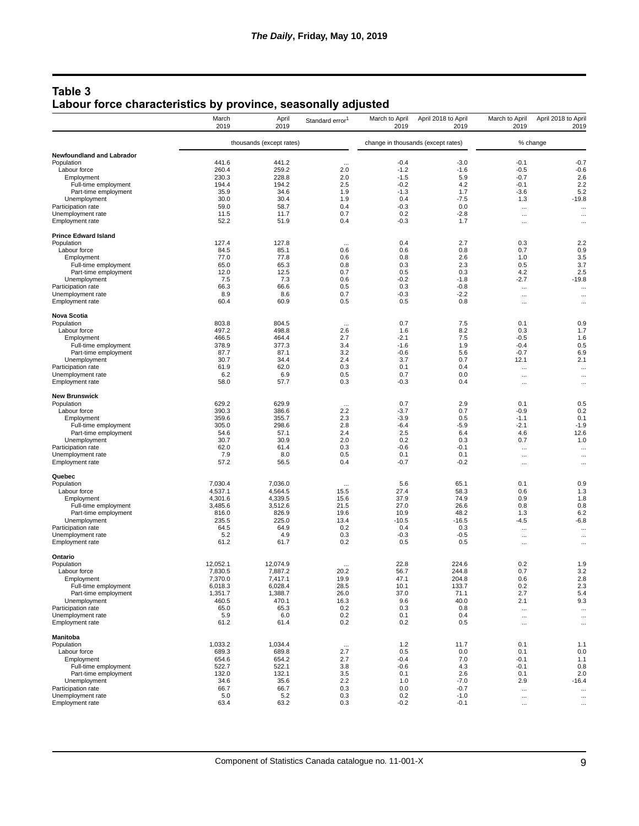## **Table 3 Labour force characteristics by province, seasonally adjusted**

|                                              | March<br>2019      | April<br>2019            | Standard error <sup>1</sup> | March to April<br>2019 | April 2018 to April<br>2019        | March to April<br>2019 | April 2018 to April<br>2019 |
|----------------------------------------------|--------------------|--------------------------|-----------------------------|------------------------|------------------------------------|------------------------|-----------------------------|
|                                              |                    | thousands (except rates) |                             |                        | change in thousands (except rates) |                        | % change                    |
| Newfoundland and Labrador                    |                    |                          |                             |                        |                                    |                        |                             |
| Population                                   | 441.6              | 441.2                    | $\ddotsc$                   | $-0.4$                 | $-3.0$                             | $-0.1$                 | $-0.7$                      |
| Labour force                                 | 260.4              | 259.2                    | 2.0                         | $-1.2$                 | $-1.6$                             | $-0.5$                 | $-0.6$                      |
| Employment                                   | 230.3              | 228.8                    | 2.0                         | $-1.5$                 | 5.9                                | $-0.7$                 | 2.6                         |
| Full-time employment                         | 194.4              | 194.2                    | 2.5                         | $-0.2$                 | 4.2                                | $-0.1$                 | 2.2                         |
| Part-time employment                         | 35.9               | 34.6                     | 1.9                         | $-1.3$                 | 1.7                                | $-3.6$                 | 5.2                         |
| Unemployment<br>Participation rate           | 30.0<br>59.0       | 30.4<br>58.7             | 1.9<br>0.4                  | 0.4<br>$-0.3$          | $-7.5$<br>0.0                      | 1.3                    | $-19.8$                     |
| Unemployment rate                            | 11.5               | 11.7                     | 0.7                         | 0.2                    | $-2.8$                             | $\cdots$               | $\cdots$                    |
| Employment rate                              | 52.2               | 51.9                     | 0.4                         | $-0.3$                 | 1.7                                | $\cdots$<br>$\cdots$   | $\cdots$<br>$\cdots$        |
| <b>Prince Edward Island</b>                  |                    |                          |                             |                        |                                    |                        |                             |
| Population                                   | 127.4              | 127.8                    | $\cdots$                    | 0.4                    | 2.7                                | 0.3                    | 2.2                         |
| Labour force                                 | 84.5               | 85.1                     | 0.6                         | 0.6                    | 0.8                                | 0.7                    | 0.9                         |
| Employment                                   | 77.0               | 77.8                     | 0.6                         | 0.8                    | 2.6                                | 1.0                    | 3.5                         |
| Full-time employment                         | 65.0<br>12.0       | 65.3<br>12.5             | 0.8<br>0.7                  | 0.3<br>0.5             | 2.3<br>0.3                         | 0.5<br>4.2             | 3.7<br>2.5                  |
| Part-time employment<br>Unemployment         | 7.5                | 7.3                      | 0.6                         | $-0.2$                 | $-1.8$                             | $-2.7$                 | $-19.8$                     |
| Participation rate                           | 66.3               | 66.6                     | 0.5                         | 0.3                    | $-0.8$                             | $\ldots$               | $\cdots$                    |
| Unemployment rate                            | 8.9                | 8.6                      | 0.7                         | $-0.3$                 | $-2.2$                             | $\cdots$               | $\cdots$                    |
| Employment rate                              | 60.4               | 60.9                     | 0.5                         | 0.5                    | 0.8                                | $\cdots$               | $\cdots$                    |
| <b>Nova Scotia</b>                           |                    |                          |                             |                        |                                    |                        |                             |
| Population                                   | 803.8              | 804.5                    | $\cdots$                    | 0.7                    | 7.5                                | 0.1                    | 0.9                         |
| Labour force                                 | 497.2              | 498.8                    | 2.6                         | 1.6                    | 8.2                                | 0.3                    | 1.7                         |
| Employment                                   | 466.5<br>378.9     | 464.4<br>377.3           | 2.7<br>3.4                  | $-2.1$<br>$-1.6$       | 7.5<br>1.9                         | $-0.5$<br>$-0.4$       | 1.6<br>0.5                  |
| Full-time employment                         | 87.7               | 87.1                     | 3.2                         | $-0.6$                 | 5.6                                | $-0.7$                 | 6.9                         |
| Part-time employment<br>Unemployment         | 30.7               | 34.4                     | 2.4                         | 3.7                    | 0.7                                | 12.1                   | 2.1                         |
| Participation rate                           | 61.9               | 62.0                     | 0.3                         | 0.1                    | 0.4                                | $\cdots$               | $\cdots$                    |
| Unemployment rate                            | 6.2                | 6.9                      | 0.5                         | 0.7                    | 0.0                                | $\cdots$               | $\cdots$                    |
| <b>Employment rate</b>                       | 58.0               | 57.7                     | 0.3                         | $-0.3$                 | 0.4                                | $\cdots$               | $\cdots$                    |
| <b>New Brunswick</b>                         |                    |                          |                             |                        |                                    |                        |                             |
| Population                                   | 629.2              | 629.9                    | $\ddotsc$                   | 0.7                    | 2.9                                | 0.1                    | 0.5                         |
| Labour force                                 | 390.3              | 386.6                    | 2.2                         | $-3.7$                 | 0.7                                | $-0.9$                 | 0.2                         |
| Employment                                   | 359.6<br>305.0     | 355.7                    | 2.3<br>2.8                  | $-3.9$                 | 0.5<br>$-5.9$                      | $-1.1$                 | 0.1                         |
| Full-time employment<br>Part-time employment | 54.6               | 298.6<br>57.1            | 2.4                         | $-6.4$<br>2.5          | 6.4                                | $-2.1$<br>4.6          | $-1.9$<br>12.6              |
| Unemployment                                 | 30.7               | 30.9                     | 2.0                         | 0.2                    | 0.3                                | 0.7                    | 1.0                         |
| Participation rate                           | 62.0               | 61.4                     | 0.3                         | $-0.6$                 | $-0.1$                             | $\cdots$               | $\ddotsc$                   |
| Unemployment rate                            | 7.9                | 8.0                      | 0.5                         | 0.1                    | 0.1                                | $\cdots$               | $\cdots$                    |
| Employment rate                              | 57.2               | 56.5                     | 0.4                         | $-0.7$                 | $-0.2$                             |                        | $\cdots$                    |
| Quebec                                       |                    |                          |                             |                        |                                    |                        |                             |
| Population                                   | 7,030.4            | 7,036.0                  | $\cdots$                    | 5.6                    | 65.1                               | 0.1                    | 0.9                         |
| Labour force                                 | 4,537.1            | 4,564.5                  | 15.5                        | 27.4                   | 58.3                               | 0.6                    | 1.3                         |
| Employment                                   | 4,301.6            | 4,339.5                  | 15.6                        | 37.9                   | 74.9                               | 0.9                    | 1.8                         |
| Full-time employment                         | 3,485.6            | 3,512.6<br>826.9         | 21.5                        | 27.0                   | 26.6<br>48.2                       | 0.8                    | 0.8                         |
| Part-time employment<br>Unemployment         | 816.0<br>235.5     | 225.0                    | 19.6<br>13.4                | 10.9<br>$-10.5$        | $-16.5$                            | 1.3<br>$-4.5$          | 6.2<br>$-6.8$               |
| Participation rate                           | 64.5               | 64.9                     | 0.2                         | 0.4                    | 0.3                                | $\cdots$               | $\cdots$                    |
| Unemployment rate                            | 5.2                | 4.9                      | 0.3                         | $-0.3$                 | $-0.5$                             | $\cdots$               | $\cdots$                    |
| Employment rate                              | 61.2               | 61.7                     | 0.2                         | 0.5                    | 0.5                                | $\cdots$               | $\cdots$                    |
| Ontario                                      |                    |                          |                             |                        |                                    |                        |                             |
| Population                                   | 12,052.1           | 12,074.9                 | $\cdots$                    | 22.8                   | 224.6                              | 0.2                    | 1.9                         |
| Labour force                                 | 7,830.5            | 7.887.2                  | 20.2                        | 56.7                   | 244.8                              | 0.7                    | 3.2                         |
| Employment                                   | 7,370.0            | 7.417.1                  | 19.9                        | 47.1                   | 204.8                              | 0.6                    | 2.8                         |
| Full-time employment                         | 6,018.3<br>1,351.7 | 6,028.4                  | 28.5<br>26.0                | 10.1<br>37.0           | 133.7                              | 0.2                    | 2.3                         |
| Part-time employment<br>Unemployment         | 460.5              | 1,388.7<br>470.1         | 16.3                        | 9.6                    | 71.1<br>40.0                       | 2.7<br>2.1             | 5.4<br>9.3                  |
| Participation rate                           | 65.0               | 65.3                     | 0.2                         | 0.3                    | 0.8                                | $\ldots$               | $\cdots$                    |
| Unemployment rate                            | 5.9                | 6.0                      | 0.2                         | 0.1                    | 0.4                                | $\ldots$               |                             |
| Employment rate                              | 61.2               | 61.4                     | 0.2                         | 0.2                    | 0.5                                | $\cdots$               | $\cdots$<br>$\cdots$        |
| <b>Manitoba</b>                              |                    |                          |                             |                        |                                    |                        |                             |
| Population                                   | 1,033.2            | 1.034.4                  | $\cdots$                    | 1.2                    | 11.7                               | 0.1                    | 1.1                         |
| Labour force                                 | 689.3              | 689.8                    | 2.7                         | 0.5                    | 0.0                                | 0.1                    | 0.0                         |
| Employment                                   | 654.6              | 654.2                    | 2.7                         | $-0.4$                 | 7.0                                | $-0.1$                 | 1.1                         |
| Full-time employment                         | 522.7              | 522.1                    | 3.8                         | $-0.6$                 | 4.3                                | $-0.1$                 | 0.8                         |
| Part-time employment                         | 132.0              | 132.1                    | 3.5                         | 0.1                    | 2.6                                | 0.1                    | 2.0                         |
| Unemployment                                 | 34.6               | 35.6                     | 2.2                         | 1.0                    | $-7.0$                             | 2.9                    | $-16.4$                     |
| Participation rate                           | 66.7               | 66.7                     | 0.3                         | 0.0                    | $-0.7$                             | $\ldots$               | $\cdots$                    |
| Unemployment rate                            | 5.0<br>63.4        | $5.2$<br>63.2            | 0.3<br>0.3                  | 0.2<br>$-0.2$          | $-1.0$<br>$-0.1$                   | $\cdots$               | $\cdots$                    |
| Employment rate                              |                    |                          |                             |                        |                                    | $\ldots$               | $\ldots$                    |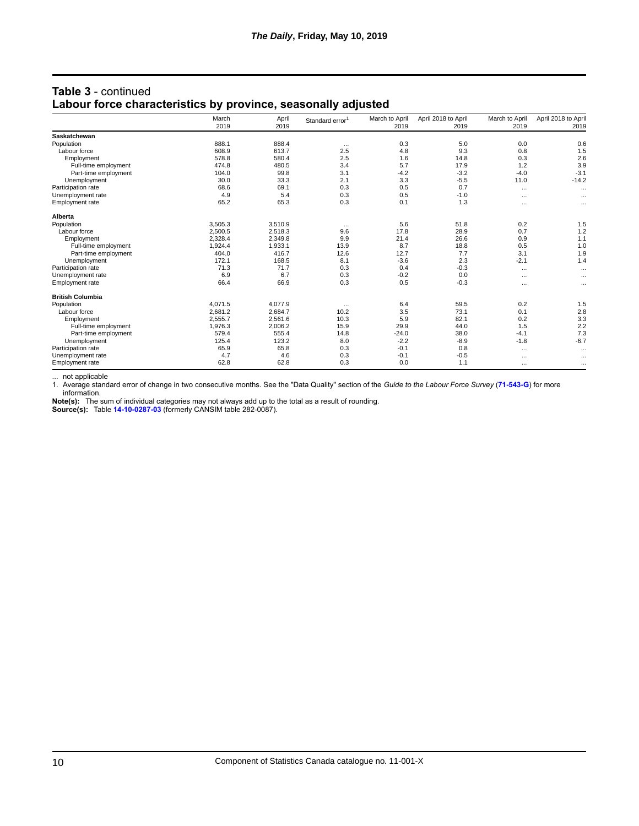|                         | March<br>2019 | April<br>2019 | Standard error <sup>1</sup> | March to April<br>2019 | April 2018 to April<br>2019 | March to April<br>2019 | April 2018 to April<br>2019 |
|-------------------------|---------------|---------------|-----------------------------|------------------------|-----------------------------|------------------------|-----------------------------|
| Saskatchewan            |               |               |                             |                        |                             |                        |                             |
| Population              | 888.1         | 888.4         | $\cdots$                    | 0.3                    | 5.0                         | 0.0                    | 0.6                         |
| Labour force            | 608.9         | 613.7         | 2.5                         | 4.8                    | 9.3                         | 0.8                    | 1.5                         |
| Employment              | 578.8         | 580.4         | 2.5                         | 1.6                    | 14.8                        | 0.3                    | 2.6                         |
| Full-time employment    | 474.8         | 480.5         | 3.4                         | 5.7                    | 17.9                        | 1.2                    | 3.9                         |
| Part-time employment    | 104.0         | 99.8          | 3.1                         | $-4.2$                 | $-3.2$                      | $-4.0$                 | $-3.1$                      |
| Unemployment            | 30.0          | 33.3          | 2.1                         | 3.3                    | $-5.5$                      | 11.0                   | $-14.2$                     |
| Participation rate      | 68.6          | 69.1          | 0.3                         | 0.5                    | 0.7                         | $\cdots$               | $\cdots$                    |
| Unemployment rate       | 4.9           | 5.4           | 0.3                         | 0.5                    | $-1.0$                      | $\cdots$               | $\cdots$                    |
| <b>Employment rate</b>  | 65.2          | 65.3          | 0.3                         | 0.1                    | 1.3                         | $\cdots$               | $\cdots$                    |
| Alberta                 |               |               |                             |                        |                             |                        |                             |
| Population              | 3.505.3       | 3.510.9       | $\cdots$                    | 5.6                    | 51.8                        | 0.2                    | 1.5                         |
| Labour force            | 2,500.5       | 2,518.3       | 9.6                         | 17.8                   | 28.9                        | 0.7                    | 1.2                         |
| Employment              | 2,328.4       | 2,349.8       | 9.9                         | 21.4                   | 26.6                        | 0.9                    | 1.1                         |
| Full-time employment    | 1.924.4       | 1,933.1       | 13.9                        | 8.7                    | 18.8                        | 0.5                    | 1.0                         |
| Part-time employment    | 404.0         | 416.7         | 12.6                        | 12.7                   | 7.7                         | 3.1                    | 1.9                         |
| Unemployment            | 172.1         | 168.5         | 8.1                         | $-3.6$                 | 2.3                         | $-2.1$                 | 1.4                         |
| Participation rate      | 71.3          | 71.7          | 0.3                         | 0.4                    | $-0.3$                      | $\cdots$               | $\cdots$                    |
| Unemployment rate       | 6.9           | 6.7           | 0.3                         | $-0.2$                 | 0.0                         | $\cdots$               | $\cdots$                    |
| <b>Employment rate</b>  | 66.4          | 66.9          | 0.3                         | 0.5                    | $-0.3$                      | $\cdots$               | $\cdots$                    |
| <b>British Columbia</b> |               |               |                             |                        |                             |                        |                             |
| Population              | 4,071.5       | 4,077.9       | $\cdots$                    | 6.4                    | 59.5                        | 0.2                    | 1.5                         |
| Labour force            | 2,681.2       | 2,684.7       | 10.2                        | 3.5                    | 73.1                        | 0.1                    | 2.8                         |
| Employment              | 2,555.7       | 2,561.6       | 10.3                        | 5.9                    | 82.1                        | 0.2                    | 3.3                         |
| Full-time employment    | 1,976.3       | 2,006.2       | 15.9                        | 29.9                   | 44.0                        | 1.5                    | 2.2                         |
| Part-time employment    | 579.4         | 555.4         | 14.8                        | $-24.0$                | 38.0                        | $-4.1$                 | 7.3                         |
| Unemployment            | 125.4         | 123.2         | 8.0                         | $-2.2$                 | $-8.9$                      | $-1.8$                 | $-6.7$                      |
| Participation rate      | 65.9          | 65.8          | 0.3                         | $-0.1$                 | 0.8                         | $\cdots$               | $\cdots$                    |
| Unemployment rate       | 4.7           | 4.6           | 0.3                         | $-0.1$                 | $-0.5$                      | $\cdots$               | $\cdots$                    |
| <b>Employment rate</b>  | 62.8          | 62.8          | 0.3                         | 0.0                    | 1.1                         | $\cdots$               | $\cdots$                    |

## **Table 3** - continued **Labour force characteristics by province, seasonally adjusted**

... not applicable

1. Average standard error of change in two consecutive months. See the "Data Quality" section of the *Guide to the Labour Force Survey* (**[71-543-G](https://www150.statcan.gc.ca/en/catalogue/71-543-G)**) for more information.

**Note(s):** The sum of individual categories may not always add up to the total as a result of rounding.

**Source(s):** Table **[14-10-0287-03](https://www150.statcan.gc.ca/t1/tbl1/en/tv.action?pid=1410028703)** (formerly CANSIM table 282-0087).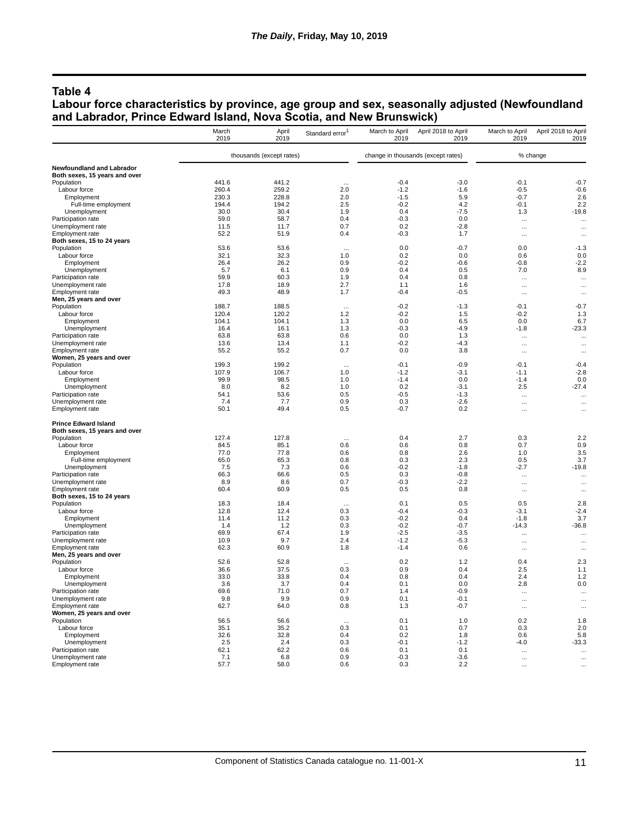#### **Table 4**

#### **Labour force characteristics by province, age group and sex, seasonally adjusted (Newfoundland and Labrador, Prince Edward Island, Nova Scotia, and New Brunswick)**

|                                             | March<br>2019  | April<br>2019            | Standard error <sup>1</sup> | March to April<br>2019 | April 2018 to April<br>2019        | March to April<br>2019            | April 2018 to April<br>2019 |
|---------------------------------------------|----------------|--------------------------|-----------------------------|------------------------|------------------------------------|-----------------------------------|-----------------------------|
|                                             |                | thousands (except rates) |                             |                        | change in thousands (except rates) |                                   | % change                    |
| Newfoundland and Labrador                   |                |                          |                             |                        |                                    |                                   |                             |
| Both sexes, 15 years and over               |                |                          |                             |                        |                                    |                                   |                             |
| Population                                  | 441.6          | 441.2                    |                             | $-0.4$                 | $-3.0$                             | $-0.1$                            | $-0.7$                      |
| Labour force<br>Employment                  | 260.4<br>230.3 | 259.2<br>228.8           | 2.0<br>2.0                  | $-1.2$<br>$-1.5$       | $-1.6$<br>5.9                      | $-0.5$<br>$-0.7$                  | $-0.6$<br>2.6               |
| Full-time employment                        | 194.4          | 194.2                    | 2.5                         | $-0.2$                 | 4.2                                | $-0.1$                            | 2.2                         |
| Unemployment                                | 30.0           | 30.4                     | 1.9                         | 0.4                    | $-7.5$                             | 1.3                               | $-19.8$                     |
| Participation rate                          | 59.0           | 58.7                     | 0.4                         | $-0.3$                 | 0.0                                | $\ddotsc$                         | $\ddotsc$                   |
| Unemployment rate                           | 11.5           | 11.7                     | 0.7                         | 0.2                    | $-2.8$                             | $\ddot{\phantom{a}}$              | $\cdots$                    |
| Employment rate                             | 52.2           | 51.9                     | 0.4                         | $-0.3$                 | 1.7                                | $\cdots$                          | $\ddotsc$                   |
| Both sexes, 15 to 24 years<br>Population    | 53.6           | 53.6                     |                             | 0.0                    | $-0.7$                             | 0.0                               | $-1.3$                      |
| Labour force                                | 32.1           | 32.3                     | 1.0                         | 0.2                    | 0.0                                | 0.6                               | 0.0                         |
| Employment                                  | 26.4           | 26.2                     | 0.9                         | $-0.2$                 | $-0.6$                             | $-0.8$                            | $-2.2$                      |
| Unemployment                                | 5.7            | 6.1                      | 0.9                         | 0.4                    | 0.5                                | 7.0                               | 8.9                         |
| Participation rate                          | 59.9           | 60.3                     | 1.9                         | 0.4                    | 0.8                                | $\cdots$                          | $\ddotsc$                   |
| Unemployment rate                           | 17.8           | 18.9                     | 2.7                         | 1.1                    | 1.6                                | $\ddotsc$                         |                             |
| Employment rate                             | 49.3           | 48.9                     | 1.7                         | $-0.4$                 | $-0.5$                             | $\cdots$                          | $\ddotsc$                   |
| Men, 25 years and over<br>Population        | 188.7          | 188.5                    |                             | $-0.2$                 | $-1.3$                             | $-0.1$                            | $-0.7$                      |
| Labour force                                | 120.4          | 120.2                    | 1.2                         | $-0.2$                 | 1.5                                | $-0.2$                            | 1.3                         |
| Employment                                  | 104.1          | 104.1                    | 1.3                         | 0.0                    | 6.5                                | 0.0                               | 6.7                         |
| Unemployment                                | 16.4           | 16.1                     | 1.3                         | $-0.3$                 | $-4.9$                             | $-1.8$                            | $-23.3$                     |
| Participation rate                          | 63.8           | 63.8                     | 0.6                         | 0.0                    | 1.3                                | $\ddotsc$                         | $\ddotsc$                   |
| Unemployment rate<br>Employment rate        | 13.6<br>55.2   | 13.4                     | 1.1<br>0.7                  | $-0.2$<br>0.0          | $-4.3$<br>3.8                      | $\ddotsc$                         | $\ddotsc$                   |
| Women, 25 years and over                    |                | 55.2                     |                             |                        |                                    | $\cdots$                          | $\ddotsc$                   |
| Population                                  | 199.3          | 199.2                    | $\sim$                      | $-0.1$                 | $-0.9$                             | $-0.1$                            | $-0.4$                      |
| Labour force                                | 107.9          | 106.7                    | 1.0                         | $-1.2$                 | $-3.1$                             | $-1.1$                            | $-2.8$                      |
| Employment                                  | 99.9           | 98.5                     | 1.0                         | $-1.4$                 | 0.0                                | $-1.4$                            | 0.0                         |
| Unemployment                                | 8.0            | 8.2                      | 1.0                         | 0.2                    | $-3.1$                             | 2.5                               | $-27.4$                     |
| Participation rate<br>Unemployment rate     | 54.1<br>7.4    | 53.6<br>7.7              | 0.5<br>0.9                  | $-0.5$<br>0.3          | $-1.3$<br>$-2.6$                   | $\ddotsc$<br>$\ddotsc$            | $\ddotsc$                   |
| Employment rate                             | 50.1           | 49.4                     | 0.5                         | $-0.7$                 | 0.2                                | $\ddotsc$                         | $\ddotsc$<br>               |
| <b>Prince Edward Island</b>                 |                |                          |                             |                        |                                    |                                   |                             |
| Both sexes, 15 years and over<br>Population | 127.4          | 127.8                    |                             | 0.4                    | 2.7                                | 0.3                               | 2.2                         |
| Labour force                                | 84.5           | 85.1                     | 0.6                         | 0.6                    | 0.8                                | 0.7                               | 0.9                         |
| Employment                                  | 77.0           | 77.8                     | 0.6                         | 0.8                    | 2.6                                | 1.0                               | 3.5                         |
| Full-time employment                        | 65.0           | 65.3                     | 0.8                         | 0.3                    | 2.3                                | 0.5                               | 3.7                         |
| Unemployment                                | 7.5            | 7.3                      | 0.6                         | $-0.2$                 | $-1.8$                             | $-2.7$                            | $-19.8$                     |
| Participation rate                          | 66.3           | 66.6                     | 0.5                         | 0.3                    | $-0.8$                             | $\ddotsc$                         | $\ddotsc$                   |
| Unemployment rate<br>Employment rate        | 8.9<br>60.4    | 8.6<br>60.9              | 0.7<br>0.5                  | $-0.3$<br>0.5          | $-2.2$<br>0.8                      | $\ddotsc$<br>$\ddot{\phantom{a}}$ | $\ddotsc$                   |
| Both sexes, 15 to 24 years                  |                |                          |                             |                        |                                    |                                   | $\cdots$                    |
| Population                                  | 18.3           | 18.4                     |                             | 0.1                    | 0.5                                | 0.5                               | 2.8                         |
| Labour force                                | 12.8           | 12.4                     | 0.3                         | $-0.4$                 | $-0.3$                             | $-3.1$                            | $-2.4$                      |
| Employment                                  | 11.4           | 11.2                     | 0.3                         | $-0.2$                 | 0.4                                | $-1.8$                            | 3.7                         |
| Unemployment<br>Participation rate          | 1.4<br>69.9    | 1.2<br>67.4              | 0.3<br>1.9                  | $-0.2$<br>$-2.5$       | $-0.7$<br>$-3.5$                   | $-14.3$<br>$\ddotsc$              | $-36.8$<br>$\ddotsc$        |
| Unemployment rate                           | 10.9           | 9.7                      | 2.4                         | $-1.2$                 | $-5.3$                             |                                   | $\cdots$                    |
| Employment rate                             | 62.3           | 60.9                     | 1.8                         | $-1.4$                 | 0.6                                | $\ddotsc$                         | $\ddotsc$                   |
| Men, 25 years and over                      |                |                          |                             |                        |                                    |                                   |                             |
| Population                                  | 52.6           | 52.8                     |                             | 0.2                    | 1.2                                | 0.4                               | 2.3                         |
| Labour force<br>Employment                  | 36.6<br>33.0   | 37.5<br>33.8             | 0.3<br>0.4                  | 0.9<br>0.8             | 0.4<br>0.4                         | 2.5<br>2.4                        | 11<br>1.2                   |
| Unemployment                                | 3.6            | 3.7                      | 0.4                         | 0.1                    | 0.0                                | 2.8                               | 0.0                         |
| Participation rate                          | 69.6           | 71.0                     | 0.7                         | 14                     | $-0.9$                             |                                   |                             |
| Unemployment rate                           | 9.8            | 9.9                      | 0.9                         | 0.1                    | $-0.1$                             | $\ddots$                          | $\cdots$                    |
| Employment rate                             | 62.7           | 64.0                     | 0.8                         | 1.3                    | $-0.7$                             | $\ddots$                          | $\ddotsc$                   |
| Women, 25 years and over                    |                |                          |                             |                        |                                    |                                   |                             |
| Population<br>Labour force                  | 56.5<br>35.1   | 56.6<br>35.2             | $\cdots$<br>0.3             | 0.1<br>0.1             | 1.0<br>0.7                         | 0.2<br>0.3                        | 1.8<br>2.0                  |
| Employment                                  | 32.6           | 32.8                     | 0.4                         | 0.2                    | 1.8                                | 0.6                               | 5.8                         |
| Unemployment                                | 2.5            | 2.4                      | 0.3                         | $-0.1$                 | $-1.2$                             | $-4.0$                            | $-33.3$                     |
| Participation rate                          | 62.1           | 62.2                     | 0.6                         | 0.1                    | 0.1                                |                                   |                             |
| Unemployment rate                           | 7.1            | 6.8                      | 0.9                         | $-0.3$                 | $-3.6$                             | $\ddots$                          |                             |
| Employment rate                             | 57.7           | 58.0                     | 0.6                         | 0.3                    | 2.2                                |                                   |                             |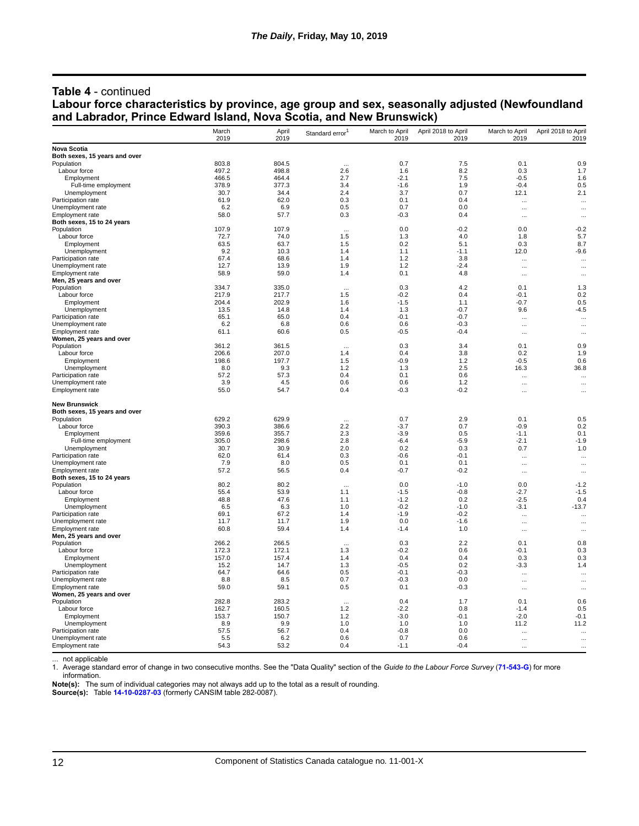#### **Table 4** - continued **Labour force characteristics by province, age group and sex, seasonally adjusted (Newfoundland and Labrador, Prince Edward Island, Nova Scotia, and New Brunswick)**

|                                             | March          | April          | Standard error <sup>1</sup> | March to April   | April 2018 to April | March to April   | April 2018 to April |
|---------------------------------------------|----------------|----------------|-----------------------------|------------------|---------------------|------------------|---------------------|
|                                             | 2019           | 2019           |                             | 2019             | 2019                | 2019             | 2019                |
| <b>Nova Scotia</b>                          |                |                |                             |                  |                     |                  |                     |
| Both sexes, 15 years and over<br>Population | 803.8          | 804.5          |                             | 0.7              | 7.5                 | 0.1              | 0.9                 |
| Labour force                                | 497.2          | 498.8          | <br>2.6                     | 1.6              | 8.2                 | 0.3              | 1.7                 |
| Employment                                  | 466.5          | 464.4          | 2.7                         | $-2.1$           | 7.5                 | $-0.5$           | 1.6                 |
| Full-time employment                        | 378.9          | 377.3          | 3.4                         | $-1.6$           | 1.9                 | $-0.4$           | 0.5                 |
| Unemployment                                | 30.7           | 34.4           | 2.4                         | 3.7              | 0.7                 | 12.1             | 2.1                 |
| Participation rate                          | 61.9           | 62.0           | 0.3                         | 0.1              | 0.4                 | $\cdots$         | $\ddotsc$           |
| Unemployment rate                           | 6.2            | 6.9            | 0.5                         | 0.7              | 0.0                 | $\ddotsc$        | $\ddotsc$           |
| <b>Employment</b> rate                      | 58.0           | 57.7           | 0.3                         | $-0.3$           | 0.4                 | $\cdots$         | $\cdots$            |
| Both sexes, 15 to 24 years                  |                |                |                             |                  |                     |                  |                     |
| Population                                  | 107.9          | 107.9          | $\cdots$                    | 0.0              | $-0.2$              | 0.0              | $-0.2$              |
| Labour force                                | 72.7           | 74.0           | 1.5                         | 1.3              | 4.0                 | 1.8              | 5.7                 |
| Employment                                  | 63.5           | 63.7           | 1.5                         | 0.2              | 5.1                 | 0.3              | 8.7                 |
| Unemployment                                | 9.2            | 10.3           | 1.4                         | 1.1              | $-1.1$              | 12.0             | $-9.6$              |
| Participation rate                          | 67.4           | 68.6           | 1.4                         | 1.2              | 3.8                 |                  | $\cdots$            |
| Unemployment rate                           | 12.7           | 13.9           | 1.9                         | 1.2              | $-2.4$              | $\cdots$         | $\cdots$            |
| Employment rate                             | 58.9           | 59.0           | 1.4                         | 0.1              | 4.8                 | $\cdots$         | $\cdots$            |
| Men, 25 years and over                      | 334.7          |                |                             |                  |                     |                  |                     |
| Population                                  |                | 335.0          | $\cdots$                    | 0.3              | 4.2<br>0.4          | 0.1              | 1.3                 |
| Labour force                                | 217.9<br>204.4 | 217.7<br>202.9 | 1.5<br>1.6                  | $-0.2$<br>$-1.5$ | 1.1                 | $-0.1$<br>$-0.7$ | 0.2<br>0.5          |
| Employment<br>Unemployment                  | 13.5           | 14.8           | 1.4                         | 1.3              | $-0.7$              | 9.6              | $-4.5$              |
| Participation rate                          | 65.1           | 65.0           | 0.4                         | $-0.1$           | $-0.7$              |                  |                     |
| Unemployment rate                           | 6.2            | 6.8            | 0.6                         | 0.6              | $-0.3$              | $\cdots$         | $\ddotsc$           |
| Employment rate                             | 61.1           | 60.6           | 0.5                         | $-0.5$           | $-0.4$              | $\cdots$         | $\cdots$            |
| Women, 25 years and over                    |                |                |                             |                  |                     | $\cdots$         | $\cdots$            |
| Population                                  | 361.2          | 361.5          |                             | 0.3              | 3.4                 | 0.1              | 0.9                 |
| Labour force                                | 206.6          | 207.0          | 1.4                         | 0.4              | 3.8                 | 0.2              | 1.9                 |
| Employment                                  | 198.6          | 197.7          | 1.5                         | $-0.9$           | 1.2                 | $-0.5$           | 0.6                 |
| Unemployment                                | 8.0            | 9.3            | 1.2                         | 1.3              | 2.5                 | 16.3             | 36.8                |
| Participation rate                          | 57.2           | 57.3           | 0.4                         | 0.1              | 0.6                 |                  | $\cdots$            |
| Unemployment rate                           | 3.9            | 4.5            | 0.6                         | 0.6              | 1.2                 | $\cdots$         | $\ddotsc$           |
| Employment rate                             | 55.0           | 54.7           | 0.4                         | $-0.3$           | $-0.2$              | $\cdots$         | $\cdots$            |
| <b>New Brunswick</b>                        |                |                |                             |                  |                     |                  |                     |
| Both sexes, 15 years and over               |                |                |                             |                  |                     |                  |                     |
| Population                                  | 629.2          | 629.9          |                             | 0.7              | 2.9                 | 0.1              | 0.5                 |
| Labour force                                | 390.3          | 386.6          | 2.2                         | $-3.7$           | 0.7                 | $-0.9$           | 0.2                 |
| Employment                                  | 359.6          | 355.7          | 2.3                         | $-3.9$           | 0.5                 | $-1.1$           | 0.1                 |
| Full-time employment                        | 305.0          | 298.6          | 2.8                         | $-6.4$           | $-5.9$              | $-2.1$           | $-1.9$              |
| Unemployment                                | 30.7           | 30.9           | 2.0                         | 0.2              | 0.3                 | 0.7              | 1.0                 |
| Participation rate                          | 62.0           | 61.4           | 0.3                         | $-0.6$           | $-0.1$              | $\cdots$         | $\cdots$            |
| Unemployment rate                           | 7.9            | 8.0            | 0.5                         | 0.1              | 0.1                 | $\cdots$         | $\cdots$            |
| Employment rate                             | 57.2           | 56.5           | 0.4                         | $-0.7$           | $-0.2$              | $\cdots$         | $\cdots$            |
| Both sexes, 15 to 24 years                  |                |                |                             |                  |                     |                  |                     |
| Population                                  | 80.2           | 80.2           | $\cdots$                    | 0.0              | $-1.0$              | 0.0              | $-1.2$              |
| Labour force                                | 55.4           | 53.9           | 1.1                         | $-1.5$           | $-0.8$              | $-2.7$           | $-1.5$              |
| Employment<br>Unemployment                  | 48.8<br>6.5    | 47.6<br>6.3    | 1.1<br>1.0                  | $-1.2$<br>$-0.2$ | 0.2<br>$-1.0$       | $-2.5$<br>$-3.1$ | 0.4<br>$-13.7$      |
| Participation rate                          | 69.1           | 67.2           | 1.4                         | $-1.9$           | $-0.2$              |                  |                     |
| Unemployment rate                           | 11.7           | 11.7           | 1.9                         | 0.0              | $-1.6$              | $\cdots$         |                     |
| Employment rate                             | 60.8           | 59.4           | 1.4                         | $-1.4$           | 1.0                 | $\cdots$         | $\cdots$            |
| Men, 25 years and over                      |                |                |                             |                  |                     | $\cdots$         | $\ddotsc$           |
| Population                                  | 266.2          | 266.5          | $\ddotsc$                   | 0.3              | 2.2                 | 0.1              | 0.8                 |
| Labour force                                | 172.3          | 172.1          | 1.3                         | $-0.2$           | 0.6                 | -0.1             | 0.3                 |
| Employment                                  | 157.0          | 157.4          | 1.4                         | 0.4              | 0.4                 | 0.3              | 0.3                 |
| Unemployment                                | 15.2           | 14.7           | 1.3                         | $-0.5$           | 0.2                 | $-3.3$           | 1.4                 |
| Participation rate                          | 64.7           | 64.6           | 0.5                         | $-0.1$           | $-0.3$              |                  | $\ddotsc$           |
| Unemployment rate                           | 8.8            | 8.5            | 0.7                         | $-0.3$           | 0.0                 | $\cdots$         |                     |
| Employment rate                             | 59.0           | 59.1           | 0.5                         | 0.1              | $-0.3$              | $\cdots$         | $\cdots$            |
| Women, 25 years and over                    |                |                |                             |                  |                     |                  |                     |
| Population                                  | 282.8          | 283.2          | $\cdots$                    | 0.4              | 1.7                 | 0.1              | 0.6                 |
| Labour force                                | 162.7          | 160.5          | 1.2                         | $-2.2$           | 0.8                 | $-1.4$           | 0.5                 |
| Employment                                  | 153.7          | 150.7          | 1.2                         | $-3.0$           | $-0.1$              | $-2.0$           | $-0.1$              |
| Unemployment                                | 8.9            | 9.9            | 1.0                         | 1.0              | 1.0                 | 11.2             | 11.2                |
| Participation rate                          | 57.5           | 56.7           | 0.4                         | $-0.8$           | 0.0                 |                  | $\ddotsc$           |
| Unemployment rate                           | 5.5            | 6.2            | 0.6                         | 0.7              | 0.6                 | $\cdots$         |                     |
| Employment rate                             | 54.3           | 53.2           | 0.4                         | $-1.1$           | $-0.4$              | $\ddotsc$        | $\cdots$            |

not applicable

1. Average standard error of change in two consecutive months. See the "Data Quality" section of the *Guide to the Labour Force Survey* (**[71-543-G](https://www150.statcan.gc.ca/en/catalogue/71-543-G)**) for more information.

**Note(s):** The sum of individual categories may not always add up to the total as a result of rounding.

**Source(s):** Table **[14-10-0287-03](https://www150.statcan.gc.ca/t1/tbl1/en/tv.action?pid=1410028703)** (formerly CANSIM table 282-0087).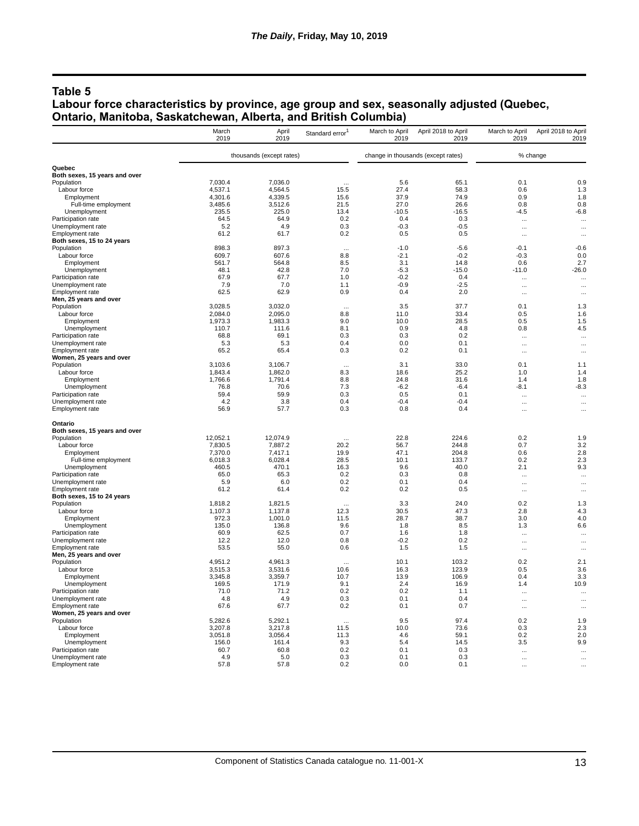## **Table 5**

#### **Labour force characteristics by province, age group and sex, seasonally adjusted (Quebec, Ontario, Manitoba, Saskatchewan, Alberta, and British Columbia)**

|                                             | March<br>2019      | April<br>2019            | Standard error <sup>1</sup> | March to April<br>2019 | April 2018 to April<br>2019        | March to April<br>2019 | April 2018 to April<br>2019 |
|---------------------------------------------|--------------------|--------------------------|-----------------------------|------------------------|------------------------------------|------------------------|-----------------------------|
|                                             |                    | thousands (except rates) |                             |                        | change in thousands (except rates) |                        | % change                    |
| Quebec                                      |                    |                          |                             |                        |                                    |                        |                             |
| Both sexes, 15 years and over               |                    |                          |                             |                        |                                    |                        |                             |
| Population                                  | 7,030.4            | 7,036.0                  |                             | 5.6                    | 65.1                               | 0.1                    | 0.9                         |
| Labour force                                | 4,537.1            | 4,564.5                  | 15.5                        | 27.4                   | 58.3                               | 0.6                    | 1.3                         |
| Employment                                  | 4,301.6            | 4,339.5                  | 15.6                        | 37.9                   | 74.9                               | 0.9                    | 1.8                         |
| Full-time employment                        | 3,485.6            | 3,512.6                  | 21.5                        | 27.0                   | 26.6                               | 0.8                    | 0.8                         |
| Unemployment<br>Participation rate          | 235.5<br>64.5      | 225.0<br>64.9            | 13.4<br>0.2                 | $-10.5$<br>0.4         | $-16.5$<br>0.3                     | $-4.5$                 | $-6.8$                      |
| Unemployment rate                           | 5.2                | 4.9                      | 0.3                         | $-0.3$                 | $-0.5$                             | $\cdots$               | $\cdots$<br>$\ddotsc$       |
| <b>Employment rate</b>                      | 61.2               | 61.7                     | 0.2                         | 0.5                    | 0.5                                | $\cdots$<br>$\cdots$   | $\cdots$                    |
| Both sexes, 15 to 24 years                  |                    |                          |                             |                        |                                    |                        |                             |
| Population                                  | 898.3              | 897.3                    | $\cdots$                    | $-1.0$                 | $-5.6$                             | $-0.1$                 | $-0.6$                      |
| Labour force                                | 609.7              | 607.6                    | 8.8                         | $-2.1$                 | $-0.2$                             | $-0.3$                 | 0.0                         |
| Employment                                  | 561.7              | 564.8                    | 8.5                         | 3.1                    | 14.8                               | 0.6                    | 2.7                         |
| Unemployment                                | 48.1               | 42.8                     | 7.0                         | -5.3                   | $-15.0$                            | $-11.0$                | $-26.0$                     |
| Participation rate                          | 67.9               | 67.7                     | 1.0                         | $-0.2$                 | 0.4                                | $\cdots$               | $\cdots$                    |
| Unemployment rate                           | 7.9                | 7.0                      | 1.1                         | $-0.9$                 | $-2.5$                             | $\cdots$               | $\cdots$                    |
| <b>Employment rate</b>                      | 62.5               | 62.9                     | 0.9                         | 0.4                    | 2.0                                | $\ddotsc$              | $\cdots$                    |
| Men, 25 years and over                      |                    |                          |                             |                        |                                    |                        |                             |
| Population<br>Labour force                  | 3,028.5<br>2,084.0 | 3,032.0<br>2,095.0       | $\cdots$<br>8.8             | 3.5<br>11.0            | 37.7<br>33.4                       | 0.1<br>0.5             | 1.3<br>1.6                  |
| Employment                                  | 1,973.3            | 1,983.3                  | 9.0                         | 10.0                   | 28.5                               | 0.5                    | 1.5                         |
| Unemployment                                | 110.7              | 111.6                    | 8.1                         | 0.9                    | 4.8                                | 0.8                    | 4.5                         |
| Participation rate                          | 68.8               | 69.1                     | 0.3                         | 0.3                    | 0.2                                | $\ddotsc$              | $\ddotsc$                   |
| Unemployment rate                           | 5.3                | 5.3                      | 0.4                         | 0.0                    | 0.1                                | $\ddotsc$              | $\ddotsc$                   |
| <b>Employment rate</b>                      | 65.2               | 65.4                     | 0.3                         | 0.2                    | 0.1                                | $\cdots$               | $\ddotsc$                   |
| Women, 25 years and over                    |                    |                          |                             |                        |                                    |                        |                             |
| Population                                  | 3,103.6            | 3,106.7                  | $\cdots$                    | 3.1                    | 33.0                               | 0.1                    | 1.1                         |
| Labour force                                | 1,843.4            | 1,862.0                  | 8.3                         | 18.6                   | 25.2                               | 1.0                    | 1.4                         |
| Employment                                  | 1,766.6            | 1,791.4                  | 8.8                         | 24.8                   | 31.6                               | 1.4                    | 1.8                         |
| Unemployment                                | 76.8               | 70.6                     | 7.3                         | $-6.2$                 | $-6.4$                             | $-8.1$                 | $-8.3$                      |
| Participation rate                          | 59.4               | 59.9                     | 0.3                         | 0.5                    | 0.1                                | $\cdots$               | $\cdots$                    |
| Unemployment rate<br><b>Employment</b> rate | 4.2<br>56.9        | 3.8<br>57.7              | 0.4<br>0.3                  | $-0.4$<br>0.8          | $-0.4$<br>0.4                      | $\cdots$<br>$\ddotsc$  | $\cdots$<br>$\cdots$        |
| Ontario                                     |                    |                          |                             |                        |                                    |                        |                             |
| Both sexes, 15 years and over               |                    |                          |                             |                        |                                    |                        |                             |
| Population                                  | 12,052.1           | 12,074.9                 | 20.2                        | 22.8                   | 224.6                              | 0.2                    | 1.9                         |
| Labour force<br>Employment                  | 7,830.5<br>7,370.0 | 7,887.2<br>7,417.1       | 19.9                        | 56.7<br>47.1           | 244.8<br>204.8                     | 0.7<br>0.6             | 3.2<br>2.8                  |
| Full-time employment                        | 6,018.3            | 6,028.4                  | 28.5                        | 10.1                   | 133.7                              | 0.2                    | 2.3                         |
| Unemployment                                | 460.5              | 470.1                    | 16.3                        | 9.6                    | 40.0                               | 2.1                    | 9.3                         |
| Participation rate                          | 65.0               | 65.3                     | 0.2                         | 0.3                    | 0.8                                | $\cdots$               | $\ddotsc$                   |
| Unemployment rate                           | 5.9                | 6.0                      | 0.2                         | 0.1                    | 0.4                                | $\cdots$               |                             |
| <b>Employment</b> rate                      | 61.2               | 61.4                     | 0.2                         | 0.2                    | 0.5                                | $\cdots$               | $\cdots$                    |
| Both sexes, 15 to 24 years                  |                    |                          |                             |                        |                                    |                        |                             |
| Population                                  | 1.818.2            | 1.821.5                  |                             | 3.3                    | 24.0                               | 0.2                    | 1.3                         |
| Labour force                                | 1,107.3            | 1,137.8                  | 12.3                        | 30.5                   | 47.3                               | 2.8                    | 4.3                         |
| Employment                                  | 972.3              | 1,001.0                  | 11.5                        | 28.7                   | 38.7                               | 3.0                    | 4.0                         |
| Unemployment<br>Participation rate          | 135.0<br>60.9      | 136.8<br>62.5            | 9.6<br>0.7                  | 1.8<br>1.6             | 8.5<br>1.8                         | 1.3                    | 6.6                         |
| Unemployment rate                           | 12.2               | 12.0                     | 0.8                         | $-0.2$                 | 0.2                                | $\cdots$               | $\ddotsc$                   |
| Employment rate                             | 53.5               | 55.0                     | 0.6                         | 1.5                    | 1.5                                | $\cdots$<br>$\cdots$   | <br>$\cdots$                |
| Men, 25 years and over                      |                    |                          |                             |                        |                                    |                        |                             |
| Population                                  | 4,951.2            | 4.961.3                  | $\cdots$                    | 10.1                   | 103.2                              | 0.2                    | 2.1                         |
| Labour force                                | 3.515.3            | 3.531.6                  | 10.6                        | 16.3                   | 123.9                              | 0.5                    | 3.6                         |
| Employment                                  | 3,345.8            | 3,359.7                  | 10.7                        | 13.9                   | 106.9                              | 0.4                    | 3.3                         |
| Unemployment                                | 169.5              | 171.9                    | 9.1                         | 2.4                    | 16.9                               | 1.4                    | 10.9                        |
| Participation rate                          | 71.0               | 71.2                     | 0.2                         | 0.2                    | 1.1                                | $\ddotsc$              | $\ddotsc$                   |
| Unemployment rate                           | 4.8                | 4.9                      | 0.3                         | 0.1                    | 0.4                                | $\cdots$               |                             |
| Employment rate                             | 67.6               | 67.7                     | 0.2                         | 0.1                    | 0.7                                | $\ddots$               | $\ddotsc$                   |
| Women, 25 years and over                    |                    | 5,292.1                  |                             | 9.5                    | 97.4                               | 0.2                    | 1.9                         |
| Population<br>Labour force                  | 5,282.6<br>3,207.8 | 3,217.8                  | $\ddotsc$<br>11.5           | 10.0                   | 73.6                               | 0.3                    | 2.3                         |
| Employment                                  | 3,051.8            | 3,056.4                  | 11.3                        | 4.6                    | 59.1                               | 0.2                    | 2.0                         |
| Unemployment                                | 156.0              | 161.4                    | 9.3                         | 5.4                    | 14.5                               | 3.5                    | 9.9                         |
| Participation rate                          | 60.7               | 60.8                     | 0.2                         | 0.1                    | 0.3                                |                        |                             |
| Unemployment rate                           | 4.9                | 5.0                      | 0.3                         | 0.1                    | 0.3                                | $\ddotsc$              |                             |
| Employment rate                             | 57.8               | 57.8                     | 0.2                         | 0.0                    | 0.1                                |                        |                             |
|                                             |                    |                          |                             |                        |                                    |                        |                             |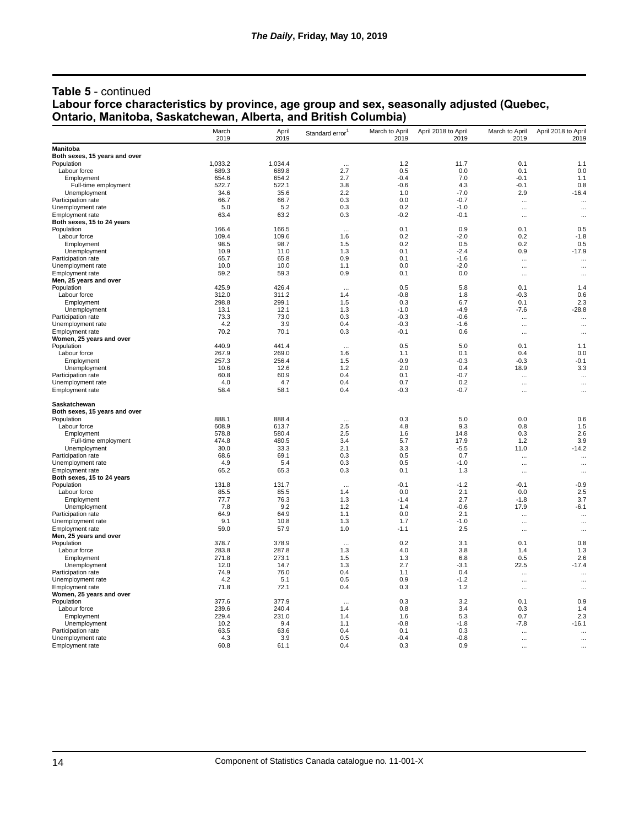#### **Table 5** - continued **Labour force characteristics by province, age group and sex, seasonally adjusted (Quebec, Ontario, Manitoba, Saskatchewan, Alberta, and British Columbia)**

|                                         | March<br>2019 | April<br>2019  | Standard error <sup>1</sup> | March to April<br>2019 | April 2018 to April<br>2019 | March to April<br>2019 | April 2018 to April<br>2019 |
|-----------------------------------------|---------------|----------------|-----------------------------|------------------------|-----------------------------|------------------------|-----------------------------|
| Manitoba                                |               |                |                             |                        |                             |                        |                             |
| Both sexes, 15 years and over           |               |                |                             |                        |                             |                        |                             |
| Population                              | 1,033.2       | 1,034.4        |                             | 1.2                    | 11.7                        | 0.1                    | 1.1                         |
| Labour force                            | 689.3         | 689.8          | 2.7                         | 0.5                    | 0.0                         | 0.1                    | 0.0                         |
| Employment                              | 654.6         | 654.2          | 2.7                         | $-0.4$                 | 7.0                         | $-0.1$                 | 1.1                         |
| Full-time employment                    | 522.7         | 522.1          | 3.8                         | $-0.6$                 | 4.3                         | $-0.1$                 | 0.8                         |
| Unemployment                            | 34.6          | 35.6           | 2.2                         | 1.0                    | $-7.0$                      | 2.9                    | $-16.4$                     |
| Participation rate                      | 66.7          | 66.7           | 0.3                         | 0.0                    | $-0.7$                      | $\cdots$               | $\cdots$                    |
| Unemployment rate<br>Employment rate    | 5.0<br>63.4   | 5.2<br>63.2    | 0.3<br>0.3                  | 0.2<br>$-0.2$          | $-1.0$<br>$-0.1$            | $\ddotsc$              | $\ddotsc$                   |
| Both sexes, 15 to 24 years              |               |                |                             |                        |                             | $\cdots$               | $\cdots$                    |
| Population                              | 166.4         | 166.5          | $\cdots$                    | 0.1                    | 0.9                         | 0.1                    | 0.5                         |
| Labour force                            | 109.4         | 109.6          | 1.6                         | 0.2                    | $-2.0$                      | 0.2                    | $-1.8$                      |
| Employment                              | 98.5          | 98.7           | 1.5                         | 0.2                    | 0.5                         | 0.2                    | 0.5                         |
| Unemployment                            | 10.9          | 11.0           | 1.3                         | 0.1                    | $-2.4$                      | 0.9                    | $-17.9$                     |
| Participation rate                      | 65.7          | 65.8           | 0.9                         | 0.1                    | $-1.6$                      | $\cdots$               | $\cdots$                    |
| Unemployment rate                       | 10.0          | 10.0           | 1.1                         | 0.0                    | $-2.0$                      | $\cdots$               | $\cdots$                    |
| <b>Employment rate</b>                  | 59.2          | 59.3           | 0.9                         | 0.1                    | 0.0                         | $\cdots$               |                             |
| Men, 25 years and over                  |               |                |                             |                        |                             |                        |                             |
| Population                              | 425.9         | 426.4          | $\cdots$                    | 0.5                    | 5.8                         | 0.1                    | 1.4                         |
| Labour force                            | 312.0         | 311.2          | 1.4                         | $-0.8$                 | 1.8                         | $-0.3$                 | 0.6                         |
| Employment                              | 298.8         | 299.1          | 1.5                         | 0.3                    | 6.7                         | 0.1                    | 2.3                         |
| Unemployment                            | 13.1          | 12.1           | 1.3                         | $-1.0$                 | $-4.9$                      | -7.6                   | $-28.8$                     |
| Participation rate                      | 73.3          | 73.0           | 0.3                         | $-0.3$                 | $-0.6$                      | $\ddot{\phantom{a}}$   | $\cdots$                    |
| Unemployment rate                       | 4.2           | 3.9            | 0.4                         | $-0.3$                 | $-1.6$                      | $\cdots$               | $\ldots$                    |
| Employment rate                         | 70.2          | 70.1           | 0.3                         | $-0.1$                 | 0.6                         | $\cdots$               |                             |
| Women, 25 years and over                |               |                |                             |                        |                             |                        |                             |
| Population                              | 440.9         | 441.4          | $\cdots$                    | 0.5                    | 5.0                         | 0.1                    | 1.1                         |
| Labour force                            | 267.9         | 269.0          | 1.6                         | 1.1                    | 0.1                         | 0.4                    | 0.0                         |
| Employment                              | 257.3         | 256.4          | 1.5                         | $-0.9$                 | $-0.3$                      | $-0.3$                 | $-0.1$                      |
| Unemployment                            | 10.6          | 12.6           | 1.2                         | 2.0                    | 0.4                         | 18.9                   | 3.3                         |
| Participation rate                      | 60.8          | 60.9           | 0.4                         | 0.1                    | $-0.7$                      | $\cdots$               | $\ddotsc$                   |
| Unemployment rate                       | 4.0<br>58.4   | 4.7<br>58.1    | 0.4<br>0.4                  | 0.7<br>$-0.3$          | 0.2<br>$-0.7$               |                        | $\ldots$                    |
| Employment rate                         |               |                |                             |                        |                             | $\cdots$               |                             |
| Saskatchewan                            |               |                |                             |                        |                             |                        |                             |
| Both sexes, 15 years and over           | 888.1         |                |                             |                        |                             |                        |                             |
| Population<br>Labour force              | 608.9         | 888.4<br>613.7 | $\ddotsc$<br>2.5            | 0.3<br>4.8             | 5.0<br>9.3                  | 0.0<br>0.8             | 0.6<br>1.5                  |
| Employment                              | 578.8         | 580.4          | 2.5                         | 1.6                    | 14.8                        | 0.3                    | 2.6                         |
| Full-time employment                    | 474.8         | 480.5          | 3.4                         | 5.7                    | 17.9                        | 1.2                    | 3.9                         |
| Unemployment                            | 30.0          | 33.3           | 2.1                         | 3.3                    | $-5.5$                      | 11.0                   | $-14.2$                     |
| Participation rate                      | 68.6          | 69.1           | 0.3                         | 0.5                    | 0.7                         |                        |                             |
| Unemployment rate                       | 4.9           | 5.4            | 0.3                         | 0.5                    | -1.0                        | $\cdots$<br>$\cdots$   | $\cdots$<br>$\cdots$        |
| Employment rate                         | 65.2          | 65.3           | 0.3                         | 0.1                    | 1.3                         | $\ddotsc$              | $\cdots$                    |
| Both sexes, 15 to 24 years              |               |                |                             |                        |                             |                        |                             |
| Population                              | 131.8         | 131.7          | $\ddotsc$                   | $-0.1$                 | $-1.2$                      | $-0.1$                 | $-0.9$                      |
| Labour force                            | 85.5          | 85.5           | 1.4                         | 0.0                    | 2.1                         | 0.0                    | 2.5                         |
| Employment                              | 77.7          | 76.3           | 1.3                         | $-1.4$                 | 2.7                         | $-1.8$                 | 3.7                         |
| Unemployment                            | 7.8           | 9.2            | 1.2                         | 1.4                    | $-0.6$                      | 17.9                   | $-6.1$                      |
| Participation rate                      | 64.9          | 64.9           | 1.1                         | 0.0                    | 2.1                         | $\cdots$               | $\cdots$                    |
| Unemployment rate                       | 9.1           | 10.8           | 1.3                         | 1.7                    | $-1.0$                      | $\cdots$               | $\cdots$                    |
| Employment rate                         | 59.0          | 57.9           | 1.0                         | $-1.1$                 | 2.5                         | $\cdots$               | $\cdots$                    |
| Men, 25 years and over                  |               |                |                             |                        |                             |                        |                             |
| Population                              | 378.7         | 378.9          |                             | 0.2                    | 3.1                         | 0.1                    | 0.8                         |
| Labour force                            | 283.8         | 287.8          | 1.3                         | 4.0                    | 3.8                         | 1.4                    | 1.3                         |
| Employment                              | 271.8         | 273.1          | 1.5                         | 1.3                    | 6.8                         | 0.5                    | 2.6                         |
| Unemployment                            | 12.0          | 14.7           | 1.3                         | 2.7                    | $-3.1$                      | 22.5                   | $-17.4$                     |
| Participation rate                      | 74.9          | 76.0           | 0.4                         | 1.1                    | 0.4                         | $\cdots$               | $\cdots$                    |
| Unemployment rate                       | 4.2           | 5.1            | 0.5                         | 0.9                    | $-1.2$                      | $\cdots$               | $\cdots$                    |
| Employment rate                         | 71.8          | 72.1           | 0.4                         | 0.3                    | 1.2                         |                        |                             |
| Women, 25 years and over                |               |                |                             |                        |                             |                        |                             |
| Population                              | 377.6         | 377.9          | $\cdots$                    | 0.3                    | 3.2                         | 0.1                    | 0.9                         |
| Labour force                            | 239.6         | 240.4          | 1.4                         | 0.8                    | 3.4                         | 0.3                    | 1.4                         |
| Employment                              | 229.4         | 231.0          | 1.4                         | 1.6                    | 5.3                         | 0.7                    | 2.3                         |
| Unemployment                            | 10.2          | 9.4            | 1.1                         | $-0.8$                 | -1.8                        | -7.8                   | $-16.1$                     |
| Participation rate<br>Unemployment rate | 63.5<br>4.3   | 63.6<br>3.9    | 0.4<br>0.5                  | 0.1<br>$-0.4$          | 0.3<br>$-0.8$               | $\ddotsc$              | $\ddotsc$                   |
|                                         | 60.8          | 61.1           | 0.4                         | 0.3                    | 0.9                         | $\cdots$               | $\ddotsc$                   |
| Employment rate                         |               |                |                             |                        |                             | $\ddotsc$              |                             |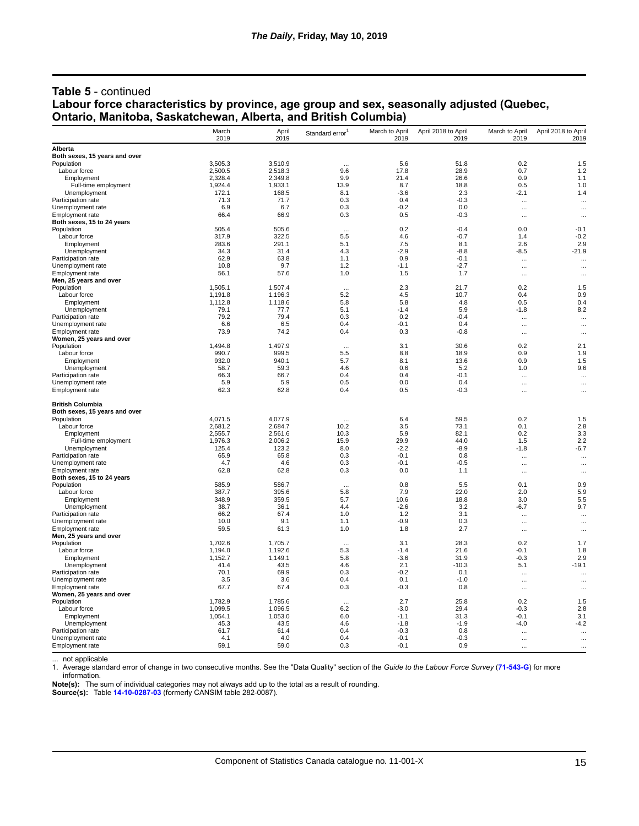#### **Table 5** - continued **Labour force characteristics by province, age group and sex, seasonally adjusted (Quebec, Ontario, Manitoba, Saskatchewan, Alberta, and British Columbia)**

|                                             | March          | April<br>2019  | Standard error <sup>1</sup> | March to April | April 2018 to April | March to April | April 2018 to April    |
|---------------------------------------------|----------------|----------------|-----------------------------|----------------|---------------------|----------------|------------------------|
| Alberta                                     | 2019           |                |                             | 2019           | 2019                | 2019           | 2019                   |
| Both sexes, 15 years and over               |                |                |                             |                |                     |                |                        |
| Population                                  | 3,505.3        | 3,510.9        | $\cdots$                    | 5.6            | 51.8                | 0.2            | 1.5                    |
| Labour force                                | 2,500.5        | 2,518.3        | 9.6                         | 17.8           | 28.9                | 0.7            | 1.2                    |
| Employment                                  | 2,328.4        | 2,349.8        | 9.9                         | 21.4           | 26.6                | 0.9            | 1.1                    |
| Full-time employment                        | 1,924.4        | 1,933.1        | 13.9                        | 8.7            | 18.8                | 0.5            | 1.0                    |
| Unemployment                                | 172.1          | 168.5          | 8.1                         | $-3.6$         | 2.3                 | $-2.1$         | 1.4                    |
| Participation rate                          | 71.3           | 71.7           | 0.3                         | 0.4            | $-0.3$              | $\ddotsc$      | $\ddotsc$              |
| Unemployment rate                           | 6.9            | 6.7            | 0.3                         | $-0.2$         | 0.0                 |                |                        |
| <b>Employment</b> rate                      | 66.4           | 66.9           | 0.3                         | 0.5            | $-0.3$              | $\cdots$       | $\ddotsc$              |
| Both sexes, 15 to 24 years                  |                |                |                             |                |                     |                |                        |
| Population                                  | 505.4          | 505.6          | $\ddotsc$                   | 0.2            | $-0.4$              | 0.0            | $-0.1$                 |
| Labour force<br>Employment                  | 317.9<br>283.6 | 322.5<br>291.1 | 5.5<br>5.1                  | 4.6<br>7.5     | $-0.7$<br>8.1       | 1.4<br>2.6     | $-0.2$<br>2.9          |
| Unemployment                                | 34.3           | 31.4           | 4.3                         | $-2.9$         | $-8.8$              | $-8.5$         | $-21.9$                |
| Participation rate                          | 62.9           | 63.8           | 1.1                         | 0.9            | $-0.1$              |                |                        |
| Unemployment rate                           | 10.8           | 9.7            | 1.2                         | $-1.1$         | $-2.7$              | <br>$\ddots$   | <br>$\cdots$           |
| Employment rate                             | 56.1           | 57.6           | 1.0                         | 1.5            | 1.7                 | $\ddots$       | $\cdots$               |
| Men, 25 years and over                      |                |                |                             |                |                     |                |                        |
| Population                                  | 1,505.1        | 1,507.4        | $\ddotsc$                   | 2.3            | 21.7                | 0.2            | 1.5                    |
| Labour force                                | 1,191.8        | 1,196.3        | 5.2                         | 4.5            | 10.7                | 0.4            | 0.9                    |
| Employment                                  | 1.112.8        | 1.118.6        | 5.8                         | 5.8            | 4.8                 | 0.5            | 0.4                    |
| Unemployment                                | 79.1           | 77.7           | 5.1                         | $-1.4$         | 5.9                 | $-1.8$         | 8.2                    |
| Participation rate                          | 79.2           | 79.4           | 0.3                         | 0.2            | $-0.4$              |                | $\ddotsc$              |
| Unemployment rate                           | 6.6            | 6.5            | 0.4                         | $-0.1$         | 0.4                 | $\cdots$       | $\cdots$               |
| Employment rate                             | 73.9           | 74.2           | 0.4                         | 0.3            | $-0.8$              | $\cdots$       | $\cdots$               |
| Women, 25 years and over                    |                |                |                             |                |                     |                |                        |
| Population                                  | 1,494.8        | 1,497.9        |                             | 3.1            | 30.6                | 0.2            | 2.1                    |
| Labour force                                | 990.7          | 999.5          | 5.5                         | 8.8            | 18.9                | 0.9            | 1.9                    |
| Employment                                  | 932.0<br>58.7  | 940.1<br>59.3  | 5.7<br>4.6                  | 8.1<br>0.6     | 13.6<br>5.2         | 0.9            | 1.5<br>9.6             |
| Unemployment<br>Participation rate          | 66.3           | 66.7           | 0.4                         | 0.4            | $-0.1$              | 1.0            |                        |
| Unemployment rate                           | 5.9            | 5.9            | 0.5                         | 0.0            | 0.4                 | $\cdots$       | $\ddotsc$<br>$\ddotsc$ |
| Employment rate                             | 62.3           | 62.8           | 0.4                         | 0.5            | $-0.3$              | <br>$\ddotsc$  | $\ddotsc$              |
| <b>British Columbia</b>                     |                |                |                             |                |                     |                |                        |
| Both sexes, 15 years and over               |                |                |                             |                |                     |                |                        |
| Population                                  | 4,071.5        | 4,077.9        |                             | 6.4            | 59.5                | 0.2            | 1.5                    |
| Labour force                                | 2,681.2        | 2,684.7        | 10.2                        | 3.5            | 73.1                | 0.1            | 2.8                    |
| Employment                                  | 2,555.7        | 2,561.6        | 10.3                        | 5.9            | 82.1                | 0.2            | 3.3                    |
| Full-time employment                        | 1,976.3        | 2,006.2        | 15.9                        | 29.9           | 44.0                | 1.5            | 2.2                    |
| Unemployment                                | 125.4          | 123.2          | 8.0                         | $-2.2$         | $-8.9$              | $-1.8$         | $-6.7$                 |
| Participation rate                          | 65.9           | 65.8           | 0.3                         | $-0.1$         | 0.8                 |                | $\cdots$               |
| Unemployment rate<br>Employment rate        | 4.7<br>62.8    | 4.6<br>62.8    | 0.3<br>0.3                  | $-0.1$<br>0.0  | $-0.5$<br>1.1       | $\ddots$       | $\cdots$               |
| Both sexes, 15 to 24 years                  |                |                |                             |                |                     | $\ddots$       | $\cdots$               |
| Population                                  | 585.9          | 586.7          | $\cdots$                    | 0.8            | 5.5                 | 0.1            | 0.9                    |
| Labour force                                | 387.7          | 395.6          | 5.8                         | 7.9            | 22.0                | 2.0            | 5.9                    |
| Employment                                  | 348.9          | 359.5          | 5.7                         | 10.6           | 18.8                | 3.0            | 5.5                    |
| Unemployment                                | 38.7           | 36.1           | 4.4                         | $-2.6$         | 3.2                 | $-6.7$         | 9.7                    |
| Participation rate                          | 66.2           | 67.4           | 1.0                         | 1.2            | 3.1                 | $\ddotsc$      |                        |
| Unemployment rate                           | 10.0           | 9.1            | 1.1                         | $-0.9$         | 0.3                 | $\ddots$       |                        |
| Employment rate                             | 59.5           | 61.3           | 1.0                         | 1.8            | 2.7                 | $\ddots$       |                        |
| Men, 25 years and over                      |                |                |                             |                |                     |                |                        |
| Population                                  | 1,702.6        | 1,705.7        | $\ddotsc$                   | 3.1            | 28.3                | 0.2            | 1.7                    |
| Labour force                                | 1,194.0        | 1,192.6        | 5.3                         | -1.4           | 21.6                | $-0.1$         | 1.8                    |
| Employment                                  | 1,152.7        | 1,149.1        | 5.8                         | $-3.6$         | 31.9                | $-0.3$         | 2.9                    |
| Unemployment                                | 41.4           | 43.5           | 4.6                         | 2.1            | $-10.3$             | 5.1            | $-19.1$                |
| Participation rate                          | 70.1           | 69.9           | 0.3                         | $-0.2$         | 0.1                 | $\ldots$       |                        |
| Unemployment rate                           | 3.5            | 3.6            | 0.4                         | 0.1            | $-1.0$              | $\ddotsc$      | $\ldots$               |
| Employment rate<br>Women, 25 years and over | 67.7           | 67.4           | 0.3                         | $-0.3$         | 0.8                 | $\cdots$       | $\cdots$               |
| Population                                  | 1,782.9        | 1,785.6        |                             | 2.7            | 25.8                | 0.2            | 1.5                    |
| Labour force                                | 1,099.5        | 1,096.5        | $\ddotsc$<br>6.2            | $-3.0$         | 29.4                | $-0.3$         | 2.8                    |
| Employment                                  | 1,054.1        | 1,053.0        | 6.0                         | $-1.1$         | 31.3                | $-0.1$         | 3.1                    |
| Unemployment                                | 45.3           | 43.5           | 4.6                         | $-1.8$         | $-1.9$              | $-4.0$         | $-4.2$                 |
| Participation rate                          | 61.7           | 61.4           | 0.4                         | $-0.3$         | 0.8                 |                | $\ddotsc$              |
| Unemployment rate                           | 4.1            | 4.0            | 0.4                         | $-0.1$         | $-0.3$              | $\ddotsc$      |                        |
| Employment rate                             | 59.1           | 59.0           | 0.3                         | $-0.1$         | 0.9                 | $\ddotsc$      | $\ddotsc$              |
|                                             |                |                |                             |                |                     |                |                        |

not applicable

1. Average standard error of change in two consecutive months. See the "Data Quality" section of the *Guide to the Labour Force Survey* (**[71-543-G](https://www150.statcan.gc.ca/en/catalogue/71-543-G)**) for more information.

**Note(s):** The sum of individual categories may not always add up to the total as a result of rounding.

**Source(s):** Table **[14-10-0287-03](https://www150.statcan.gc.ca/t1/tbl1/en/tv.action?pid=1410028703)** (formerly CANSIM table 282-0087).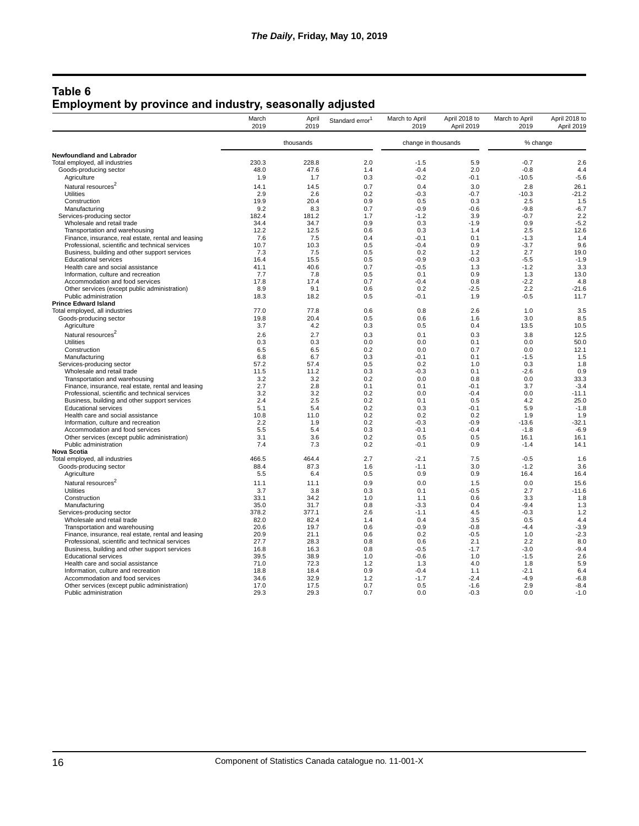## **Table 6 Employment by province and industry, seasonally adjusted**

|                                                                              | March<br>2019 | April<br>2019 | Standard error <sup>1</sup> | March to April<br>2019 | April 2018 to<br>April 2019 | March to April<br>2019 | April 2018 to<br>April 2019 |
|------------------------------------------------------------------------------|---------------|---------------|-----------------------------|------------------------|-----------------------------|------------------------|-----------------------------|
|                                                                              |               | thousands     |                             | change in thousands    |                             | % change               |                             |
| Newfoundland and Labrador                                                    |               |               |                             |                        |                             |                        |                             |
| Total employed, all industries                                               | 230.3         | 228.8         | 2.0                         | $-1.5$                 | 5.9                         | $-0.7$                 | 2.6                         |
| Goods-producing sector                                                       | 48.0          | 47.6          | 1.4                         | $-0.4$                 | 2.0                         | $-0.8$                 | 4.4                         |
| Agriculture                                                                  | 1.9           | 1.7           | 0.3                         | $-0.2$                 | $-0.1$                      | $-10.5$                | $-5.6$                      |
| Natural resources <sup>2</sup>                                               | 14.1          | 14.5          | 0.7                         | 0.4                    | 3.0                         | 2.8                    | 26.1                        |
| <b>Utilities</b>                                                             | 2.9           | 2.6           | 0.2                         | $-0.3$                 | $-0.7$                      | $-10.3$                | $-21.2$                     |
| Construction                                                                 | 19.9          | 20.4          | 0.9                         | 0.5                    | 0.3                         | 2.5                    | 1.5                         |
| Manufacturing                                                                | 9.2           | 8.3           | 0.7                         | $-0.9$                 | $-0.6$                      | $-9.8$                 | $-6.7$                      |
| Services-producing sector                                                    | 182.4         | 181.2         | 1.7                         | $-1.2$                 | 3.9                         | $-0.7$                 | 2.2                         |
| Wholesale and retail trade                                                   | 34.4          | 34.7          | 0.9                         | 0.3                    | $-1.9$                      | 0.9                    | $-5.2$                      |
| Transportation and warehousing                                               | 12.2          | 12.5          | 0.6                         | 0.3                    | 1.4                         | 2.5                    | 12.6                        |
| Finance, insurance, real estate, rental and leasing                          | 7.6           | 7.5           | 0.4                         | $-0.1$                 | 0.1                         | $-1.3$                 | 1.4                         |
| Professional, scientific and technical services                              | 10.7          | 10.3          | 0.5                         | $-0.4$                 | 0.9                         | $-3.7$                 | 9.6                         |
| Business, building and other support services                                | 7.3           | 7.5           | 0.5                         | 0.2                    | 1.2                         | 2.7                    | 19.0                        |
| <b>Educational services</b>                                                  | 16.4          | 15.5          | 0.5                         | $-0.9$                 | $-0.3$                      | $-5.5$                 | $-1.9$                      |
| Health care and social assistance                                            | 41.1          | 40.6          | 0.7                         | $-0.5$                 | 1.3                         | $-1.2$                 | 3.3                         |
| Information, culture and recreation                                          | 7.7           | 7.8           | 0.5                         | 0.1                    | 0.9                         | 1.3                    | 13.0                        |
| Accommodation and food services                                              | 17.8          | 17.4          | 0.7                         | $-0.4$                 | 0.8                         | $-2.2$                 | 4.8                         |
| Other services (except public administration)                                | 8.9           | 9.1           | 0.6                         | 0.2                    | $-2.5$                      | 2.2                    | $-21.6$                     |
| Public administration                                                        | 18.3          | 18.2          | 0.5                         | $-0.1$                 | 1.9                         | $-0.5$                 | 11.7                        |
| <b>Prince Edward Island</b>                                                  |               |               |                             |                        |                             |                        |                             |
| Total employed, all industries                                               | 77.0          | 77.8          | 0.6                         | 0.8                    | 2.6                         | 1.0                    | 3.5                         |
| Goods-producing sector                                                       | 19.8          | 20.4          | 0.5                         | 0.6                    | 1.6                         | 3.0                    | 8.5                         |
| Agriculture                                                                  | 3.7           | 4.2           | 0.3                         | 0.5                    | 0.4                         | 13.5                   | 10.5                        |
| Natural resources <sup>2</sup>                                               | 2.6           | 2.7           | 0.3                         | 0.1                    | 0.3                         | 3.8                    | 12.5                        |
| <b>Utilities</b>                                                             | 0.3           | 0.3           | 0.0                         | 0.0                    | 0.1                         | 0.0                    | 50.0                        |
| Construction                                                                 | 6.5           | 6.5           | 0.2                         | 0.0                    | 0.7                         | 0.0                    | 12.1                        |
| Manufacturing                                                                | 6.8           | 6.7           | 0.3                         | $-0.1$                 | 0.1                         | $-1.5$                 | 1.5                         |
| Services-producing sector                                                    | 57.2          | 57.4          | 0.5                         | 0.2                    | 1.0                         | 0.3                    | 1.8                         |
| Wholesale and retail trade                                                   | 11.5          | 11.2          | 0.3                         | $-0.3$                 | 0.1                         | $-2.6$                 | 0.9                         |
| Transportation and warehousing                                               | 3.2           | 3.2           | 0.2                         | 0.0                    | 0.8                         | 0.0                    | 33.3                        |
| Finance, insurance, real estate, rental and leasing                          | 2.7           | 2.8           | 0.1                         | 0.1                    | $-0.1$                      | 3.7                    | $-3.4$                      |
| Professional, scientific and technical services                              | 3.2           | 3.2           | 0.2                         | 0.0                    | $-0.4$                      | 0.0                    | $-11.1$                     |
| Business, building and other support services                                | 2.4           | 2.5           | 0.2                         | 0.1                    | 0.5                         | 4.2                    | 25.0                        |
| <b>Educational services</b>                                                  | 5.1           | 5.4           | 0.2                         | 0.3                    | $-0.1$                      | 5.9                    | $-1.8$                      |
| Health care and social assistance                                            | 10.8          | 11.0          | 0.2                         | 0.2                    | 0.2                         | 1.9                    | 1.9                         |
| Information, culture and recreation                                          | 2.2           | 1.9           | 0.2                         | $-0.3$                 | $-0.9$                      | $-13.6$                | $-32.1$                     |
| Accommodation and food services                                              | 5.5           | 5.4           | 0.3                         | $-0.1$                 | $-0.4$                      | $-1.8$                 | $-6.9$                      |
| Other services (except public administration)                                | 3.1           | 3.6           | 0.2                         | 0.5                    | 0.5                         | 16.1                   | 16.1                        |
| Public administration                                                        | 7.4           | 7.3           | 0.2                         | $-0.1$                 | 0.9                         | $-1.4$                 | 14.1                        |
| <b>Nova Scotia</b>                                                           | 466.5         |               | 2.7                         | $-2.1$                 |                             | $-0.5$                 |                             |
| Total employed, all industries                                               | 88.4          | 464.4<br>87.3 |                             |                        | 7.5<br>3.0                  | $-1.2$                 | 1.6<br>3.6                  |
| Goods-producing sector<br>Agriculture                                        | 5.5           | 6.4           | 1.6<br>0.5                  | $-1.1$<br>0.9          | 0.9                         | 16.4                   | 16.4                        |
|                                                                              |               |               |                             |                        |                             |                        |                             |
| Natural resources <sup>2</sup>                                               | 11.1          | 11.1          | 0.9                         | 0.0                    | 1.5                         | 0.0                    | 15.6                        |
| <b>Utilities</b>                                                             | 3.7           | 3.8           | 0.3                         | 0.1                    | $-0.5$                      | 2.7                    | $-11.6$                     |
| Construction                                                                 | 33.1          | 34.2          | 1.0                         | 1.1                    | 0.6                         | 3.3                    | 1.8                         |
| Manufacturing                                                                | 35.0          | 31.7          | 0.8                         | $-3.3$                 | 0.4                         | $-9.4$                 | 1.3                         |
| Services-producing sector                                                    | 378.2         | 377.1         | 2.6                         | $-1.1$                 | 4.5                         | $-0.3$                 | 1.2                         |
| Wholesale and retail trade                                                   | 82.0          | 82.4          | 1.4                         | 0.4                    | 3.5                         | 0.5                    | 4.4                         |
| Transportation and warehousing                                               | 20.6          | 19.7          | 0.6                         | $-0.9$                 | $-0.8$                      | $-4.4$                 | $-3.9$                      |
| Finance, insurance, real estate, rental and leasing                          | 20.9<br>27.7  | 21.1          | 0.6<br>0.8                  | 0.2<br>0.6             | $-0.5$                      | 1.0<br>2.2             | $-2.3$                      |
| Professional, scientific and technical services                              |               | 28.3          |                             |                        | 2.1                         |                        | 8.0                         |
| Business, building and other support services<br><b>Educational services</b> | 16.8<br>39.5  | 16.3<br>38.9  | 0.8<br>1.0                  | $-0.5$<br>$-0.6$       | $-1.7$<br>1.0               | $-3.0$<br>$-1.5$       | $-9.4$<br>2.6               |
|                                                                              | 71.0          | 72.3          | 1.2                         | 1.3                    | 4.0                         | 1.8                    | 5.9                         |
| Health care and social assistance                                            | 18.8          | 18.4          | 0.9                         | $-0.4$                 | 1.1                         | $-2.1$                 | 6.4                         |
| Information, culture and recreation<br>Accommodation and food services       | 34.6          | 32.9          | 1.2                         | $-1.7$                 | $-2.4$                      | $-4.9$                 | $-6.8$                      |
| Other services (except public administration)                                | 17.0          | 17.5          | 0.7                         | 0.5                    | $-1.6$                      | 2.9                    | $-8.4$                      |
| Public administration                                                        | 29.3          | 29.3          | 0.7                         | 0.0                    | $-0.3$                      | 0.0                    | $-1.0$                      |
|                                                                              |               |               |                             |                        |                             |                        |                             |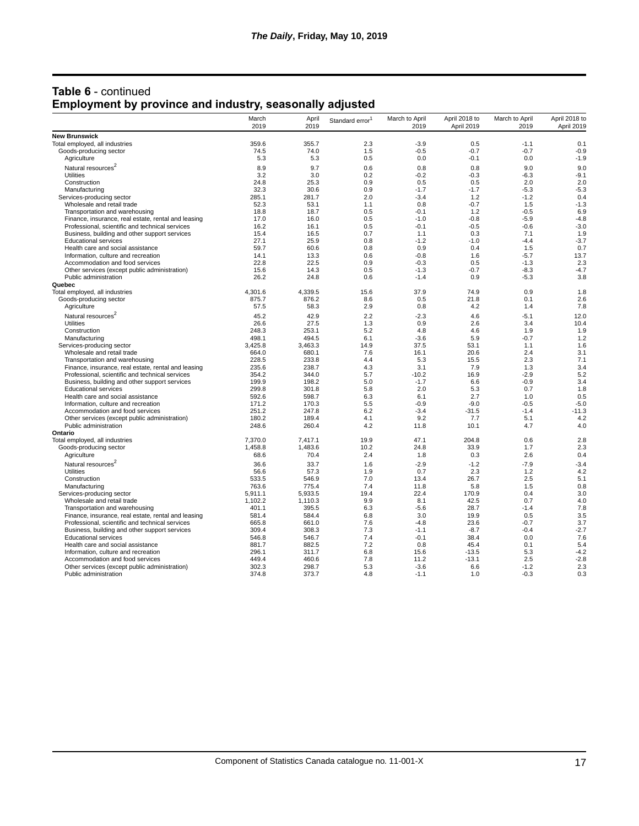| <b>Table 6 - continued</b>                                      |  |
|-----------------------------------------------------------------|--|
| <b>Employment by province and industry, seasonally adjusted</b> |  |

|                                                                                                        | March<br>2019  | April<br>2019  | Standard error <sup>1</sup> | March to April<br>2019 | April 2018 to<br>April 2019 | March to April<br>2019 | April 2018 to<br>April 2019 |
|--------------------------------------------------------------------------------------------------------|----------------|----------------|-----------------------------|------------------------|-----------------------------|------------------------|-----------------------------|
| <b>New Brunswick</b>                                                                                   |                |                |                             |                        |                             |                        |                             |
| Total employed, all industries                                                                         | 359.6          | 355.7          | 2.3                         | $-3.9$                 | 0.5                         | $-1.1$                 | 0.1                         |
| Goods-producing sector                                                                                 | 74.5           | 74.0           | 1.5                         | $-0.5$                 | $-0.7$                      | $-0.7$                 | $-0.9$                      |
| Agriculture                                                                                            | 5.3            | 5.3            | 0.5                         | 0.0                    | $-0.1$                      | 0.0                    | $-1.9$                      |
| Natural resources <sup>2</sup>                                                                         | 8.9            | 9.7            | 0.6                         | 0.8                    | 0.8                         | 9.0                    | 9.0                         |
| <b>Utilities</b>                                                                                       | 3.2            | 3.0            | 0.2                         | $-0.2$                 | $-0.3$                      | $-6.3$                 | $-9.1$                      |
| Construction                                                                                           | 24.8           | 25.3           | 0.9                         | 0.5                    | 0.5                         | 2.0                    | 2.0                         |
| Manufacturing                                                                                          | 32.3           | 30.6           | 0.9                         | $-1.7$                 | $-1.7$                      | $-5.3$                 | $-5.3$                      |
| Services-producing sector                                                                              | 285.1          | 281.7          | 2.0                         | $-3.4$                 | 1.2                         | $-1.2$                 | 0.4                         |
| Wholesale and retail trade                                                                             | 52.3           | 53.1           | 1.1                         | 0.8                    | $-0.7$                      | 1.5                    | $-1.3$                      |
| Transportation and warehousing                                                                         | 18.8           | 18.7           | 0.5                         | $-0.1$                 | 1.2                         | $-0.5$                 | 6.9                         |
| Finance, insurance, real estate, rental and leasing                                                    | 17.0           | 16.0           | 0.5                         | $-1.0$                 | $-0.8$                      | $-5.9$                 | $-4.8$                      |
| Professional, scientific and technical services                                                        | 16.2           | 16.1           | 0.5                         | $-0.1$                 | $-0.5$                      | $-0.6$                 | $-3.0$                      |
| Business, building and other support services                                                          | 15.4           | 16.5           | 0.7                         | 1.1                    | 0.3                         | 7.1                    | 1.9                         |
| <b>Educational services</b>                                                                            | 27.1           | 25.9           | 0.8                         | $-1.2$                 | $-1.0$                      | $-4.4$                 | $-3.7$                      |
| Health care and social assistance                                                                      | 59.7           | 60.6           | 0.8                         | 0.9                    | 0.4                         | 1.5                    | 0.7                         |
| Information, culture and recreation                                                                    | 14.1           | 13.3           | 0.6                         | $-0.8$                 | 1.6                         | $-5.7$                 | 13.7                        |
| Accommodation and food services                                                                        | 22.8           | 22.5           | 0.9                         | $-0.3$                 | 0.5                         | $-1.3$                 | 2.3                         |
| Other services (except public administration)                                                          | 15.6           | 14.3           | 0.5                         | $-1.3$                 | $-0.7$                      | $-8.3$                 | $-4.7$                      |
| Public administration                                                                                  | 26.2           | 24.8           | 0.6                         | $-1.4$                 | 0.9                         | $-5.3$                 | 3.8                         |
| Quebec                                                                                                 |                |                |                             |                        |                             |                        |                             |
| Total employed, all industries                                                                         | 4,301.6        | 4,339.5        | 15.6                        | 37.9                   | 74.9                        | 0.9                    | 1.8                         |
| Goods-producing sector                                                                                 | 875.7          | 876.2          | 8.6                         | 0.5                    | 21.8                        | 0.1                    | 2.6                         |
| Agriculture                                                                                            | 57.5           | 58.3           | 2.9                         | 0.8                    | 4.2                         | 1.4                    | 7.8                         |
| Natural resources <sup>2</sup>                                                                         | 45.2           | 42.9           | 2.2                         | $-2.3$                 | 4.6                         | $-5.1$                 | 12.0                        |
| <b>Utilities</b>                                                                                       | 26.6           | 27.5           | 1.3                         | 0.9                    | 2.6                         | 3.4                    | 10.4                        |
| Construction                                                                                           | 248.3          | 253.1          | 5.2                         | 4.8                    | 4.6                         | 1.9                    | 1.9                         |
| Manufacturing                                                                                          | 498.1          | 494.5          | 6.1                         | $-3.6$                 | 5.9                         | $-0.7$                 | 1.2                         |
| Services-producing sector                                                                              | 3,425.8        | 3,463.3        | 14.9                        | 37.5                   | 53.1                        | 1.1                    | 1.6                         |
| Wholesale and retail trade                                                                             | 664.0          | 680.1          | 7.6                         | 16.1                   | 20.6                        | 2.4                    | 3.1                         |
| Transportation and warehousing                                                                         | 228.5          | 233.8<br>238.7 | 4.4                         | 5.3<br>3.1             | 15.5<br>7.9                 | 2.3<br>1.3             | 7.1                         |
| Finance, insurance, real estate, rental and leasing<br>Professional, scientific and technical services | 235.6<br>354.2 | 344.0          | 4.3<br>5.7                  | $-10.2$                | 16.9                        | $-2.9$                 | 3.4<br>5.2                  |
| Business, building and other support services                                                          | 199.9          | 198.2          | 5.0                         | $-1.7$                 | 6.6                         | $-0.9$                 | 3.4                         |
| <b>Educational services</b>                                                                            | 299.8          | 301.8          | 5.8                         | 2.0                    | 5.3                         | 0.7                    | 1.8                         |
| Health care and social assistance                                                                      | 592.6          | 598.7          | 6.3                         | 6.1                    | 2.7                         | 1.0                    | 0.5                         |
| Information, culture and recreation                                                                    | 171.2          | 170.3          | 5.5                         | $-0.9$                 | $-9.0$                      | $-0.5$                 | $-5.0$                      |
| Accommodation and food services                                                                        | 251.2          | 247.8          | 6.2                         | $-3.4$                 | $-31.5$                     | $-1.4$                 | $-11.3$                     |
| Other services (except public administration)                                                          | 180.2          | 189.4          | 4.1                         | 9.2                    | 7.7                         | 5.1                    | 4.2                         |
| Public administration                                                                                  | 248.6          | 260.4          | 4.2                         | 11.8                   | 10.1                        | 4.7                    | 4.0                         |
| Ontario                                                                                                |                |                |                             |                        |                             |                        |                             |
| Total employed, all industries                                                                         | 7.370.0        | 7.417.1        | 19.9                        | 47.1                   | 204.8                       | 0.6                    | 2.8                         |
| Goods-producing sector                                                                                 | 1,458.8        | 1,483.6        | 10.2                        | 24.8                   | 33.9                        | 1.7                    | 2.3                         |
| Agriculture                                                                                            | 68.6           | 70.4           | 2.4                         | 1.8                    | 0.3                         | 2.6                    | 0.4                         |
| Natural resources <sup>2</sup>                                                                         | 36.6           | 33.7           | 1.6                         | $-2.9$                 | $-1.2$                      | $-7.9$                 | $-3.4$                      |
| <b>Utilities</b>                                                                                       | 56.6           | 57.3           | 1.9                         | 0.7                    | 2.3                         | 1.2                    | 4.2                         |
| Construction                                                                                           | 533.5          | 546.9          | 7.0                         | 13.4                   | 26.7                        | 2.5                    | 5.1                         |
| Manufacturing                                                                                          | 763.6          | 775.4          | 7.4                         | 11.8                   | 5.8                         | 1.5                    | 0.8                         |
| Services-producing sector                                                                              | 5,911.1        | 5,933.5        | 19.4                        | 22.4                   | 170.9                       | 0.4                    | 3.0                         |
| Wholesale and retail trade                                                                             | 1,102.2        | 1,110.3        | 9.9                         | 8.1                    | 42.5                        | 0.7                    | 4.0                         |
| Transportation and warehousing                                                                         | 401.1          | 395.5          | 6.3                         | $-5.6$                 | 28.7                        | $-1.4$                 | 7.8                         |
| Finance, insurance, real estate, rental and leasing                                                    | 581.4          | 584.4          | 6.8                         | 3.0                    | 19.9                        | 0.5                    | 3.5                         |
| Professional, scientific and technical services                                                        | 665.8          | 661.0          | 7.6                         | $-4.8$                 | 23.6                        | $-0.7$                 | 3.7                         |
| Business, building and other support services                                                          | 309.4          | 308.3          | 7.3                         | $-1.1$                 | $-8.7$                      | $-0.4$                 | $-2.7$                      |
| <b>Educational services</b>                                                                            | 546.8          | 546.7          | 7.4                         | $-0.1$                 | 38.4                        | 0.0                    | 7.6                         |
| Health care and social assistance                                                                      | 881.7          | 882.5          | 7.2                         | 0.8                    | 45.4                        | 0.1                    | 5.4                         |
| Information, culture and recreation                                                                    | 296.1          | 311.7          | 6.8                         | 15.6                   | $-13.5$                     | 5.3                    | $-4.2$                      |
| Accommodation and food services                                                                        | 449.4          | 460.6          | 7.8                         | 11.2                   | $-13.1$                     | 2.5                    | $-2.8$                      |
| Other services (except public administration)                                                          | 302.3          | 298.7          | 5.3                         | $-3.6$                 | 6.6                         | $-1.2$                 | 2.3                         |
| Public administration                                                                                  | 374.8          | 373.7          | 4.8                         | $-1.1$                 | 1.0                         | $-0.3$                 | 0.3                         |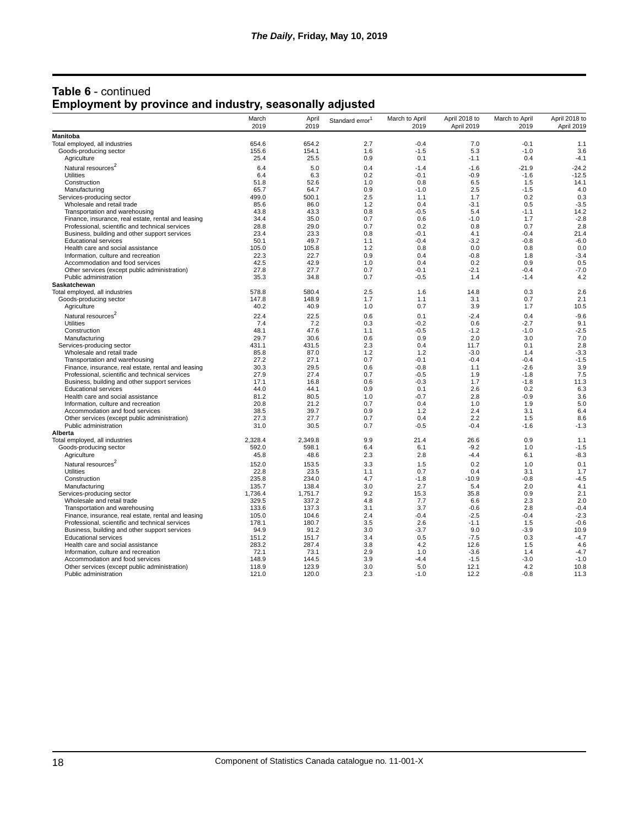| <b>Table 6 - continued</b>                                      |  |
|-----------------------------------------------------------------|--|
| <b>Employment by province and industry, seasonally adjusted</b> |  |

|                                                         | March<br>2019 | April<br>2019 | Standard error <sup>1</sup> | March to April<br>2019 | April 2018 to<br>April 2019 | March to April<br>2019 | April 2018 to<br>April 2019 |
|---------------------------------------------------------|---------------|---------------|-----------------------------|------------------------|-----------------------------|------------------------|-----------------------------|
| Manitoba                                                |               |               |                             |                        |                             |                        |                             |
| Total employed, all industries                          | 654.6         | 654.2         | 2.7                         | $-0.4$                 | 7.0                         | $-0.1$                 | 1.1                         |
| Goods-producing sector                                  | 155.6         | 154.1         | 1.6                         | $-1.5$                 | 5.3                         | $-1.0$                 | 3.6                         |
| Agriculture                                             | 25.4          | 25.5          | 0.9                         | 0.1                    | $-1.1$                      | 0.4                    | $-4.1$                      |
| Natural resources <sup>2</sup>                          | 6.4           | 5.0           | 0.4                         | $-1.4$                 | $-1.6$                      | $-21.9$                | $-24.2$                     |
| <b>Utilities</b>                                        | 6.4           | 6.3           | 0.2                         | $-0.1$                 | $-0.9$                      | $-1.6$                 | $-12.5$                     |
| Construction                                            | 51.8          | 52.6          | 1.0                         | 0.8                    | 6.5                         | 1.5                    | 14.1                        |
| Manufacturing                                           | 65.7          | 64.7          | 0.9                         | $-1.0$                 | 2.5                         | $-1.5$                 | 4.0                         |
| Services-producing sector                               | 499.0         | 500.1         | 2.5                         | 1.1                    | 1.7                         | 0.2                    | 0.3                         |
| Wholesale and retail trade                              | 85.6          | 86.0          | 1.2                         | 0.4                    | $-3.1$                      | 0.5                    | $-3.5$                      |
| Transportation and warehousing                          | 43.8          | 43.3          | 0.8                         | $-0.5$                 | 5.4                         | $-1.1$                 | 14.2                        |
| Finance, insurance, real estate, rental and leasing     | 34.4          | 35.0          | 0.7                         | 0.6                    | $-1.0$                      | 1.7                    | $-2.8$                      |
| Professional, scientific and technical services         | 28.8          | 29.0          | 0.7                         | 0.2                    | 0.8                         | 0.7                    | 2.8                         |
| Business, building and other support services           | 23.4          | 23.3          | 0.8                         | $-0.1$                 | 4.1                         | $-0.4$                 | 21.4                        |
| <b>Educational services</b>                             | 50.1          | 49.7          | 1.1                         | $-0.4$                 | $-3.2$                      | $-0.8$                 | $-6.0$                      |
| Health care and social assistance                       | 105.0         | 105.8         | 1.2                         | 0.8                    | 0.0                         | 0.8                    | 0.0                         |
| Information, culture and recreation                     | 22.3          | 22.7          | 0.9                         | 0.4                    | $-0.8$                      | 1.8                    | $-3.4$                      |
| Accommodation and food services                         | 42.5          | 42.9          | 1.0                         | 0.4                    | 0.2                         | 0.9                    | 0.5                         |
| Other services (except public administration)           | 27.8          | 27.7          | 0.7                         | -0.1<br>$-0.5$         | $-2.1$                      | $-0.4$                 | $-7.0$                      |
| Public administration<br>Saskatchewan                   | 35.3          | 34.8          | 0.7                         |                        | 1.4                         | $-1.4$                 | 4.2                         |
| Total employed, all industries                          | 578.8         | 580.4         | 2.5                         | 1.6                    | 14.8                        | 0.3                    | 2.6                         |
| Goods-producing sector                                  | 147.8         | 148.9         | 1.7                         | 1.1                    | 3.1                         | 0.7                    | 2.1                         |
| Agriculture                                             | 40.2          | 40.9          | 1.0                         | 0.7                    | 3.9                         | 1.7                    | 10.5                        |
|                                                         |               |               |                             |                        |                             |                        |                             |
| Natural resources <sup>2</sup>                          | 22.4          | 22.5          | 0.6                         | 0.1                    | $-2.4$                      | 0.4                    | $-9.6$                      |
| <b>Utilities</b>                                        | 7.4           | 7.2           | 0.3                         | $-0.2$                 | 0.6                         | $-2.7$                 | 9.1                         |
| Construction                                            | 48.1          | 47.6          | 1.1                         | $-0.5$                 | $-1.2$                      | $-1.0$                 | $-2.5$                      |
| Manufacturing                                           | 29.7<br>431.1 | 30.6          | 0.6<br>2.3                  | 0.9<br>0.4             | 2.0<br>11.7                 | 3.0                    | 7.0<br>2.8                  |
| Services-producing sector<br>Wholesale and retail trade | 85.8          | 431.5<br>87.0 | 1.2                         | 1.2                    | $-3.0$                      | 0.1<br>1.4             | $-3.3$                      |
| Transportation and warehousing                          | 27.2          | 27.1          | 0.7                         | $-0.1$                 | $-0.4$                      | $-0.4$                 | $-1.5$                      |
| Finance, insurance, real estate, rental and leasing     | 30.3          | 29.5          | 0.6                         | $-0.8$                 | 1.1                         | $-2.6$                 | 3.9                         |
| Professional, scientific and technical services         | 27.9          | 27.4          | 0.7                         | $-0.5$                 | 1.9                         | $-1.8$                 | 7.5                         |
| Business, building and other support services           | 17.1          | 16.8          | 0.6                         | $-0.3$                 | 1.7                         | $-1.8$                 | 11.3                        |
| <b>Educational services</b>                             | 44.0          | 44.1          | 0.9                         | 0.1                    | 2.6                         | 0.2                    | 6.3                         |
| Health care and social assistance                       | 81.2          | 80.5          | 1.0                         | $-0.7$                 | 2.8                         | $-0.9$                 | 3.6                         |
| Information, culture and recreation                     | 20.8          | 21.2          | 0.7                         | 0.4                    | 1.0                         | 1.9                    | 5.0                         |
| Accommodation and food services                         | 38.5          | 39.7          | 0.9                         | 1.2                    | 2.4                         | 3.1                    | 6.4                         |
| Other services (except public administration)           | 27.3          | 27.7          | 0.7                         | 0.4                    | 2.2                         | 1.5                    | 8.6                         |
| Public administration                                   | 31.0          | 30.5          | 0.7                         | $-0.5$                 | $-0.4$                      | $-1.6$                 | $-1.3$                      |
| Alberta                                                 |               |               |                             |                        |                             |                        |                             |
| Total employed, all industries                          | 2,328.4       | 2,349.8       | 9.9                         | 21.4                   | 26.6                        | 0.9                    | 1.1                         |
| Goods-producing sector                                  | 592.0         | 598.1         | 6.4                         | 6.1                    | $-9.2$                      | 1.0                    | $-1.5$                      |
| Agriculture                                             | 45.8          | 48.6          | 2.3                         | 2.8                    | $-4.4$                      | 6.1                    | $-8.3$                      |
| Natural resources <sup>2</sup>                          | 152.0         | 153.5         | 3.3                         | 1.5                    | 0.2                         | 1.0                    | 0.1                         |
| Utilities                                               | 22.8          | 23.5          | 1.1                         | 0.7                    | 0.4                         | 3.1                    | 1.7                         |
| Construction                                            | 235.8         | 234.0         | 4.7                         | $-1.8$                 | $-10.9$                     | $-0.8$                 | $-4.5$                      |
| Manufacturing                                           | 135.7         | 138.4         | 3.0                         | 2.7                    | 5.4                         | 2.0                    | 4.1                         |
| Services-producing sector                               | 1.736.4       | 1.751.7       | 9.2                         | 15.3                   | 35.8                        | 0.9                    | 2.1                         |
| Wholesale and retail trade                              | 329.5         | 337.2         | 4.8                         | 7.7                    | 6.6                         | 2.3                    | 2.0                         |
| Transportation and warehousing                          | 133.6         | 137.3         | 3.1                         | 3.7                    | $-0.6$                      | 2.8                    | $-0.4$                      |
| Finance, insurance, real estate, rental and leasing     | 105.0         | 104.6         | 2.4                         | $-0.4$                 | $-2.5$                      | $-0.4$                 | $-2.3$                      |
| Professional, scientific and technical services         | 178.1         | 180.7         | 3.5                         | 2.6                    | $-1.1$                      | 1.5                    | $-0.6$                      |
| Business, building and other support services           | 94.9          | 91.2          | 3.0                         | $-3.7$                 | 9.0                         | $-3.9$                 | 10.9                        |
| <b>Educational services</b>                             | 151.2         | 151.7         | 3.4                         | 0.5                    | $-7.5$                      | 0.3                    | $-4.7$                      |
| Health care and social assistance                       | 283.2         | 287.4         | 3.8                         | 4.2                    | 12.6                        | 1.5                    | 4.6                         |
| Information, culture and recreation                     | 72.1          | 73.1          | 2.9                         | 1.0                    | $-3.6$                      | 1.4                    | $-4.7$                      |
| Accommodation and food services                         | 148.9         | 144.5         | 3.9                         | $-4.4$                 | $-1.5$                      | $-3.0$                 | $-1.0$                      |
| Other services (except public administration)           | 118.9         | 123.9         | 3.0                         | 5.0                    | 12.1                        | 4.2                    | 10.8                        |
| Public administration                                   | 121.0         | 120.0         | 2.3                         | $-1.0$                 | 12.2                        | $-0.8$                 | 11.3                        |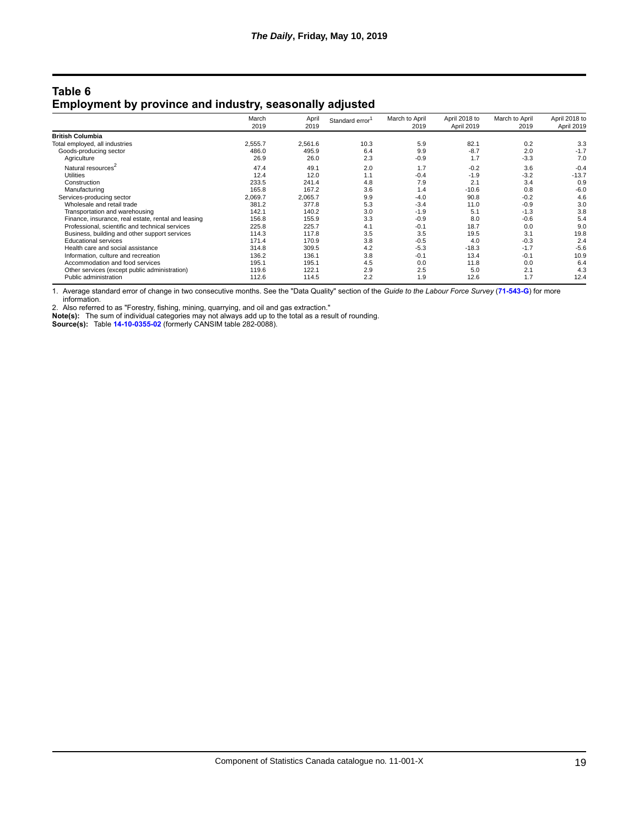#### **Table 6 Employment by province and industry, seasonally adjusted**

|                                                     | March<br>2019 | April<br>2019 | Standard error | March to April<br>2019 | April 2018 to<br>April 2019 | March to April<br>2019 | April 2018 to<br>April 2019 |
|-----------------------------------------------------|---------------|---------------|----------------|------------------------|-----------------------------|------------------------|-----------------------------|
|                                                     |               |               |                |                        |                             |                        |                             |
| <b>British Columbia</b>                             |               |               |                |                        |                             |                        |                             |
| Total employed, all industries                      | 2,555.7       | 2.561.6       | 10.3           | 5.9                    | 82.1                        | 0.2                    | 3.3                         |
| Goods-producing sector                              | 486.0         | 495.9         | 6.4            | 9.9                    | $-8.7$                      | 2.0                    | $-1.7$                      |
| Agriculture                                         | 26.9          | 26.0          | 2.3            | $-0.9$                 | 1.7                         | $-3.3$                 | 7.0                         |
| Natural resources <sup>2</sup>                      | 47.4          | 49.1          | 2.0            | 1.7                    | $-0.2$                      | 3.6                    | $-0.4$                      |
| <b>Utilities</b>                                    | 12.4          | 12.0          | 1.1            | $-0.4$                 | $-1.9$                      | $-3.2$                 | $-13.7$                     |
| Construction                                        | 233.5         | 241.4         | 4.8            | 7.9                    | 2.1                         | 3.4                    | 0.9                         |
| Manufacturing                                       | 165.8         | 167.2         | 3.6            | 1.4                    | $-10.6$                     | 0.8                    | $-6.0$                      |
| Services-producing sector                           | 2,069.7       | 2,065.7       | 9.9            | $-4.0$                 | 90.8                        | $-0.2$                 | 4.6                         |
| Wholesale and retail trade                          | 381.2         | 377.8         | 5.3            | $-3.4$                 | 11.0                        | $-0.9$                 | 3.0                         |
| Transportation and warehousing                      | 142.1         | 140.2         | 3.0            | $-1.9$                 | 5.1                         | $-1.3$                 | 3.8                         |
| Finance, insurance, real estate, rental and leasing | 156.8         | 155.9         | 3.3            | $-0.9$                 | 8.0                         | $-0.6$                 | 5.4                         |
| Professional, scientific and technical services     | 225.8         | 225.7         | 4.1            | $-0.1$                 | 18.7                        | 0.0                    | 9.0                         |
| Business, building and other support services       | 114.3         | 117.8         | 3.5            | 3.5                    | 19.5                        | 3.1                    | 19.8                        |
| <b>Educational services</b>                         | 171.4         | 170.9         | 3.8            | $-0.5$                 | 4.0                         | $-0.3$                 | 2.4                         |
| Health care and social assistance                   | 314.8         | 309.5         | 4.2            | $-5.3$                 | $-18.3$                     | $-1.7$                 | $-5.6$                      |
| Information, culture and recreation                 | 136.2         | 136.1         | 3.8            | $-0.1$                 | 13.4                        | $-0.1$                 | 10.9                        |
| Accommodation and food services                     | 195.1         | 195.1         | 4.5            | 0.0                    | 11.8                        | 0.0                    | 6.4                         |
| Other services (except public administration)       | 119.6         | 122.1         | 2.9            | 2.5                    | 5.0                         | 2.1                    | 4.3                         |
| Public administration                               | 112.6         | 114.5         | 2.2            | 1.9                    | 12.6                        | 1.7                    | 12.4                        |

1. Average standard error of change in two consecutive months. See the "Data Quality" section of the *Guide to the Labour Force Survey* (**[71-543-G](https://www150.statcan.gc.ca/en/catalogue/71-543-G)**) for more information.

2. Also referred to as "Forestry, fishing, mining, quarrying, and oil and gas extraction."

**Note(s):** The sum of individual categories may not always add up to the total as a result of rounding.

**Source(s):** Table **[14-10-0355-02](https://www150.statcan.gc.ca/t1/tbl1/en/tv.action?pid=1410035502)** (formerly CANSIM table 282-0088).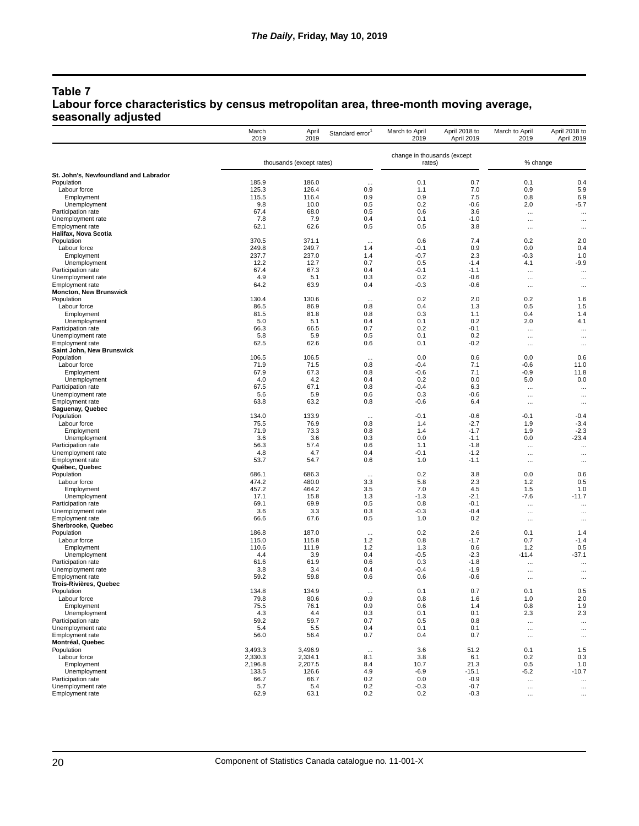## **Table 7 Labour force characteristics by census metropolitan area, three-month moving average, seasonally adjusted**

|                                                | March<br>2019 | April<br>2019            | Standard error <sup>1</sup> | March to April<br>2019                | April 2018 to<br>April 2019 | March to April<br>2019 | April 2018 to<br>April 2019 |
|------------------------------------------------|---------------|--------------------------|-----------------------------|---------------------------------------|-----------------------------|------------------------|-----------------------------|
|                                                |               | thousands (except rates) |                             | change in thousands (except<br>rates) |                             | % change               |                             |
| St. John's, Newfoundland and Labrador          |               |                          |                             |                                       |                             |                        |                             |
| Population                                     | 185.9         | 186.0                    | $\cdots$                    | 0.1                                   | 0.7                         | 0.1                    | 0.4                         |
| Labour force                                   | 125.3         | 126.4                    | 0.9                         | 1.1                                   | 7.0                         | 0.9                    | 5.9                         |
| Employment                                     | 115.5         | 116.4                    | 0.9                         | 0.9                                   | 7.5                         | 0.8                    | 6.9                         |
| Unemployment                                   | 9.8           | 10.0                     | 0.5                         | 0.2                                   | $-0.6$                      | 2.0                    | $-5.7$                      |
| Participation rate                             | 67.4          | 68.0                     | 0.5                         | 0.6                                   | 3.6                         |                        | $\cdots$                    |
| Unemployment rate                              | 7.8           | 7.9                      | 0.4                         | 0.1                                   | $-1.0$                      | $\cdots$               |                             |
| <b>Employment rate</b><br>Halifax, Nova Scotia | 62.1          | 62.6                     | 0.5                         | 0.5                                   | 3.8                         | $\cdots$               | $\cdots$                    |
| Population                                     | 370.5         | 371.1                    |                             | 0.6                                   | 7.4                         | 0.2                    | 2.0                         |
| Labour force                                   | 249.8         | 249.7                    | $\cdots$<br>1.4             | $-0.1$                                | 0.9                         | 0.0                    | 0.4                         |
| Employment                                     | 237.7         | 237.0                    | 1.4                         | $-0.7$                                | 2.3                         | $-0.3$                 | 1.0                         |
| Unemployment                                   | 12.2          | 12.7                     | 0.7                         | 0.5                                   | $-1.4$                      | 4.1                    | $-9.9$                      |
| Participation rate                             | 67.4          | 67.3                     | 0.4                         | $-0.1$                                | $-1.1$                      | $\cdots$               | $\cdots$                    |
| Unemployment rate                              | 4.9           | 5.1                      | 0.3                         | 0.2                                   | $-0.6$                      | $\cdots$               | $\cdots$                    |
| Employment rate                                | 64.2          | 63.9                     | 0.4                         | $-0.3$                                | $-0.6$                      | $\cdots$               |                             |
| <b>Moncton, New Brunswick</b>                  |               |                          |                             |                                       |                             |                        |                             |
| Population                                     | 130.4         | 130.6                    | $\cdots$                    | 0.2                                   | 2.0                         | 0.2                    | 1.6                         |
| Labour force                                   | 86.5          | 86.9                     | 0.8                         | 0.4                                   | 1.3                         | 0.5                    | 1.5                         |
| Employment                                     | 81.5          | 81.8                     | 0.8                         | 0.3                                   | 1.1                         | 0.4                    | 1.4                         |
| Unemployment                                   | 5.0           | 5.1                      | 0.4                         | 0.1                                   | 0.2                         | 2.0                    | 4.1                         |
| Participation rate                             | 66.3          | 66.5                     | 0.7                         | 0.2<br>0.1                            | $-0.1$                      | $\cdots$               | $\cdots$                    |
| Unemployment rate<br>Employment rate           | 5.8<br>62.5   | 5.9<br>62.6              | 0.5<br>0.6                  | 0.1                                   | 0.2<br>$-0.2$               | $\cdots$               | $\cdots$                    |
| Saint John, New Brunswick                      |               |                          |                             |                                       |                             | $\cdots$               | $\cdots$                    |
| Population                                     | 106.5         | 106.5                    | $\cdots$                    | 0.0                                   | 0.6                         | 0.0                    | 0.6                         |
| Labour force                                   | 71.9          | 71.5                     | 0.8                         | $-0.4$                                | 7.1                         | $-0.6$                 | 11.0                        |
| Employment                                     | 67.9          | 67.3                     | 0.8                         | $-0.6$                                | 7.1                         | $-0.9$                 | 11.8                        |
| Unemployment                                   | 4.0           | 4.2                      | 0.4                         | 0.2                                   | 0.0                         | 5.0                    | 0.0                         |
| Participation rate                             | 67.5          | 67.1                     | 0.8                         | $-0.4$                                | 6.3                         | $\cdots$               | $\cdots$                    |
| Unemployment rate                              | 5.6           | 5.9                      | 0.6                         | 0.3                                   | $-0.6$                      | $\cdots$               |                             |
| <b>Employment rate</b>                         | 63.8          | 63.2                     | 0.8                         | $-0.6$                                | 6.4                         | $\cdots$               | $\cdots$                    |
| Saguenay, Quebec                               |               |                          |                             |                                       |                             |                        |                             |
| Population                                     | 134.0         | 133.9                    | $\cdots$                    | $-0.1$                                | $-0.6$                      | $-0.1$                 | $-0.4$                      |
| Labour force                                   | 75.5          | 76.9                     | 0.8                         | 1.4<br>1.4                            | $-2.7$<br>$-1.7$            | 1.9                    | $-3.4$<br>$-2.3$            |
| Employment                                     | 71.9<br>3.6   | 73.3<br>3.6              | 0.8<br>0.3                  | 0.0                                   | $-1.1$                      | 1.9<br>0.0             | $-23.4$                     |
| Unemployment<br>Participation rate             | 56.3          | 57.4                     | 0.6                         | 1.1                                   | $-1.8$                      |                        |                             |
| Unemployment rate                              | 4.8           | 4.7                      | 0.4                         | $-0.1$                                | $-1.2$                      | $\cdots$<br>$\cdots$   | $\cdots$<br>$\cdots$        |
| Employment rate                                | 53.7          | 54.7                     | 0.6                         | 1.0                                   | $-1.1$                      | $\cdots$               |                             |
| Québec, Quebec                                 |               |                          |                             |                                       |                             |                        |                             |
| Population                                     | 686.1         | 686.3                    | $\cdots$                    | 0.2                                   | 3.8                         | 0.0                    | 0.6                         |
| Labour force                                   | 474.2         | 480.0                    | 3.3                         | 5.8                                   | 2.3                         | 1.2                    | 0.5                         |
| Employment                                     | 457.2         | 464.2                    | 3.5                         | 7.0                                   | 4.5                         | 1.5                    | 1.0                         |
| Unemployment                                   | 17.1          | 15.8                     | 1.3                         | $-1.3$                                | $-2.1$                      | $-7.6$                 | $-11.7$                     |
| Participation rate                             | 69.1          | 69.9                     | 0.5                         | 0.8                                   | $-0.1$                      | $\cdots$               |                             |
| Unemployment rate                              | 3.6           | 3.3                      | 0.3                         | $-0.3$                                | $-0.4$                      | $\cdots$               | $\cdots$                    |
| Employment rate                                | 66.6          | 67.6                     | 0.5                         | 1.0                                   | 0.2                         | $\cdots$               | $\cdots$                    |
| Sherbrooke, Quebec<br>Population               | 186.8         | 187.0                    |                             | 0.2                                   | 2.6                         | 0.1                    | 1.4                         |
| Labour force                                   | 115.0         | 115.8                    | $\cdots$<br>$1.2$           | 0.8                                   | $-1.7$                      | 0.7                    | $-1.4$                      |
| Employment                                     | 110.6         | 111.9                    | 1.2                         | 1.3                                   | 0.6                         | 1.2                    | 0.5                         |
| Unemployment                                   | 4.4           | 3.9                      | 0.4                         | $-0.5$                                | $-2.3$                      | $-11.4$                | $-37.1$                     |
| Participation rate                             | 61.6          | 61.9                     | 0.6                         | 0.3                                   | $-1.8$                      | $\cdots$               | $\cdots$                    |
| Unemployment rate                              | 3.8           | 3.4                      | 0.4                         | $-0.4$                                | $-1.9$                      | $\cdots$               |                             |
| <b>Employment rate</b>                         | 59.2          | 59.8                     | 0.6                         | 0.6                                   | $-0.6$                      | $\cdots$               | $\cdots$                    |
| Trois-Rivières, Quebec                         |               |                          |                             |                                       |                             |                        |                             |
| Population                                     | 134.8         | 134.9                    | $\cdots$                    | 0.1                                   | 0.7                         | 0.1                    | 0.5                         |
| Labour force                                   | 79.8          | 80.6                     | 0.9                         | 0.8                                   | 1.6                         | 1.0                    | 2.0                         |
| Employment                                     | 75.5          | 76.1                     | 0.9                         | 0.6                                   | 1.4                         | 0.8                    | 1.9                         |
| Unemployment<br>Participation rate             | 4.3           | 4.4                      | 0.3                         | 0.1                                   | 0.1                         | 2.3                    | 2.3                         |
| Unemployment rate                              | 59.2<br>5.4   | 59.7<br>5.5              | 0.7<br>0.4                  | 0.5<br>0.1                            | 0.8<br>0.1                  | $\cdots$               | $\cdots$                    |
| <b>Employment rate</b>                         | 56.0          | 56.4                     | 0.7                         | 0.4                                   | 0.7                         | $\cdots$               |                             |
| Montréal, Quebec                               |               |                          |                             |                                       |                             | $\cdots$               | $\cdots$                    |
| Population                                     | 3,493.3       | 3,496.9                  | $\cdots$                    | 3.6                                   | 51.2                        | 0.1                    | 1.5                         |
| Labour force                                   | 2,330.3       | 2.334.1                  | 8.1                         | 3.8                                   | 6.1                         | 0.2                    | 0.3                         |
| Employment                                     | 2,196.8       | 2,207.5                  | 8.4                         | 10.7                                  | 21.3                        | 0.5                    | 1.0                         |
| Unemployment                                   | 133.5         | 126.6                    | 4.9                         | $-6.9$                                | $-15.1$                     | $-5.2$                 | $-10.7$                     |
| Participation rate                             | 66.7          | 66.7                     | 0.2                         | 0.0                                   | $-0.9$                      | $\cdots$               | $\cdots$                    |
| Unemployment rate                              | 5.7           | 5.4                      | 0.2                         | $-0.3$                                | $-0.7$                      | $\cdots$               | $\cdots$                    |
| Employment rate                                | 62.9          | 63.1                     | 0.2                         | 0.2                                   | $-0.3$                      | $\cdots$               | $\cdots$                    |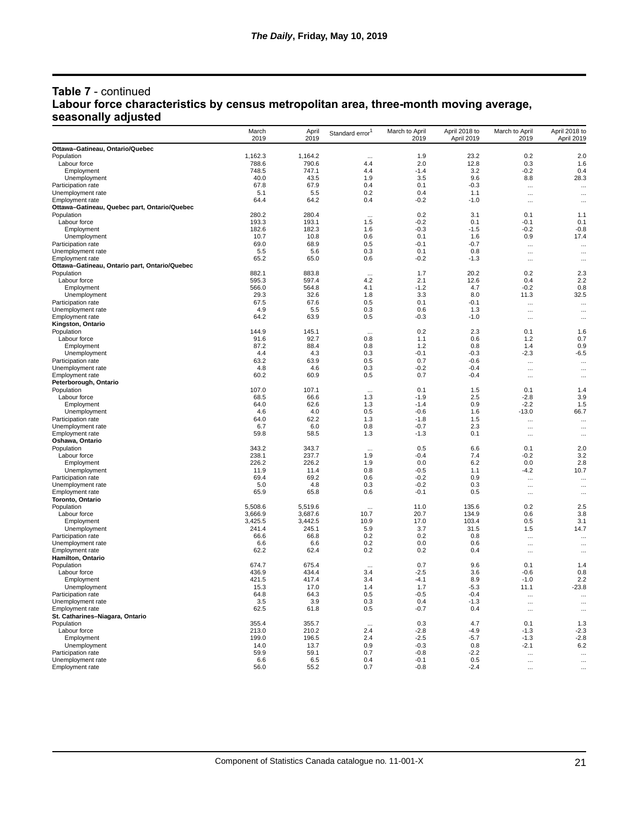## **Table 7** - continued **Labour force characteristics by census metropolitan area, three-month moving average, seasonally adjusted**

|                                               | March<br>2019  | April<br>2019  | Standard error | March to April<br>2019 | April 2018 to<br>April 2019 | March to April<br>2019 | April 2018 to<br>April 2019 |
|-----------------------------------------------|----------------|----------------|----------------|------------------------|-----------------------------|------------------------|-----------------------------|
| Ottawa-Gatineau, Ontario/Quebec               |                |                |                |                        |                             |                        |                             |
| Population                                    | 1,162.3        | 1,164.2        |                | 1.9                    | 23.2                        | 0.2                    | 2.0                         |
| Labour force                                  | 788.6          | 790.6          | 4.4            | 2.0                    | 12.8                        | 0.3                    | 1.6                         |
| Employment                                    | 748.5          | 747.1          | 44             | $-14$                  | 3.2                         | $-0.2$                 | 0.4                         |
| Unemployment                                  | 40.0           | 43.5           | 1.9            | 3.5                    | 9.6                         | 8.8                    | 28.3                        |
| Participation rate                            | 67.8           | 67.9           | 0.4            | 0.1<br>04              | $-0.3$                      | $\ddotsc$              |                             |
| Unemployment rate<br>Employment rate          | 5.1<br>64.4    | 5.5<br>64.2    | 0.2<br>0.4     | $-0.2$                 | 1.1<br>$-1.0$               | $\ddotsc$              |                             |
| Ottawa-Gatineau, Quebec part, Ontario/Quebec  |                |                |                |                        |                             | $\ldots$               | $\ddotsc$                   |
| Population                                    | 280.2          | 280.4          |                | 0.2                    | 3.1                         | 0.1                    | 1.1                         |
| Labour force                                  | 193.3          | 193.1          | 1.5            | $-0.2$                 | 0.1                         | $-0.1$                 | 0.1                         |
| Employment                                    | 182.6          | 182.3          | 1.6            | $-0.3$                 | $-1.5$                      | $-0.2$                 | $-0.8$                      |
| Unemployment                                  | 10.7           | 10.8           | 0.6            | 0.1                    | 1.6                         | 0.9                    | 17.4                        |
| Participation rate                            | 69.0           | 68.9           | 0.5            | $-0.1$                 | $-0.7$                      | $\ldots$               | $\ddotsc$                   |
| Unemployment rate                             | 5.5            | 5.6            | 0.3            | 0.1                    | 0.8                         | $\ddotsc$              |                             |
| Employment rate                               | 65.2           | 65.0           | 0.6            | $-0.2$                 | $-1.3$                      | $\ddots$               |                             |
| Ottawa-Gatineau, Ontario part, Ontario/Quebec |                |                |                |                        |                             |                        |                             |
| Population<br>Labour force                    | 882.1<br>595.3 | 883.8<br>597.4 | <br>4.2        | 1.7<br>2.1             | 20.2<br>12.6                | 0.2<br>0.4             | 2.3<br>2.2                  |
| Employment                                    | 566.0          | 564.8          | 4.1            | $-1.2$                 | 4.7                         | $-0.2$                 | 0.8                         |
| Unemployment                                  | 29.3           | 32.6           | 1.8            | 3.3                    | 8.0                         | 11.3                   | 32.5                        |
| Participation rate                            | 67.5           | 67.6           | 0.5            | 0.1                    | $-0.1$                      | $\ddots$               | $\cdots$                    |
| Unemployment rate                             | 4.9            | 5.5            | 0.3            | 0.6                    | 1.3                         | $\ddotsc$              |                             |
| Employment rate                               | 64.2           | 63.9           | 0.5            | $-0.3$                 | $-1.0$                      | $\ddots$               |                             |
| Kingston, Ontario                             |                |                |                |                        |                             |                        |                             |
| Population                                    | 144.9          | 145.1          |                | 0.2                    | 2.3                         | 0.1                    | 1.6                         |
| Labour force                                  | 91.6           | 92.7           | 0.8            | 1.1                    | 0.6                         | 1.2                    | 0.7                         |
| Employment                                    | 87.2           | 88.4           | 0.8            | 1.2                    | 0.8                         | 1.4                    | 0.9                         |
| Unemployment                                  | 4.4            | 4.3            | 0.3            | $-0.1$                 | $-0.3$                      | $-2.3$                 | $-6.5$                      |
| Participation rate                            | 63.2           | 63.9           | 0.5            | 0.7                    | $-0.6$                      | $\ddotsc$              |                             |
| Unemployment rate                             | 4.8            | 4.6            | 0.3            | $-0.2$                 | $-0.4$<br>$-0.4$            | $\ldots$               | $\cdots$                    |
| <b>Employment rate</b>                        | 60.2           | 60.9           | 0.5            | 0.7                    |                             | $\ldots$               |                             |
| Peterborough, Ontario<br>Population           | 107.0          | 107.1          |                | 0.1                    | 1.5                         | 0.1                    | 1.4                         |
| Labour force                                  | 68.5           | 66.6           | 1.3            | $-1.9$                 | 2.5                         | $-2.8$                 | 3.9                         |
| Employment                                    | 64.0           | 62.6           | 1.3            | $-1.4$                 | 0.9                         | $-2.2$                 | 1.5                         |
| Unemployment                                  | 4.6            | 4.0            | 0.5            | $-0.6$                 | 1.6                         | $-13.0$                | 66.7                        |
| Participation rate                            | 64.0           | 62.2           | 1.3            | $-1.8$                 | 1.5                         | $\ddots$               | $\cdots$                    |
| Unemployment rate                             | 6.7            | 6.0            | 0.8            | $-0.7$                 | 2.3                         | $\ldots$               | $\cdots$                    |
| Employment rate                               | 59.8           | 58.5           | 1.3            | $-1.3$                 | 0.1                         | $\ddotsc$              |                             |
| Oshawa, Ontario                               |                |                |                |                        |                             |                        |                             |
| Population                                    | 343.2          | 343.7          |                | 0.5                    | 6.6                         | 0.1                    | 2.0                         |
| Labour force                                  | 238.1<br>226.2 | 237.7<br>226.2 | 1.9            | $-0.4$<br>0.0          | 7.4<br>6.2                  | $-0.2$<br>0.0          | 3.2<br>2.8                  |
| Employment<br>Unemployment                    | 11.9           | 11.4           | 1.9<br>0.8     | $-0.5$                 | 1.1                         | $-4.2$                 | 10.7                        |
| Participation rate                            | 69.4           | 69.2           | 0.6            | $-0.2$                 | 0.9                         |                        |                             |
| Unemployment rate                             | 5.0            | 4.8            | 0.3            | $-0.2$                 | 0.3                         | $\ldots$<br>$\cdots$   | $\cdots$<br>$\cdots$        |
| Employment rate                               | 65.9           | 65.8           | 0.6            | $-0.1$                 | 0.5                         | $\ldots$               | $\cdots$                    |
| Toronto, Ontario                              |                |                |                |                        |                             |                        |                             |
| Population                                    | 5,508.6        | 5,519.6        |                | 11.0                   | 135.6                       | 0.2                    | 2.5                         |
| Labour force                                  | 3,666.9        | 3,687.6        | 10.7           | 20.7                   | 134.9                       | 0.6                    | 3.8                         |
| Employment                                    | 3,425.5        | 3,442.5        | 10.9           | 17.0                   | 103.4                       | 0.5                    | 3.1                         |
| Unemployment                                  | 241.4          | 245.1          | 5.9            | 3.7                    | 31.5                        | 1.5                    | 14.7                        |
| Participation rate                            | 66.6           | 66.8           | 0.2            | 0.2                    | 0.8                         | $\ddotsc$              | $\cdots$                    |
| Unemployment rate                             | 6.6            | 6.6            | 0.2            | 0.0                    | 0.6                         | $\cdots$               | $\ddotsc$                   |
| <b>Employment rate</b>                        | 62.2           | 62.4           | 0.2            | 0.2                    | 0.4                         | $\cdots$               | $\cdots$                    |
| Hamilton, Ontario                             | 674.7          | 675.4          |                | 0.7                    | 9.6                         | 0.1                    |                             |
| Population<br>Labour force                    | 436.9          | 434.4          | 3.4            | -2.5                   | 3.6                         | $-0.6$                 | 1.4<br>0.8                  |
| Employment                                    | 421.5          | 417.4          | 3.4            | -4.1                   | 8.9                         | $-1.0$                 | 2.2                         |
| Unemployment                                  | 15.3           | 17.0           | 1.4            | 1.7                    | $-5.3$                      | 11.1                   | $-23.8$                     |
| Participation rate                            | 64.8           | 64.3           | 0.5            | $-0.5$                 | $-0.4$                      | $\ddots$               | $\cdots$                    |
| Unemployment rate                             | 3.5            | 3.9            | 0.3            | 0.4                    | $-1.3$                      | $\cdots$               | $\ddotsc$                   |
| Employment rate                               | 62.5           | 61.8           | 0.5            | $-0.7$                 | 0.4                         | $\cdots$               | $\cdots$                    |
| St. Catharines-Niagara, Ontario               |                |                |                |                        |                             |                        |                             |
| Population                                    | 355.4          | 355.7          | $\ddotsc$      | 0.3                    | 4.7                         | 0.1                    | 1.3                         |
| Labour force                                  | 213.0          | 210.2          | 2.4            | $-2.8$                 | $-4.9$                      | $-1.3$                 | $-2.3$                      |
| Employment                                    | 199.0          | 196.5          | 2.4            | $-2.5$                 | $-5.7$                      | $-1.3$                 | $-2.8$                      |
| Unemployment                                  | 14.0           | 13.7           | 0.9            | -0.3                   | 0.8                         | $-2.1$                 | 6.2                         |
| Participation rate                            | 59.9           | 59.1           | 0.7            | $-0.8$                 | $-2.2$                      | $\ddotsc$              | $\ddotsc$                   |
| Unemployment rate                             | 6.6            | 6.5            | 0.4            | -0.1                   | 0.5                         | $\cdots$               |                             |
| Employment rate                               | 56.0           | 55.2           | 0.7            | $-0.8$                 | $-2.4$                      | $\cdots$               | $\ddotsc$                   |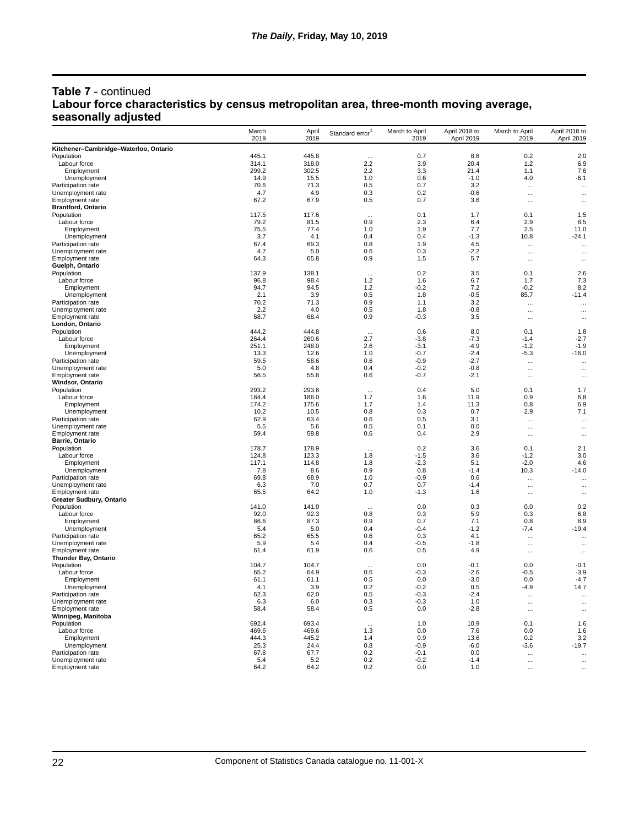## **Table 7** - continued **Labour force characteristics by census metropolitan area, three-month moving average, seasonally adjusted**

|                                                    | March<br>2019  | April<br>2019 | Standard error | March to April<br>2019 | April 2018 to<br>April 2019 | March to April<br>2019 | April 2018 to<br>April 2019 |
|----------------------------------------------------|----------------|---------------|----------------|------------------------|-----------------------------|------------------------|-----------------------------|
| Kitchener-Cambridge-Waterloo, Ontario              |                |               |                |                        |                             |                        |                             |
| Population                                         | 445.1          | 445.8         | $\cdots$       | 0.7                    | 8.6                         | 0.2                    | 2.0                         |
| Labour force                                       | 314.1          | 318.0         | 2.2            | 3.9                    | 20.4                        | $1.2$                  | 6.9                         |
| Employment                                         | 299.2          | 302.5         | 2.2            | 3.3                    | 21.4                        | 1.1                    | 7.6                         |
| Unemployment                                       | 14.9           | 15.5          | 1.0            | 0.6                    | $-1.0$                      | 4.0                    | $-6.1$                      |
| Participation rate                                 | 70.6           | 71.3          | 0.5            | 0.7                    | 3.2                         | $\ddotsc$              | $\ddotsc$                   |
| Unemployment rate                                  | 4.7            | 4.9           | 0.3            | 0.2                    | $-0.6$                      | $\ddotsc$              |                             |
| Employment rate                                    | 67.2           | 67.9          | 0.5            | 0.7                    | 3.6                         | $\cdots$               | $\cdots$                    |
| <b>Brantford, Ontario</b>                          | 117.5          | 117.6         |                | 0.1                    | 1.7                         | 0.1                    | 1.5                         |
| Population<br>Labour force                         | 79.2           | 81.5          | 0.9            | 2.3                    | 6.4                         | 2.9                    | 8.5                         |
| Employment                                         | 75.5           | 77.4          | 1.0            | 1.9                    | 7.7                         | 2.5                    | 11.0                        |
| Unemployment                                       | 3.7            | 4.1           | 0.4            | 0.4                    | $-1.3$                      | 10.8                   | $-24.1$                     |
| Participation rate                                 | 67.4           | 69.3          | 0.8            | 1.9                    | 4.5                         | $\ddots$               | $\ddotsc$                   |
| Unemployment rate                                  | 4.7            | 5.0           | 0.6            | 0.3                    | $-2.2$                      | $\ddotsc$              |                             |
| <b>Employment rate</b>                             | 64.3           | 65.8          | 0.9            | 1.5                    | 5.7                         | $\ldots$               | $\cdots$                    |
| Guelph, Ontario                                    |                |               |                |                        |                             |                        |                             |
| Population                                         | 137.9          | 138.1         | $\ddotsc$      | 0.2                    | 3.5                         | 0.1                    | 2.6                         |
| Labour force                                       | 96.8           | 98.4          | 1.2            | 1.6                    | 6.7                         | 1.7                    | 7.3                         |
| Employment                                         | 94.7           | 94.5          | 1.2            | $-0.2$                 | 7.2                         | $-0.2$                 | 8.2                         |
| Unemployment                                       | 2.1            | 3.9           | 0.5            | 1.8                    | $-0.5$                      | 85.7                   | $-11.4$                     |
| Participation rate<br>Unemployment rate            | 70.2<br>2.2    | 71.3<br>4.0   | 0.9<br>0.5     | 1.1<br>1.8             | 3.2<br>$-0.8$               | $\cdots$               | $\ddotsc$                   |
| <b>Employment rate</b>                             | 68.7           | 68.4          | 0.9            | $-0.3$                 | 3.5                         | $\ldots$<br>$\ldots$   | $\cdots$<br>$\cdots$        |
| London, Ontario                                    |                |               |                |                        |                             |                        |                             |
| Population                                         | 444.2          | 444.8         | $\ddotsc$      | 0.6                    | 8.0                         | 0.1                    | 1.8                         |
| Labour force                                       | 264.4          | 260.6         | 2.7            | -3.8                   | $-7.3$                      | $-1.4$                 | $-2.7$                      |
| Employment                                         | 251.1          | 248.0         | 2.6            | $-3.1$                 | $-4.9$                      | $-1.2$                 | $-1.9$                      |
| Unemployment                                       | 13.3           | 12.6          | 1.0            | $-0.7$                 | $-2.4$                      | -5.3                   | $-16.0$                     |
| Participation rate                                 | 59.5           | 58.6          | 0.6            | $-0.9$                 | $-2.7$                      | $\ddots$               | $\ddotsc$                   |
| Unemployment rate                                  | 5.0            | 4.8           | 0.4            | $-0.2$                 | $-0.8$                      | $\cdots$               | $\cdots$                    |
| <b>Employment rate</b>                             | 56.5           | 55.8          | 0.6            | -0.7                   | $-2.1$                      | $\ldots$               |                             |
| Windsor, Ontario                                   |                |               |                |                        |                             |                        |                             |
| Population                                         | 293.2          | 293.6         |                | 0.4                    | 5.0                         | 0.1                    | 1.7                         |
| Labour force                                       | 184.4<br>174.2 | 186.0         | 1.7            | 1.6                    | 11.9                        | 0.9                    | 6.8<br>6.9                  |
| Employment<br>Unemployment                         | 10.2           | 175.6<br>10.5 | 1.7<br>0.8     | 1.4<br>0.3             | 11.3<br>0.7                 | 0.8<br>2.9             | 7.1                         |
| Participation rate                                 | 62.9           | 63.4          | 0.6            | 0.5                    | 3.1                         | $\cdots$               | $\cdots$                    |
| Unemployment rate                                  | 5.5            | 5.6           | 0.5            | 0.1                    | 0.0                         | $\cdots$               | $\cdots$                    |
| Employment rate                                    | 59.4           | 59.8          | 0.6            | 0.4                    | 2.9                         | $\ddotsc$              | $\cdots$                    |
| <b>Barrie, Ontario</b>                             |                |               |                |                        |                             |                        |                             |
| Population                                         | 178.7          | 178.9         | $\ddotsc$      | 0.2                    | 3.6                         | 0.1                    | 2.1                         |
| Labour force                                       | 124.8          | 123.3         | 1.8            | $-1.5$                 | 3.6                         | $-1.2$                 | 3.0                         |
| Employment                                         | 117.1          | 114.8         | 1.8            | -2.3                   | 5.1                         | $-2.0$                 | 4.6                         |
| Unemployment                                       | 7.8            | 8.6           | 0.9            | 0.8                    | $-1.4$                      | 10.3                   | $-14.0$                     |
| Participation rate                                 | 69.8           | 68.9          | 1.0            | $-0.9$                 | 0.6                         | $\cdots$               | $\ddotsc$                   |
| Unemployment rate                                  | 6.3            | 7.0           | 0.7<br>1.0     | 0.7<br>$-1.3$          | $-1.4$<br>1.6               | $\cdots$               | $\ddotsc$                   |
| Employment rate<br><b>Greater Sudbury, Ontario</b> | 65.5           | 64.2          |                |                        |                             | $\ddotsc$              | $\cdots$                    |
| Population                                         | 141.0          | 141.0         | $\ddotsc$      | 0.0                    | 0.3                         | 0.0                    | 0.2                         |
| Labour force                                       | 92.0           | 92.3          | 0.8            | 0.3                    | 5.9                         | 0.3                    | 6.8                         |
| Employment                                         | 86.6           | 87.3          | 0.9            | 0.7                    | 7.1                         | 0.8                    | 8.9                         |
| Unemployment                                       | 5.4            | 5.0           | 0.4            | $-0.4$                 | $-1.2$                      | -7.4                   | $-19.4$                     |
| Participation rate                                 | 65.2           | 65.5          | 0.6            | 0.3                    | 4.1                         | $\ddotsc$              | $\cdots$                    |
| Unemployment rate                                  | 5.9            | 5.4           | 0.4            | -0.5                   | $-1.8$                      | $\ldots$               |                             |
| Employment rate                                    | 61.4           | 61.9          | 0.6            | 0.5                    | 4.9                         | $\cdots$               | $\cdots$                    |
| <b>Thunder Bay, Ontario</b>                        |                |               |                |                        |                             |                        |                             |
| Population                                         | 104.7          | 104.7         |                | 0.0                    | $-0.1$                      | 0.0                    | $-0.1$                      |
| Labour force                                       | 65.2           | 64.9          | 0.6            | $-0.3$                 | $-2.6$                      | $-0.5$                 | $-3.9$                      |
| Employment<br>Unemployment                         | 61.1<br>4.1    | 61.1<br>3.9   | 0.5<br>0.2     | 0.0<br>$-0.2$          | $-3.0$<br>0.5               | 0.0<br>$-4.9$          | $-4.7$<br>14.7              |
| Participation rate                                 | 62.3           | 62.0          | 0.5            | $-0.3$                 | $-2.4$                      |                        |                             |
| Unemployment rate                                  | 6.3            | 6.0           | 0.3            | $-0.3$                 | 1.0                         | $\cdots$<br>$\ddots$   | $\ddotsc$                   |
| Employment rate                                    | 58.4           | 58.4          | 0.5            | 0.0                    | $-2.8$                      | $\ddotsc$              | $\cdots$<br>                |
| Winnipeg, Manitoba                                 |                |               |                |                        |                             |                        |                             |
| Population                                         | 692.4          | 693.4         |                | 1.0                    | 10.9                        | 0.1                    | 1.6                         |
| Labour force                                       | 469.6          | 469.6         | 1.3            | 0.0                    | 7.6                         | 0.0                    | 1.6                         |
| Employment                                         | 444.3          | 445.2         | 1.4            | 0.9                    | 13.6                        | 0.2                    | 3.2                         |
| Unemployment                                       | 25.3           | 24.4          | 0.8            | $-0.9$                 | $-6.0$                      | -3.6                   | $-19.7$                     |
| Participation rate                                 | 67.8           | 67.7          | 0.2            | $-0.1$                 | 0.0                         | $\cdots$               | $\cdots$                    |
| Unemployment rate                                  | 5.4            | 5.2           | 0.2            | $-0.2$                 | $-1.4$                      | $\cdots$               | $\ddotsc$                   |
| Employment rate                                    | 64.2           | 64.2          | 0.2            | 0.0                    | 1.0                         | $\ddotsc$              | $\ddotsc$                   |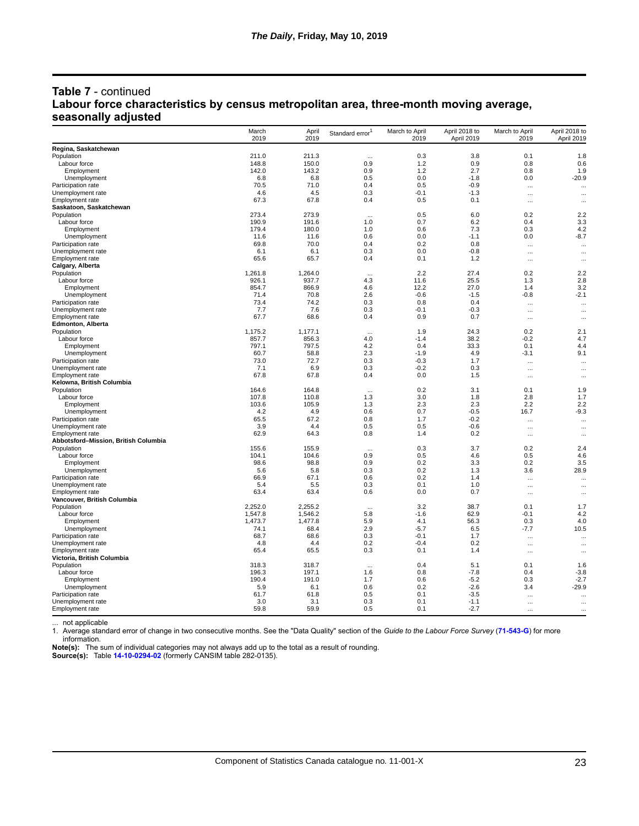## **Table 7** - continued **Labour force characteristics by census metropolitan area, three-month moving average, seasonally adjusted**

| Regina, Saskatchewan<br>211.0<br>0.3<br>3.8<br>0.1<br>211.3<br>1.8<br>$\ddotsc$<br>148.8<br>150.0<br>0.9<br>1.2<br>0.9<br>0.8<br>Labour force<br>0.6<br>142.0<br>0.9<br>1.2<br>2.7<br>Employment<br>143.2<br>0.8<br>1.9<br>Unemployment<br>6.8<br>6.8<br>0.5<br>0.0<br>$-1.8$<br>0.0<br>$-20.9$<br>70.5<br>0.5<br>$-0.9$<br>Participation rate<br>71.0<br>0.4<br>$\cdots$<br>$\cdots$<br>Unemployment rate<br>4.6<br>4.5<br>0.3<br>$-0.1$<br>$-1.3$<br><br>$\cdots$<br>67.3<br>67.8<br>0.4<br>0.5<br>0.1<br><b>Employment rate</b><br>$\cdots$<br>$\cdots$<br>Saskatoon, Saskatchewan<br>273.4<br>273.9<br>0.5<br>6.0<br>0.2<br>2.2<br>Population<br>$\ddotsc$<br>190.9<br>0.7<br>6.2<br>3.3<br>Labour force<br>191.6<br>1.0<br>0.4<br>179.4<br>180.0<br>0.6<br>7.3<br>0.3<br>Employment<br>1.0<br>4.2<br>11.6<br>0.6<br>0.0<br>0.0<br>$-8.7$<br>Unemployment<br>11.6<br>$-1.1$<br>Participation rate<br>69.8<br>70.0<br>0.4<br>0.2<br>0.8<br>$\cdots$<br>$\ddotsc$<br>0.3<br>0.0<br>$-0.8$<br>Unemployment rate<br>6.1<br>6.1<br>$\cdots$<br>$\cdots$<br>65.6<br>65.7<br>0.4<br>0.1<br>1.2<br>$\cdots$<br>$\cdots$<br>27.4<br>0.2<br>2.2<br>1,261.8<br>1,264.0<br>2.2<br>Population<br>$\cdots$<br>25.5<br>Labour force<br>926.1<br>937.7<br>4.3<br>11.6<br>1.3<br>2.8<br>854.7<br>866.9<br>4.6<br>12.2<br>27.0<br>3.2<br>Employment<br>1.4<br>71.4<br>70.8<br>2.6<br>$-0.6$<br>$-1.5$<br>$-0.8$<br>$-2.1$<br>Unemployment<br>73.4<br>74.2<br>0.3<br>0.8<br>0.4<br>Participation rate<br>$\cdots$<br>$\cdots$<br>Unemployment rate<br>7.7<br>7.6<br>0.3<br>$-0.1$<br>$-0.3$<br>$\cdots$<br>$\cdots$<br>67.7<br>68.6<br>0.4<br>0.9<br>0.7<br>Employment rate<br>$\cdots$<br>$\cdots$<br><b>Edmonton, Alberta</b><br>0.2<br>Population<br>1,175.2<br>1,177.1<br>1.9<br>24.3<br>2.1<br>$\cdots$<br>38.2<br>$-0.2$<br>857.7<br>856.3<br>4.0<br>$-1.4$<br>4.7<br>Labour force<br>33.3<br>Employment<br>797.1<br>797.5<br>4.2<br>0.4<br>0.1<br>4.4<br>60.7<br>58.8<br>2.3<br>$-1.9$<br>4.9<br>$-3.1$<br>9.1<br>Unemployment<br>73.0<br>72.7<br>0.3<br>$-0.3$<br>1.7<br>Participation rate<br><br>$\cdots$<br>7.1<br>Unemployment rate<br>6.9<br>0.3<br>$-0.2$<br>0.3<br>$\cdots$<br>$\cdots$<br><b>Employment rate</b><br>67.8<br>67.8<br>0.4<br>0.0<br>1.5<br>$\cdots$<br>$\cdots$<br>Kelowna, British Columbia<br>Population<br>164.6<br>164.8<br>0.2<br>3.1<br>0.1<br>1.9<br>$\cdots$<br>107.8<br>Labour force<br>110.8<br>1.3<br>3.0<br>1.8<br>2.8<br>1.7<br>103.6<br>2.3<br>2.2<br>105.9<br>1.3<br>2.3<br>2.2<br>Employment<br>4.2<br>0.7<br>$-0.5$<br>Unemployment<br>4.9<br>0.6<br>16.7<br>$-9.3$<br>65.5<br>67.2<br>0.8<br>$-0.2$<br>Participation rate<br>1.7<br>$\cdots$<br>$\cdots$<br>3.9<br>4.4<br>0.5<br>0.5<br>$-0.6$<br><br>$\cdots$<br>62.9<br>0.8<br>1.4<br>0.2<br>64.3<br>$\cdots$<br>$\ddotsc$<br>Abbotsford-Mission, British Columbia<br>155.6<br>155.9<br>0.3<br>3.7<br>0.2<br>2.4<br>Population<br>$\ddotsc$<br>104.1<br>0.9<br>Labour force<br>104.6<br>0.5<br>4.6<br>0.5<br>4.6<br>98.6<br>Employment<br>98.8<br>0.9<br>0.2<br>3.3<br>0.2<br>3.5<br>0.2<br>28.9<br>Unemployment<br>5.6<br>5.8<br>0.3<br>1.3<br>3.6<br>66.9<br>0.6<br>0.2<br>Participation rate<br>67.1<br>1.4<br>$\cdots$<br>$\ddotsc$<br>5.4<br>Unemployment rate<br>5.5<br>0.3<br>0.1<br>1.0<br>$\cdots$<br>$\ddotsc$<br>63.4<br>63.4<br>0.6<br>0.0<br>0.7<br>Employment rate<br><br>$\cdots$<br>Vancouver, British Columbia<br>2,252.0<br>2,255.2<br>3.2<br>38.7<br>0.1<br>1.7<br>Population<br>$\cdots$<br>Labour force<br>1,547.8<br>1,546.2<br>5.8<br>$-1.6$<br>62.9<br>$-0.1$<br>4.2<br>56.3<br>4.0<br>Employment<br>1,473.7<br>1,477.8<br>5.9<br>4.1<br>0.3<br>74.1<br>2.9<br>Unemployment<br>68.4<br>$-5.7$<br>6.5<br>-7.7<br>10.5<br>Participation rate<br>68.7<br>0.3<br>68.6<br>$-0.1$<br>1.7<br>$\cdots$<br>$\cdots$<br>4.8<br>0.2<br>Unemployment rate<br>4.4<br>$-0.4$<br>0.2<br>$\ldots$<br>$\cdots$<br>65.4<br>0.3<br>Employment rate<br>65.5<br>0.1<br>1.4<br>$\cdots$<br>$\cdots$<br>318.3<br>0.4<br>0.1<br>Population<br>318.7<br>5.1<br>1.6<br>$\cdots$<br>196.3<br>197.1<br>0.8<br>$-3.8$<br>Labour force<br>1.6<br>$-7.8$<br>0.4<br>Employment<br>190.4<br>191.0<br>1.7<br>0.6<br>$-5.2$<br>0.3<br>$-2.7$<br>$-29.9$<br>5.9<br>0.2<br>Unemployment<br>6.1<br>0.6<br>$-2.6$<br>3.4<br>Participation rate<br>61.7<br>0.5<br>$-3.5$<br>61.8<br>0.1<br><br>$\cdots$<br>Unemployment rate<br>3.0<br>3.1<br>0.3<br>0.1<br>$-1.1$<br>$\cdots$<br>$\cdots$<br>59.8<br>59.9<br>0.5<br>$-2.7$<br>Employment rate<br>0.1<br><br>$\cdots$ |                            | March<br>2019 | April<br>2019 | Standard error <sup>1</sup> | March to April<br>2019 | April 2018 to<br>April 2019 | March to April<br>2019 | April 2018 to<br>April 2019 |
|------------------------------------------------------------------------------------------------------------------------------------------------------------------------------------------------------------------------------------------------------------------------------------------------------------------------------------------------------------------------------------------------------------------------------------------------------------------------------------------------------------------------------------------------------------------------------------------------------------------------------------------------------------------------------------------------------------------------------------------------------------------------------------------------------------------------------------------------------------------------------------------------------------------------------------------------------------------------------------------------------------------------------------------------------------------------------------------------------------------------------------------------------------------------------------------------------------------------------------------------------------------------------------------------------------------------------------------------------------------------------------------------------------------------------------------------------------------------------------------------------------------------------------------------------------------------------------------------------------------------------------------------------------------------------------------------------------------------------------------------------------------------------------------------------------------------------------------------------------------------------------------------------------------------------------------------------------------------------------------------------------------------------------------------------------------------------------------------------------------------------------------------------------------------------------------------------------------------------------------------------------------------------------------------------------------------------------------------------------------------------------------------------------------------------------------------------------------------------------------------------------------------------------------------------------------------------------------------------------------------------------------------------------------------------------------------------------------------------------------------------------------------------------------------------------------------------------------------------------------------------------------------------------------------------------------------------------------------------------------------------------------------------------------------------------------------------------------------------------------------------------------------------------------------------------------------------------------------------------------------------------------------------------------------------------------------------------------------------------------------------------------------------------------------------------------------------------------------------------------------------------------------------------------------------------------------------------------------------------------------------------------------------------------------------------------------------------------------------------------------------------------------------------------------------------------------------------------------------------------------------------------------------------------------------------------------------------------------------------------------------------------------------------------------------------------------------------------------------------------------------------------------------------------------------------------------------------------------------------------------------------------------------------------------------------------------------------------------------------------------------------------------------------------------------------------------------------------------------------------------------------------------------------------|----------------------------|---------------|---------------|-----------------------------|------------------------|-----------------------------|------------------------|-----------------------------|
|                                                                                                                                                                                                                                                                                                                                                                                                                                                                                                                                                                                                                                                                                                                                                                                                                                                                                                                                                                                                                                                                                                                                                                                                                                                                                                                                                                                                                                                                                                                                                                                                                                                                                                                                                                                                                                                                                                                                                                                                                                                                                                                                                                                                                                                                                                                                                                                                                                                                                                                                                                                                                                                                                                                                                                                                                                                                                                                                                                                                                                                                                                                                                                                                                                                                                                                                                                                                                                                                                                                                                                                                                                                                                                                                                                                                                                                                                                                                                                                                                                                                                                                                                                                                                                                                                                                                                                                                                                                                                                                                          |                            |               |               |                             |                        |                             |                        |                             |
|                                                                                                                                                                                                                                                                                                                                                                                                                                                                                                                                                                                                                                                                                                                                                                                                                                                                                                                                                                                                                                                                                                                                                                                                                                                                                                                                                                                                                                                                                                                                                                                                                                                                                                                                                                                                                                                                                                                                                                                                                                                                                                                                                                                                                                                                                                                                                                                                                                                                                                                                                                                                                                                                                                                                                                                                                                                                                                                                                                                                                                                                                                                                                                                                                                                                                                                                                                                                                                                                                                                                                                                                                                                                                                                                                                                                                                                                                                                                                                                                                                                                                                                                                                                                                                                                                                                                                                                                                                                                                                                                          | Population                 |               |               |                             |                        |                             |                        |                             |
|                                                                                                                                                                                                                                                                                                                                                                                                                                                                                                                                                                                                                                                                                                                                                                                                                                                                                                                                                                                                                                                                                                                                                                                                                                                                                                                                                                                                                                                                                                                                                                                                                                                                                                                                                                                                                                                                                                                                                                                                                                                                                                                                                                                                                                                                                                                                                                                                                                                                                                                                                                                                                                                                                                                                                                                                                                                                                                                                                                                                                                                                                                                                                                                                                                                                                                                                                                                                                                                                                                                                                                                                                                                                                                                                                                                                                                                                                                                                                                                                                                                                                                                                                                                                                                                                                                                                                                                                                                                                                                                                          |                            |               |               |                             |                        |                             |                        |                             |
|                                                                                                                                                                                                                                                                                                                                                                                                                                                                                                                                                                                                                                                                                                                                                                                                                                                                                                                                                                                                                                                                                                                                                                                                                                                                                                                                                                                                                                                                                                                                                                                                                                                                                                                                                                                                                                                                                                                                                                                                                                                                                                                                                                                                                                                                                                                                                                                                                                                                                                                                                                                                                                                                                                                                                                                                                                                                                                                                                                                                                                                                                                                                                                                                                                                                                                                                                                                                                                                                                                                                                                                                                                                                                                                                                                                                                                                                                                                                                                                                                                                                                                                                                                                                                                                                                                                                                                                                                                                                                                                                          |                            |               |               |                             |                        |                             |                        |                             |
|                                                                                                                                                                                                                                                                                                                                                                                                                                                                                                                                                                                                                                                                                                                                                                                                                                                                                                                                                                                                                                                                                                                                                                                                                                                                                                                                                                                                                                                                                                                                                                                                                                                                                                                                                                                                                                                                                                                                                                                                                                                                                                                                                                                                                                                                                                                                                                                                                                                                                                                                                                                                                                                                                                                                                                                                                                                                                                                                                                                                                                                                                                                                                                                                                                                                                                                                                                                                                                                                                                                                                                                                                                                                                                                                                                                                                                                                                                                                                                                                                                                                                                                                                                                                                                                                                                                                                                                                                                                                                                                                          |                            |               |               |                             |                        |                             |                        |                             |
|                                                                                                                                                                                                                                                                                                                                                                                                                                                                                                                                                                                                                                                                                                                                                                                                                                                                                                                                                                                                                                                                                                                                                                                                                                                                                                                                                                                                                                                                                                                                                                                                                                                                                                                                                                                                                                                                                                                                                                                                                                                                                                                                                                                                                                                                                                                                                                                                                                                                                                                                                                                                                                                                                                                                                                                                                                                                                                                                                                                                                                                                                                                                                                                                                                                                                                                                                                                                                                                                                                                                                                                                                                                                                                                                                                                                                                                                                                                                                                                                                                                                                                                                                                                                                                                                                                                                                                                                                                                                                                                                          |                            |               |               |                             |                        |                             |                        |                             |
|                                                                                                                                                                                                                                                                                                                                                                                                                                                                                                                                                                                                                                                                                                                                                                                                                                                                                                                                                                                                                                                                                                                                                                                                                                                                                                                                                                                                                                                                                                                                                                                                                                                                                                                                                                                                                                                                                                                                                                                                                                                                                                                                                                                                                                                                                                                                                                                                                                                                                                                                                                                                                                                                                                                                                                                                                                                                                                                                                                                                                                                                                                                                                                                                                                                                                                                                                                                                                                                                                                                                                                                                                                                                                                                                                                                                                                                                                                                                                                                                                                                                                                                                                                                                                                                                                                                                                                                                                                                                                                                                          |                            |               |               |                             |                        |                             |                        |                             |
|                                                                                                                                                                                                                                                                                                                                                                                                                                                                                                                                                                                                                                                                                                                                                                                                                                                                                                                                                                                                                                                                                                                                                                                                                                                                                                                                                                                                                                                                                                                                                                                                                                                                                                                                                                                                                                                                                                                                                                                                                                                                                                                                                                                                                                                                                                                                                                                                                                                                                                                                                                                                                                                                                                                                                                                                                                                                                                                                                                                                                                                                                                                                                                                                                                                                                                                                                                                                                                                                                                                                                                                                                                                                                                                                                                                                                                                                                                                                                                                                                                                                                                                                                                                                                                                                                                                                                                                                                                                                                                                                          |                            |               |               |                             |                        |                             |                        |                             |
|                                                                                                                                                                                                                                                                                                                                                                                                                                                                                                                                                                                                                                                                                                                                                                                                                                                                                                                                                                                                                                                                                                                                                                                                                                                                                                                                                                                                                                                                                                                                                                                                                                                                                                                                                                                                                                                                                                                                                                                                                                                                                                                                                                                                                                                                                                                                                                                                                                                                                                                                                                                                                                                                                                                                                                                                                                                                                                                                                                                                                                                                                                                                                                                                                                                                                                                                                                                                                                                                                                                                                                                                                                                                                                                                                                                                                                                                                                                                                                                                                                                                                                                                                                                                                                                                                                                                                                                                                                                                                                                                          |                            |               |               |                             |                        |                             |                        |                             |
|                                                                                                                                                                                                                                                                                                                                                                                                                                                                                                                                                                                                                                                                                                                                                                                                                                                                                                                                                                                                                                                                                                                                                                                                                                                                                                                                                                                                                                                                                                                                                                                                                                                                                                                                                                                                                                                                                                                                                                                                                                                                                                                                                                                                                                                                                                                                                                                                                                                                                                                                                                                                                                                                                                                                                                                                                                                                                                                                                                                                                                                                                                                                                                                                                                                                                                                                                                                                                                                                                                                                                                                                                                                                                                                                                                                                                                                                                                                                                                                                                                                                                                                                                                                                                                                                                                                                                                                                                                                                                                                                          |                            |               |               |                             |                        |                             |                        |                             |
|                                                                                                                                                                                                                                                                                                                                                                                                                                                                                                                                                                                                                                                                                                                                                                                                                                                                                                                                                                                                                                                                                                                                                                                                                                                                                                                                                                                                                                                                                                                                                                                                                                                                                                                                                                                                                                                                                                                                                                                                                                                                                                                                                                                                                                                                                                                                                                                                                                                                                                                                                                                                                                                                                                                                                                                                                                                                                                                                                                                                                                                                                                                                                                                                                                                                                                                                                                                                                                                                                                                                                                                                                                                                                                                                                                                                                                                                                                                                                                                                                                                                                                                                                                                                                                                                                                                                                                                                                                                                                                                                          |                            |               |               |                             |                        |                             |                        |                             |
|                                                                                                                                                                                                                                                                                                                                                                                                                                                                                                                                                                                                                                                                                                                                                                                                                                                                                                                                                                                                                                                                                                                                                                                                                                                                                                                                                                                                                                                                                                                                                                                                                                                                                                                                                                                                                                                                                                                                                                                                                                                                                                                                                                                                                                                                                                                                                                                                                                                                                                                                                                                                                                                                                                                                                                                                                                                                                                                                                                                                                                                                                                                                                                                                                                                                                                                                                                                                                                                                                                                                                                                                                                                                                                                                                                                                                                                                                                                                                                                                                                                                                                                                                                                                                                                                                                                                                                                                                                                                                                                                          |                            |               |               |                             |                        |                             |                        |                             |
|                                                                                                                                                                                                                                                                                                                                                                                                                                                                                                                                                                                                                                                                                                                                                                                                                                                                                                                                                                                                                                                                                                                                                                                                                                                                                                                                                                                                                                                                                                                                                                                                                                                                                                                                                                                                                                                                                                                                                                                                                                                                                                                                                                                                                                                                                                                                                                                                                                                                                                                                                                                                                                                                                                                                                                                                                                                                                                                                                                                                                                                                                                                                                                                                                                                                                                                                                                                                                                                                                                                                                                                                                                                                                                                                                                                                                                                                                                                                                                                                                                                                                                                                                                                                                                                                                                                                                                                                                                                                                                                                          |                            |               |               |                             |                        |                             |                        |                             |
|                                                                                                                                                                                                                                                                                                                                                                                                                                                                                                                                                                                                                                                                                                                                                                                                                                                                                                                                                                                                                                                                                                                                                                                                                                                                                                                                                                                                                                                                                                                                                                                                                                                                                                                                                                                                                                                                                                                                                                                                                                                                                                                                                                                                                                                                                                                                                                                                                                                                                                                                                                                                                                                                                                                                                                                                                                                                                                                                                                                                                                                                                                                                                                                                                                                                                                                                                                                                                                                                                                                                                                                                                                                                                                                                                                                                                                                                                                                                                                                                                                                                                                                                                                                                                                                                                                                                                                                                                                                                                                                                          |                            |               |               |                             |                        |                             |                        |                             |
|                                                                                                                                                                                                                                                                                                                                                                                                                                                                                                                                                                                                                                                                                                                                                                                                                                                                                                                                                                                                                                                                                                                                                                                                                                                                                                                                                                                                                                                                                                                                                                                                                                                                                                                                                                                                                                                                                                                                                                                                                                                                                                                                                                                                                                                                                                                                                                                                                                                                                                                                                                                                                                                                                                                                                                                                                                                                                                                                                                                                                                                                                                                                                                                                                                                                                                                                                                                                                                                                                                                                                                                                                                                                                                                                                                                                                                                                                                                                                                                                                                                                                                                                                                                                                                                                                                                                                                                                                                                                                                                                          | <b>Employment</b> rate     |               |               |                             |                        |                             |                        |                             |
|                                                                                                                                                                                                                                                                                                                                                                                                                                                                                                                                                                                                                                                                                                                                                                                                                                                                                                                                                                                                                                                                                                                                                                                                                                                                                                                                                                                                                                                                                                                                                                                                                                                                                                                                                                                                                                                                                                                                                                                                                                                                                                                                                                                                                                                                                                                                                                                                                                                                                                                                                                                                                                                                                                                                                                                                                                                                                                                                                                                                                                                                                                                                                                                                                                                                                                                                                                                                                                                                                                                                                                                                                                                                                                                                                                                                                                                                                                                                                                                                                                                                                                                                                                                                                                                                                                                                                                                                                                                                                                                                          | Calgary, Alberta           |               |               |                             |                        |                             |                        |                             |
|                                                                                                                                                                                                                                                                                                                                                                                                                                                                                                                                                                                                                                                                                                                                                                                                                                                                                                                                                                                                                                                                                                                                                                                                                                                                                                                                                                                                                                                                                                                                                                                                                                                                                                                                                                                                                                                                                                                                                                                                                                                                                                                                                                                                                                                                                                                                                                                                                                                                                                                                                                                                                                                                                                                                                                                                                                                                                                                                                                                                                                                                                                                                                                                                                                                                                                                                                                                                                                                                                                                                                                                                                                                                                                                                                                                                                                                                                                                                                                                                                                                                                                                                                                                                                                                                                                                                                                                                                                                                                                                                          |                            |               |               |                             |                        |                             |                        |                             |
|                                                                                                                                                                                                                                                                                                                                                                                                                                                                                                                                                                                                                                                                                                                                                                                                                                                                                                                                                                                                                                                                                                                                                                                                                                                                                                                                                                                                                                                                                                                                                                                                                                                                                                                                                                                                                                                                                                                                                                                                                                                                                                                                                                                                                                                                                                                                                                                                                                                                                                                                                                                                                                                                                                                                                                                                                                                                                                                                                                                                                                                                                                                                                                                                                                                                                                                                                                                                                                                                                                                                                                                                                                                                                                                                                                                                                                                                                                                                                                                                                                                                                                                                                                                                                                                                                                                                                                                                                                                                                                                                          |                            |               |               |                             |                        |                             |                        |                             |
|                                                                                                                                                                                                                                                                                                                                                                                                                                                                                                                                                                                                                                                                                                                                                                                                                                                                                                                                                                                                                                                                                                                                                                                                                                                                                                                                                                                                                                                                                                                                                                                                                                                                                                                                                                                                                                                                                                                                                                                                                                                                                                                                                                                                                                                                                                                                                                                                                                                                                                                                                                                                                                                                                                                                                                                                                                                                                                                                                                                                                                                                                                                                                                                                                                                                                                                                                                                                                                                                                                                                                                                                                                                                                                                                                                                                                                                                                                                                                                                                                                                                                                                                                                                                                                                                                                                                                                                                                                                                                                                                          |                            |               |               |                             |                        |                             |                        |                             |
|                                                                                                                                                                                                                                                                                                                                                                                                                                                                                                                                                                                                                                                                                                                                                                                                                                                                                                                                                                                                                                                                                                                                                                                                                                                                                                                                                                                                                                                                                                                                                                                                                                                                                                                                                                                                                                                                                                                                                                                                                                                                                                                                                                                                                                                                                                                                                                                                                                                                                                                                                                                                                                                                                                                                                                                                                                                                                                                                                                                                                                                                                                                                                                                                                                                                                                                                                                                                                                                                                                                                                                                                                                                                                                                                                                                                                                                                                                                                                                                                                                                                                                                                                                                                                                                                                                                                                                                                                                                                                                                                          |                            |               |               |                             |                        |                             |                        |                             |
|                                                                                                                                                                                                                                                                                                                                                                                                                                                                                                                                                                                                                                                                                                                                                                                                                                                                                                                                                                                                                                                                                                                                                                                                                                                                                                                                                                                                                                                                                                                                                                                                                                                                                                                                                                                                                                                                                                                                                                                                                                                                                                                                                                                                                                                                                                                                                                                                                                                                                                                                                                                                                                                                                                                                                                                                                                                                                                                                                                                                                                                                                                                                                                                                                                                                                                                                                                                                                                                                                                                                                                                                                                                                                                                                                                                                                                                                                                                                                                                                                                                                                                                                                                                                                                                                                                                                                                                                                                                                                                                                          |                            |               |               |                             |                        |                             |                        |                             |
|                                                                                                                                                                                                                                                                                                                                                                                                                                                                                                                                                                                                                                                                                                                                                                                                                                                                                                                                                                                                                                                                                                                                                                                                                                                                                                                                                                                                                                                                                                                                                                                                                                                                                                                                                                                                                                                                                                                                                                                                                                                                                                                                                                                                                                                                                                                                                                                                                                                                                                                                                                                                                                                                                                                                                                                                                                                                                                                                                                                                                                                                                                                                                                                                                                                                                                                                                                                                                                                                                                                                                                                                                                                                                                                                                                                                                                                                                                                                                                                                                                                                                                                                                                                                                                                                                                                                                                                                                                                                                                                                          |                            |               |               |                             |                        |                             |                        |                             |
|                                                                                                                                                                                                                                                                                                                                                                                                                                                                                                                                                                                                                                                                                                                                                                                                                                                                                                                                                                                                                                                                                                                                                                                                                                                                                                                                                                                                                                                                                                                                                                                                                                                                                                                                                                                                                                                                                                                                                                                                                                                                                                                                                                                                                                                                                                                                                                                                                                                                                                                                                                                                                                                                                                                                                                                                                                                                                                                                                                                                                                                                                                                                                                                                                                                                                                                                                                                                                                                                                                                                                                                                                                                                                                                                                                                                                                                                                                                                                                                                                                                                                                                                                                                                                                                                                                                                                                                                                                                                                                                                          |                            |               |               |                             |                        |                             |                        |                             |
|                                                                                                                                                                                                                                                                                                                                                                                                                                                                                                                                                                                                                                                                                                                                                                                                                                                                                                                                                                                                                                                                                                                                                                                                                                                                                                                                                                                                                                                                                                                                                                                                                                                                                                                                                                                                                                                                                                                                                                                                                                                                                                                                                                                                                                                                                                                                                                                                                                                                                                                                                                                                                                                                                                                                                                                                                                                                                                                                                                                                                                                                                                                                                                                                                                                                                                                                                                                                                                                                                                                                                                                                                                                                                                                                                                                                                                                                                                                                                                                                                                                                                                                                                                                                                                                                                                                                                                                                                                                                                                                                          |                            |               |               |                             |                        |                             |                        |                             |
|                                                                                                                                                                                                                                                                                                                                                                                                                                                                                                                                                                                                                                                                                                                                                                                                                                                                                                                                                                                                                                                                                                                                                                                                                                                                                                                                                                                                                                                                                                                                                                                                                                                                                                                                                                                                                                                                                                                                                                                                                                                                                                                                                                                                                                                                                                                                                                                                                                                                                                                                                                                                                                                                                                                                                                                                                                                                                                                                                                                                                                                                                                                                                                                                                                                                                                                                                                                                                                                                                                                                                                                                                                                                                                                                                                                                                                                                                                                                                                                                                                                                                                                                                                                                                                                                                                                                                                                                                                                                                                                                          |                            |               |               |                             |                        |                             |                        |                             |
|                                                                                                                                                                                                                                                                                                                                                                                                                                                                                                                                                                                                                                                                                                                                                                                                                                                                                                                                                                                                                                                                                                                                                                                                                                                                                                                                                                                                                                                                                                                                                                                                                                                                                                                                                                                                                                                                                                                                                                                                                                                                                                                                                                                                                                                                                                                                                                                                                                                                                                                                                                                                                                                                                                                                                                                                                                                                                                                                                                                                                                                                                                                                                                                                                                                                                                                                                                                                                                                                                                                                                                                                                                                                                                                                                                                                                                                                                                                                                                                                                                                                                                                                                                                                                                                                                                                                                                                                                                                                                                                                          |                            |               |               |                             |                        |                             |                        |                             |
|                                                                                                                                                                                                                                                                                                                                                                                                                                                                                                                                                                                                                                                                                                                                                                                                                                                                                                                                                                                                                                                                                                                                                                                                                                                                                                                                                                                                                                                                                                                                                                                                                                                                                                                                                                                                                                                                                                                                                                                                                                                                                                                                                                                                                                                                                                                                                                                                                                                                                                                                                                                                                                                                                                                                                                                                                                                                                                                                                                                                                                                                                                                                                                                                                                                                                                                                                                                                                                                                                                                                                                                                                                                                                                                                                                                                                                                                                                                                                                                                                                                                                                                                                                                                                                                                                                                                                                                                                                                                                                                                          |                            |               |               |                             |                        |                             |                        |                             |
|                                                                                                                                                                                                                                                                                                                                                                                                                                                                                                                                                                                                                                                                                                                                                                                                                                                                                                                                                                                                                                                                                                                                                                                                                                                                                                                                                                                                                                                                                                                                                                                                                                                                                                                                                                                                                                                                                                                                                                                                                                                                                                                                                                                                                                                                                                                                                                                                                                                                                                                                                                                                                                                                                                                                                                                                                                                                                                                                                                                                                                                                                                                                                                                                                                                                                                                                                                                                                                                                                                                                                                                                                                                                                                                                                                                                                                                                                                                                                                                                                                                                                                                                                                                                                                                                                                                                                                                                                                                                                                                                          |                            |               |               |                             |                        |                             |                        |                             |
|                                                                                                                                                                                                                                                                                                                                                                                                                                                                                                                                                                                                                                                                                                                                                                                                                                                                                                                                                                                                                                                                                                                                                                                                                                                                                                                                                                                                                                                                                                                                                                                                                                                                                                                                                                                                                                                                                                                                                                                                                                                                                                                                                                                                                                                                                                                                                                                                                                                                                                                                                                                                                                                                                                                                                                                                                                                                                                                                                                                                                                                                                                                                                                                                                                                                                                                                                                                                                                                                                                                                                                                                                                                                                                                                                                                                                                                                                                                                                                                                                                                                                                                                                                                                                                                                                                                                                                                                                                                                                                                                          |                            |               |               |                             |                        |                             |                        |                             |
|                                                                                                                                                                                                                                                                                                                                                                                                                                                                                                                                                                                                                                                                                                                                                                                                                                                                                                                                                                                                                                                                                                                                                                                                                                                                                                                                                                                                                                                                                                                                                                                                                                                                                                                                                                                                                                                                                                                                                                                                                                                                                                                                                                                                                                                                                                                                                                                                                                                                                                                                                                                                                                                                                                                                                                                                                                                                                                                                                                                                                                                                                                                                                                                                                                                                                                                                                                                                                                                                                                                                                                                                                                                                                                                                                                                                                                                                                                                                                                                                                                                                                                                                                                                                                                                                                                                                                                                                                                                                                                                                          |                            |               |               |                             |                        |                             |                        |                             |
|                                                                                                                                                                                                                                                                                                                                                                                                                                                                                                                                                                                                                                                                                                                                                                                                                                                                                                                                                                                                                                                                                                                                                                                                                                                                                                                                                                                                                                                                                                                                                                                                                                                                                                                                                                                                                                                                                                                                                                                                                                                                                                                                                                                                                                                                                                                                                                                                                                                                                                                                                                                                                                                                                                                                                                                                                                                                                                                                                                                                                                                                                                                                                                                                                                                                                                                                                                                                                                                                                                                                                                                                                                                                                                                                                                                                                                                                                                                                                                                                                                                                                                                                                                                                                                                                                                                                                                                                                                                                                                                                          |                            |               |               |                             |                        |                             |                        |                             |
|                                                                                                                                                                                                                                                                                                                                                                                                                                                                                                                                                                                                                                                                                                                                                                                                                                                                                                                                                                                                                                                                                                                                                                                                                                                                                                                                                                                                                                                                                                                                                                                                                                                                                                                                                                                                                                                                                                                                                                                                                                                                                                                                                                                                                                                                                                                                                                                                                                                                                                                                                                                                                                                                                                                                                                                                                                                                                                                                                                                                                                                                                                                                                                                                                                                                                                                                                                                                                                                                                                                                                                                                                                                                                                                                                                                                                                                                                                                                                                                                                                                                                                                                                                                                                                                                                                                                                                                                                                                                                                                                          |                            |               |               |                             |                        |                             |                        |                             |
|                                                                                                                                                                                                                                                                                                                                                                                                                                                                                                                                                                                                                                                                                                                                                                                                                                                                                                                                                                                                                                                                                                                                                                                                                                                                                                                                                                                                                                                                                                                                                                                                                                                                                                                                                                                                                                                                                                                                                                                                                                                                                                                                                                                                                                                                                                                                                                                                                                                                                                                                                                                                                                                                                                                                                                                                                                                                                                                                                                                                                                                                                                                                                                                                                                                                                                                                                                                                                                                                                                                                                                                                                                                                                                                                                                                                                                                                                                                                                                                                                                                                                                                                                                                                                                                                                                                                                                                                                                                                                                                                          |                            |               |               |                             |                        |                             |                        |                             |
|                                                                                                                                                                                                                                                                                                                                                                                                                                                                                                                                                                                                                                                                                                                                                                                                                                                                                                                                                                                                                                                                                                                                                                                                                                                                                                                                                                                                                                                                                                                                                                                                                                                                                                                                                                                                                                                                                                                                                                                                                                                                                                                                                                                                                                                                                                                                                                                                                                                                                                                                                                                                                                                                                                                                                                                                                                                                                                                                                                                                                                                                                                                                                                                                                                                                                                                                                                                                                                                                                                                                                                                                                                                                                                                                                                                                                                                                                                                                                                                                                                                                                                                                                                                                                                                                                                                                                                                                                                                                                                                                          |                            |               |               |                             |                        |                             |                        |                             |
|                                                                                                                                                                                                                                                                                                                                                                                                                                                                                                                                                                                                                                                                                                                                                                                                                                                                                                                                                                                                                                                                                                                                                                                                                                                                                                                                                                                                                                                                                                                                                                                                                                                                                                                                                                                                                                                                                                                                                                                                                                                                                                                                                                                                                                                                                                                                                                                                                                                                                                                                                                                                                                                                                                                                                                                                                                                                                                                                                                                                                                                                                                                                                                                                                                                                                                                                                                                                                                                                                                                                                                                                                                                                                                                                                                                                                                                                                                                                                                                                                                                                                                                                                                                                                                                                                                                                                                                                                                                                                                                                          |                            |               |               |                             |                        |                             |                        |                             |
|                                                                                                                                                                                                                                                                                                                                                                                                                                                                                                                                                                                                                                                                                                                                                                                                                                                                                                                                                                                                                                                                                                                                                                                                                                                                                                                                                                                                                                                                                                                                                                                                                                                                                                                                                                                                                                                                                                                                                                                                                                                                                                                                                                                                                                                                                                                                                                                                                                                                                                                                                                                                                                                                                                                                                                                                                                                                                                                                                                                                                                                                                                                                                                                                                                                                                                                                                                                                                                                                                                                                                                                                                                                                                                                                                                                                                                                                                                                                                                                                                                                                                                                                                                                                                                                                                                                                                                                                                                                                                                                                          |                            |               |               |                             |                        |                             |                        |                             |
|                                                                                                                                                                                                                                                                                                                                                                                                                                                                                                                                                                                                                                                                                                                                                                                                                                                                                                                                                                                                                                                                                                                                                                                                                                                                                                                                                                                                                                                                                                                                                                                                                                                                                                                                                                                                                                                                                                                                                                                                                                                                                                                                                                                                                                                                                                                                                                                                                                                                                                                                                                                                                                                                                                                                                                                                                                                                                                                                                                                                                                                                                                                                                                                                                                                                                                                                                                                                                                                                                                                                                                                                                                                                                                                                                                                                                                                                                                                                                                                                                                                                                                                                                                                                                                                                                                                                                                                                                                                                                                                                          | Unemployment rate          |               |               |                             |                        |                             |                        |                             |
|                                                                                                                                                                                                                                                                                                                                                                                                                                                                                                                                                                                                                                                                                                                                                                                                                                                                                                                                                                                                                                                                                                                                                                                                                                                                                                                                                                                                                                                                                                                                                                                                                                                                                                                                                                                                                                                                                                                                                                                                                                                                                                                                                                                                                                                                                                                                                                                                                                                                                                                                                                                                                                                                                                                                                                                                                                                                                                                                                                                                                                                                                                                                                                                                                                                                                                                                                                                                                                                                                                                                                                                                                                                                                                                                                                                                                                                                                                                                                                                                                                                                                                                                                                                                                                                                                                                                                                                                                                                                                                                                          | <b>Employment rate</b>     |               |               |                             |                        |                             |                        |                             |
|                                                                                                                                                                                                                                                                                                                                                                                                                                                                                                                                                                                                                                                                                                                                                                                                                                                                                                                                                                                                                                                                                                                                                                                                                                                                                                                                                                                                                                                                                                                                                                                                                                                                                                                                                                                                                                                                                                                                                                                                                                                                                                                                                                                                                                                                                                                                                                                                                                                                                                                                                                                                                                                                                                                                                                                                                                                                                                                                                                                                                                                                                                                                                                                                                                                                                                                                                                                                                                                                                                                                                                                                                                                                                                                                                                                                                                                                                                                                                                                                                                                                                                                                                                                                                                                                                                                                                                                                                                                                                                                                          |                            |               |               |                             |                        |                             |                        |                             |
|                                                                                                                                                                                                                                                                                                                                                                                                                                                                                                                                                                                                                                                                                                                                                                                                                                                                                                                                                                                                                                                                                                                                                                                                                                                                                                                                                                                                                                                                                                                                                                                                                                                                                                                                                                                                                                                                                                                                                                                                                                                                                                                                                                                                                                                                                                                                                                                                                                                                                                                                                                                                                                                                                                                                                                                                                                                                                                                                                                                                                                                                                                                                                                                                                                                                                                                                                                                                                                                                                                                                                                                                                                                                                                                                                                                                                                                                                                                                                                                                                                                                                                                                                                                                                                                                                                                                                                                                                                                                                                                                          |                            |               |               |                             |                        |                             |                        |                             |
|                                                                                                                                                                                                                                                                                                                                                                                                                                                                                                                                                                                                                                                                                                                                                                                                                                                                                                                                                                                                                                                                                                                                                                                                                                                                                                                                                                                                                                                                                                                                                                                                                                                                                                                                                                                                                                                                                                                                                                                                                                                                                                                                                                                                                                                                                                                                                                                                                                                                                                                                                                                                                                                                                                                                                                                                                                                                                                                                                                                                                                                                                                                                                                                                                                                                                                                                                                                                                                                                                                                                                                                                                                                                                                                                                                                                                                                                                                                                                                                                                                                                                                                                                                                                                                                                                                                                                                                                                                                                                                                                          |                            |               |               |                             |                        |                             |                        |                             |
|                                                                                                                                                                                                                                                                                                                                                                                                                                                                                                                                                                                                                                                                                                                                                                                                                                                                                                                                                                                                                                                                                                                                                                                                                                                                                                                                                                                                                                                                                                                                                                                                                                                                                                                                                                                                                                                                                                                                                                                                                                                                                                                                                                                                                                                                                                                                                                                                                                                                                                                                                                                                                                                                                                                                                                                                                                                                                                                                                                                                                                                                                                                                                                                                                                                                                                                                                                                                                                                                                                                                                                                                                                                                                                                                                                                                                                                                                                                                                                                                                                                                                                                                                                                                                                                                                                                                                                                                                                                                                                                                          |                            |               |               |                             |                        |                             |                        |                             |
|                                                                                                                                                                                                                                                                                                                                                                                                                                                                                                                                                                                                                                                                                                                                                                                                                                                                                                                                                                                                                                                                                                                                                                                                                                                                                                                                                                                                                                                                                                                                                                                                                                                                                                                                                                                                                                                                                                                                                                                                                                                                                                                                                                                                                                                                                                                                                                                                                                                                                                                                                                                                                                                                                                                                                                                                                                                                                                                                                                                                                                                                                                                                                                                                                                                                                                                                                                                                                                                                                                                                                                                                                                                                                                                                                                                                                                                                                                                                                                                                                                                                                                                                                                                                                                                                                                                                                                                                                                                                                                                                          |                            |               |               |                             |                        |                             |                        |                             |
|                                                                                                                                                                                                                                                                                                                                                                                                                                                                                                                                                                                                                                                                                                                                                                                                                                                                                                                                                                                                                                                                                                                                                                                                                                                                                                                                                                                                                                                                                                                                                                                                                                                                                                                                                                                                                                                                                                                                                                                                                                                                                                                                                                                                                                                                                                                                                                                                                                                                                                                                                                                                                                                                                                                                                                                                                                                                                                                                                                                                                                                                                                                                                                                                                                                                                                                                                                                                                                                                                                                                                                                                                                                                                                                                                                                                                                                                                                                                                                                                                                                                                                                                                                                                                                                                                                                                                                                                                                                                                                                                          |                            |               |               |                             |                        |                             |                        |                             |
|                                                                                                                                                                                                                                                                                                                                                                                                                                                                                                                                                                                                                                                                                                                                                                                                                                                                                                                                                                                                                                                                                                                                                                                                                                                                                                                                                                                                                                                                                                                                                                                                                                                                                                                                                                                                                                                                                                                                                                                                                                                                                                                                                                                                                                                                                                                                                                                                                                                                                                                                                                                                                                                                                                                                                                                                                                                                                                                                                                                                                                                                                                                                                                                                                                                                                                                                                                                                                                                                                                                                                                                                                                                                                                                                                                                                                                                                                                                                                                                                                                                                                                                                                                                                                                                                                                                                                                                                                                                                                                                                          |                            |               |               |                             |                        |                             |                        |                             |
|                                                                                                                                                                                                                                                                                                                                                                                                                                                                                                                                                                                                                                                                                                                                                                                                                                                                                                                                                                                                                                                                                                                                                                                                                                                                                                                                                                                                                                                                                                                                                                                                                                                                                                                                                                                                                                                                                                                                                                                                                                                                                                                                                                                                                                                                                                                                                                                                                                                                                                                                                                                                                                                                                                                                                                                                                                                                                                                                                                                                                                                                                                                                                                                                                                                                                                                                                                                                                                                                                                                                                                                                                                                                                                                                                                                                                                                                                                                                                                                                                                                                                                                                                                                                                                                                                                                                                                                                                                                                                                                                          |                            |               |               |                             |                        |                             |                        |                             |
|                                                                                                                                                                                                                                                                                                                                                                                                                                                                                                                                                                                                                                                                                                                                                                                                                                                                                                                                                                                                                                                                                                                                                                                                                                                                                                                                                                                                                                                                                                                                                                                                                                                                                                                                                                                                                                                                                                                                                                                                                                                                                                                                                                                                                                                                                                                                                                                                                                                                                                                                                                                                                                                                                                                                                                                                                                                                                                                                                                                                                                                                                                                                                                                                                                                                                                                                                                                                                                                                                                                                                                                                                                                                                                                                                                                                                                                                                                                                                                                                                                                                                                                                                                                                                                                                                                                                                                                                                                                                                                                                          |                            |               |               |                             |                        |                             |                        |                             |
|                                                                                                                                                                                                                                                                                                                                                                                                                                                                                                                                                                                                                                                                                                                                                                                                                                                                                                                                                                                                                                                                                                                                                                                                                                                                                                                                                                                                                                                                                                                                                                                                                                                                                                                                                                                                                                                                                                                                                                                                                                                                                                                                                                                                                                                                                                                                                                                                                                                                                                                                                                                                                                                                                                                                                                                                                                                                                                                                                                                                                                                                                                                                                                                                                                                                                                                                                                                                                                                                                                                                                                                                                                                                                                                                                                                                                                                                                                                                                                                                                                                                                                                                                                                                                                                                                                                                                                                                                                                                                                                                          |                            |               |               |                             |                        |                             |                        |                             |
|                                                                                                                                                                                                                                                                                                                                                                                                                                                                                                                                                                                                                                                                                                                                                                                                                                                                                                                                                                                                                                                                                                                                                                                                                                                                                                                                                                                                                                                                                                                                                                                                                                                                                                                                                                                                                                                                                                                                                                                                                                                                                                                                                                                                                                                                                                                                                                                                                                                                                                                                                                                                                                                                                                                                                                                                                                                                                                                                                                                                                                                                                                                                                                                                                                                                                                                                                                                                                                                                                                                                                                                                                                                                                                                                                                                                                                                                                                                                                                                                                                                                                                                                                                                                                                                                                                                                                                                                                                                                                                                                          |                            |               |               |                             |                        |                             |                        |                             |
|                                                                                                                                                                                                                                                                                                                                                                                                                                                                                                                                                                                                                                                                                                                                                                                                                                                                                                                                                                                                                                                                                                                                                                                                                                                                                                                                                                                                                                                                                                                                                                                                                                                                                                                                                                                                                                                                                                                                                                                                                                                                                                                                                                                                                                                                                                                                                                                                                                                                                                                                                                                                                                                                                                                                                                                                                                                                                                                                                                                                                                                                                                                                                                                                                                                                                                                                                                                                                                                                                                                                                                                                                                                                                                                                                                                                                                                                                                                                                                                                                                                                                                                                                                                                                                                                                                                                                                                                                                                                                                                                          |                            |               |               |                             |                        |                             |                        |                             |
|                                                                                                                                                                                                                                                                                                                                                                                                                                                                                                                                                                                                                                                                                                                                                                                                                                                                                                                                                                                                                                                                                                                                                                                                                                                                                                                                                                                                                                                                                                                                                                                                                                                                                                                                                                                                                                                                                                                                                                                                                                                                                                                                                                                                                                                                                                                                                                                                                                                                                                                                                                                                                                                                                                                                                                                                                                                                                                                                                                                                                                                                                                                                                                                                                                                                                                                                                                                                                                                                                                                                                                                                                                                                                                                                                                                                                                                                                                                                                                                                                                                                                                                                                                                                                                                                                                                                                                                                                                                                                                                                          |                            |               |               |                             |                        |                             |                        |                             |
|                                                                                                                                                                                                                                                                                                                                                                                                                                                                                                                                                                                                                                                                                                                                                                                                                                                                                                                                                                                                                                                                                                                                                                                                                                                                                                                                                                                                                                                                                                                                                                                                                                                                                                                                                                                                                                                                                                                                                                                                                                                                                                                                                                                                                                                                                                                                                                                                                                                                                                                                                                                                                                                                                                                                                                                                                                                                                                                                                                                                                                                                                                                                                                                                                                                                                                                                                                                                                                                                                                                                                                                                                                                                                                                                                                                                                                                                                                                                                                                                                                                                                                                                                                                                                                                                                                                                                                                                                                                                                                                                          |                            |               |               |                             |                        |                             |                        |                             |
|                                                                                                                                                                                                                                                                                                                                                                                                                                                                                                                                                                                                                                                                                                                                                                                                                                                                                                                                                                                                                                                                                                                                                                                                                                                                                                                                                                                                                                                                                                                                                                                                                                                                                                                                                                                                                                                                                                                                                                                                                                                                                                                                                                                                                                                                                                                                                                                                                                                                                                                                                                                                                                                                                                                                                                                                                                                                                                                                                                                                                                                                                                                                                                                                                                                                                                                                                                                                                                                                                                                                                                                                                                                                                                                                                                                                                                                                                                                                                                                                                                                                                                                                                                                                                                                                                                                                                                                                                                                                                                                                          |                            |               |               |                             |                        |                             |                        |                             |
|                                                                                                                                                                                                                                                                                                                                                                                                                                                                                                                                                                                                                                                                                                                                                                                                                                                                                                                                                                                                                                                                                                                                                                                                                                                                                                                                                                                                                                                                                                                                                                                                                                                                                                                                                                                                                                                                                                                                                                                                                                                                                                                                                                                                                                                                                                                                                                                                                                                                                                                                                                                                                                                                                                                                                                                                                                                                                                                                                                                                                                                                                                                                                                                                                                                                                                                                                                                                                                                                                                                                                                                                                                                                                                                                                                                                                                                                                                                                                                                                                                                                                                                                                                                                                                                                                                                                                                                                                                                                                                                                          | Victoria, British Columbia |               |               |                             |                        |                             |                        |                             |
|                                                                                                                                                                                                                                                                                                                                                                                                                                                                                                                                                                                                                                                                                                                                                                                                                                                                                                                                                                                                                                                                                                                                                                                                                                                                                                                                                                                                                                                                                                                                                                                                                                                                                                                                                                                                                                                                                                                                                                                                                                                                                                                                                                                                                                                                                                                                                                                                                                                                                                                                                                                                                                                                                                                                                                                                                                                                                                                                                                                                                                                                                                                                                                                                                                                                                                                                                                                                                                                                                                                                                                                                                                                                                                                                                                                                                                                                                                                                                                                                                                                                                                                                                                                                                                                                                                                                                                                                                                                                                                                                          |                            |               |               |                             |                        |                             |                        |                             |
|                                                                                                                                                                                                                                                                                                                                                                                                                                                                                                                                                                                                                                                                                                                                                                                                                                                                                                                                                                                                                                                                                                                                                                                                                                                                                                                                                                                                                                                                                                                                                                                                                                                                                                                                                                                                                                                                                                                                                                                                                                                                                                                                                                                                                                                                                                                                                                                                                                                                                                                                                                                                                                                                                                                                                                                                                                                                                                                                                                                                                                                                                                                                                                                                                                                                                                                                                                                                                                                                                                                                                                                                                                                                                                                                                                                                                                                                                                                                                                                                                                                                                                                                                                                                                                                                                                                                                                                                                                                                                                                                          |                            |               |               |                             |                        |                             |                        |                             |
|                                                                                                                                                                                                                                                                                                                                                                                                                                                                                                                                                                                                                                                                                                                                                                                                                                                                                                                                                                                                                                                                                                                                                                                                                                                                                                                                                                                                                                                                                                                                                                                                                                                                                                                                                                                                                                                                                                                                                                                                                                                                                                                                                                                                                                                                                                                                                                                                                                                                                                                                                                                                                                                                                                                                                                                                                                                                                                                                                                                                                                                                                                                                                                                                                                                                                                                                                                                                                                                                                                                                                                                                                                                                                                                                                                                                                                                                                                                                                                                                                                                                                                                                                                                                                                                                                                                                                                                                                                                                                                                                          |                            |               |               |                             |                        |                             |                        |                             |
|                                                                                                                                                                                                                                                                                                                                                                                                                                                                                                                                                                                                                                                                                                                                                                                                                                                                                                                                                                                                                                                                                                                                                                                                                                                                                                                                                                                                                                                                                                                                                                                                                                                                                                                                                                                                                                                                                                                                                                                                                                                                                                                                                                                                                                                                                                                                                                                                                                                                                                                                                                                                                                                                                                                                                                                                                                                                                                                                                                                                                                                                                                                                                                                                                                                                                                                                                                                                                                                                                                                                                                                                                                                                                                                                                                                                                                                                                                                                                                                                                                                                                                                                                                                                                                                                                                                                                                                                                                                                                                                                          |                            |               |               |                             |                        |                             |                        |                             |
|                                                                                                                                                                                                                                                                                                                                                                                                                                                                                                                                                                                                                                                                                                                                                                                                                                                                                                                                                                                                                                                                                                                                                                                                                                                                                                                                                                                                                                                                                                                                                                                                                                                                                                                                                                                                                                                                                                                                                                                                                                                                                                                                                                                                                                                                                                                                                                                                                                                                                                                                                                                                                                                                                                                                                                                                                                                                                                                                                                                                                                                                                                                                                                                                                                                                                                                                                                                                                                                                                                                                                                                                                                                                                                                                                                                                                                                                                                                                                                                                                                                                                                                                                                                                                                                                                                                                                                                                                                                                                                                                          |                            |               |               |                             |                        |                             |                        |                             |
|                                                                                                                                                                                                                                                                                                                                                                                                                                                                                                                                                                                                                                                                                                                                                                                                                                                                                                                                                                                                                                                                                                                                                                                                                                                                                                                                                                                                                                                                                                                                                                                                                                                                                                                                                                                                                                                                                                                                                                                                                                                                                                                                                                                                                                                                                                                                                                                                                                                                                                                                                                                                                                                                                                                                                                                                                                                                                                                                                                                                                                                                                                                                                                                                                                                                                                                                                                                                                                                                                                                                                                                                                                                                                                                                                                                                                                                                                                                                                                                                                                                                                                                                                                                                                                                                                                                                                                                                                                                                                                                                          |                            |               |               |                             |                        |                             |                        |                             |
|                                                                                                                                                                                                                                                                                                                                                                                                                                                                                                                                                                                                                                                                                                                                                                                                                                                                                                                                                                                                                                                                                                                                                                                                                                                                                                                                                                                                                                                                                                                                                                                                                                                                                                                                                                                                                                                                                                                                                                                                                                                                                                                                                                                                                                                                                                                                                                                                                                                                                                                                                                                                                                                                                                                                                                                                                                                                                                                                                                                                                                                                                                                                                                                                                                                                                                                                                                                                                                                                                                                                                                                                                                                                                                                                                                                                                                                                                                                                                                                                                                                                                                                                                                                                                                                                                                                                                                                                                                                                                                                                          |                            |               |               |                             |                        |                             |                        |                             |

... not applicable

1. Average standard error of change in two consecutive months. See the "Data Quality" section of the *Guide to the Labour Force Survey* (**[71-543-G](https://www150.statcan.gc.ca/en/catalogue/71-543-G)**) for more information.

**Note(s):** The sum of individual categories may not always add up to the total as a result of rounding. **Source(s):** Table **[14-10-0294-02](https://www150.statcan.gc.ca/t1/tbl1/en/tv.action?pid=1410029402)** (formerly CANSIM table 282-0135).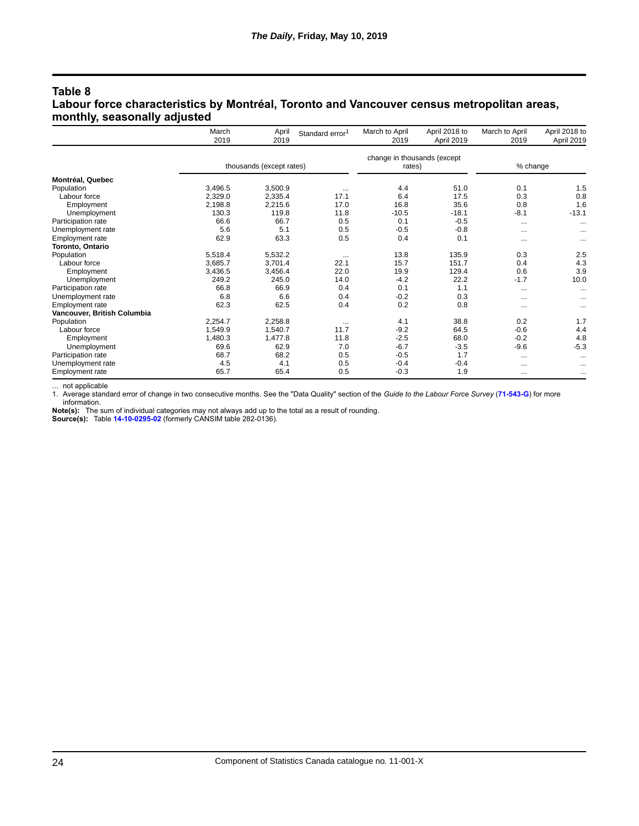#### **Table 8 Labour force characteristics by Montréal, Toronto and Vancouver census metropolitan areas, monthly, seasonally adjusted**

|                             | March<br>2019 | April<br>2019            | Standard error <sup>1</sup> | March to April<br>2019                | April 2018 to<br>April 2019 | March to April<br>2019 | April 2018 to<br>April 2019 |
|-----------------------------|---------------|--------------------------|-----------------------------|---------------------------------------|-----------------------------|------------------------|-----------------------------|
|                             |               | thousands (except rates) |                             | change in thousands (except<br>rates) |                             | % change               |                             |
| Montréal, Quebec            |               |                          |                             |                                       |                             |                        |                             |
| Population                  | 3,496.5       | 3,500.9                  |                             | 4.4                                   | 51.0                        | 0.1                    | 1.5                         |
| Labour force                | 2,329.0       | 2,335.4                  | 17.1                        | 6.4                                   | 17.5                        | 0.3                    | 0.8                         |
| Employment                  | 2,198.8       | 2,215.6                  | 17.0                        | 16.8                                  | 35.6                        | 0.8                    | 1.6                         |
| Unemployment                | 130.3         | 119.8                    | 11.8                        | $-10.5$                               | $-18.1$                     | $-8.1$                 | $-13.1$                     |
| Participation rate          | 66.6          | 66.7                     | 0.5                         | 0.1                                   | $-0.5$                      | $\cdots$               | $\cdots$                    |
| Unemployment rate           | 5.6           | 5.1                      | 0.5                         | $-0.5$                                | $-0.8$                      | $\cdots$               | $\cdots$                    |
| Employment rate             | 62.9          | 63.3                     | 0.5                         | 0.4                                   | 0.1                         | $\cdots$               | $\cdots$                    |
| Toronto, Ontario            |               |                          |                             |                                       |                             |                        |                             |
| Population                  | 5.518.4       | 5,532.2                  | $\cdots$                    | 13.8                                  | 135.9                       | 0.3                    | 2.5                         |
| Labour force                | 3,685.7       | 3,701.4                  | 22.1                        | 15.7                                  | 151.7                       | 0.4                    | 4.3                         |
| Employment                  | 3,436.5       | 3,456.4                  | 22.0                        | 19.9                                  | 129.4                       | 0.6                    | 3.9                         |
| Unemployment                | 249.2         | 245.0                    | 14.0                        | $-4.2$                                | 22.2                        | $-1.7$                 | 10.0                        |
| Participation rate          | 66.8          | 66.9                     | 0.4                         | 0.1                                   | 1.1                         | $\cdots$               | $\cdots$                    |
| Unemployment rate           | 6.8           | 6.6                      | 0.4                         | $-0.2$                                | 0.3                         | $\cdots$               |                             |
| Employment rate             | 62.3          | 62.5                     | 0.4                         | 0.2                                   | 0.8                         | $\cdots$               |                             |
| Vancouver, British Columbia |               |                          |                             |                                       |                             |                        |                             |
| Population                  | 2,254.7       | 2,258.8                  | $\cdots$                    | 4.1                                   | 38.8                        | 0.2                    | 1.7                         |
| Labour force                | 1,549.9       | 1.540.7                  | 11.7                        | $-9.2$                                | 64.5                        | $-0.6$                 | 4.4                         |
| Employment                  | 1,480.3       | 1,477.8                  | 11.8                        | $-2.5$                                | 68.0                        | $-0.2$                 | 4.8                         |
| Unemployment                | 69.6          | 62.9                     | 7.0                         | $-6.7$                                | $-3.5$                      | $-9.6$                 | $-5.3$                      |
| Participation rate          | 68.7          | 68.2                     | 0.5                         | $-0.5$                                | 1.7                         | $\cdots$               | $\cdots$                    |
| Unemployment rate           | 4.5           | 4.1                      | 0.5                         | $-0.4$                                | $-0.4$                      | $\cdots$               | $\cdots$                    |
| Employment rate             | 65.7          | 65.4                     | 0.5                         | $-0.3$                                | 1.9                         | $\cdots$               | $\cdots$                    |

not applicable

1. Average standard error of change in two consecutive months. See the "Data Quality" section of the *Guide to the Labour Force Survey* (**[71-543-G](https://www150.statcan.gc.ca/en/catalogue/71-543-G)**) for more information.

**Note(s):** The sum of individual categories may not always add up to the total as a result of rounding. **Source(s):** Table **[14-10-0295-02](https://www150.statcan.gc.ca/t1/tbl1/en/tv.action?pid=1410029502)** (formerly CANSIM table 282-0136).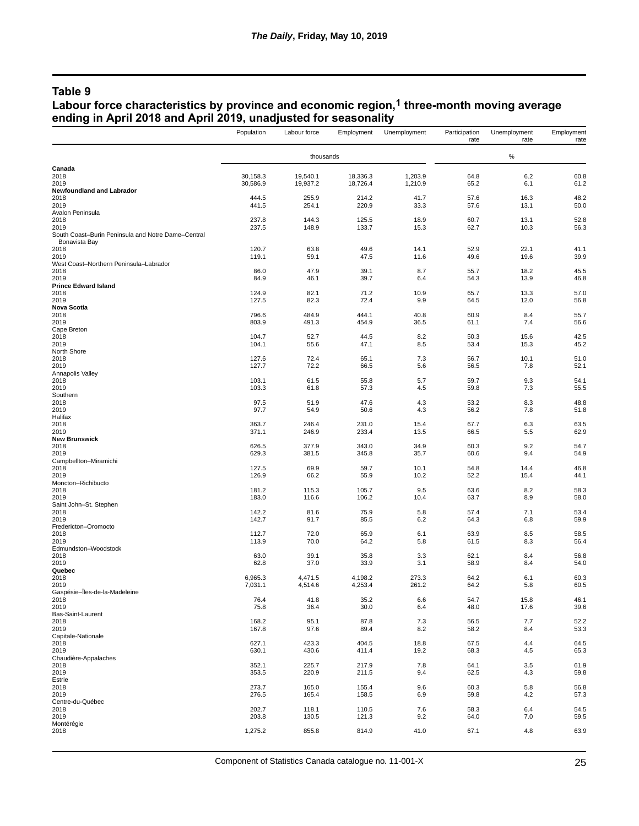## **Table 9**

#### **Labour force characteristics by province and economic region,1 three-month moving average ending in April 2018 and April 2019, unadjusted for seasonality**

|                                                                     | Population           | Labour force         | Employment           | Unemployment       | Participation<br>rate | Unemployment<br>rate | Employment<br>rate |
|---------------------------------------------------------------------|----------------------|----------------------|----------------------|--------------------|-----------------------|----------------------|--------------------|
|                                                                     |                      | thousands            |                      |                    |                       | $\%$                 |                    |
| Canada                                                              |                      |                      |                      |                    |                       |                      |                    |
| 2018<br>2019                                                        | 30,158.3<br>30,586.9 | 19,540.1<br>19,937.2 | 18,336.3<br>18,726.4 | 1,203.9<br>1,210.9 | 64.8<br>65.2          | 6.2<br>6.1           | 60.8<br>61.2       |
| Newfoundland and Labrador                                           |                      |                      |                      |                    |                       |                      |                    |
| 2018                                                                | 444.5                | 255.9                | 214.2                | 41.7               | 57.6                  | 16.3                 | 48.2               |
| 2019<br>Avalon Peninsula                                            | 441.5                | 254.1                | 220.9                | 33.3               | 57.6                  | 13.1                 | 50.0               |
| 2018                                                                | 237.8                | 144.3                | 125.5                | 18.9               | 60.7                  | 13.1                 | 52.8               |
| 2019                                                                | 237.5                | 148.9                | 133.7                | 15.3               | 62.7                  | 10.3                 | 56.3               |
| South Coast-Burin Peninsula and Notre Dame-Central<br>Bonavista Bay |                      |                      |                      |                    |                       |                      |                    |
| 2018                                                                | 120.7                | 63.8                 | 49.6                 | 14.1               | 52.9                  | 22.1                 | 41.1               |
| 2019<br>West Coast-Northern Peninsula-Labrador                      | 119.1                | 59.1                 | 47.5                 | 11.6               | 49.6                  | 19.6                 | 39.9               |
| 2018                                                                | 86.0                 | 47.9                 | 39.1                 | 8.7                | 55.7                  | 18.2                 | 45.5               |
| 2019                                                                | 84.9                 | 46.1                 | 39.7                 | 6.4                | 54.3                  | 13.9                 | 46.8               |
| <b>Prince Edward Island</b><br>2018                                 | 124.9                | 82.1                 | 71.2                 | 10.9               | 65.7                  | 13.3                 | 57.0               |
| 2019                                                                | 127.5                | 82.3                 | 72.4                 | 9.9                | 64.5                  | 12.0                 | 56.8               |
| <b>Nova Scotia</b>                                                  |                      |                      |                      |                    |                       |                      |                    |
| 2018<br>2019                                                        | 796.6<br>803.9       | 484.9<br>491.3       | 444.1<br>454.9       | 40.8<br>36.5       | 60.9<br>61.1          | 8.4<br>7.4           | 55.7<br>56.6       |
| Cape Breton                                                         |                      |                      |                      |                    |                       |                      |                    |
| 2018                                                                | 104.7                | 52.7                 | 44.5                 | 8.2                | 50.3                  | 15.6                 | 42.5               |
| 2019<br>North Shore                                                 | 104.1                | 55.6                 | 47.1                 | 8.5                | 53.4                  | 15.3                 | 45.2               |
| 2018                                                                | 127.6                | 72.4                 | 65.1                 | 7.3                | 56.7                  | 10.1                 | 51.0               |
| 2019                                                                | 127.7                | 72.2                 | 66.5                 | 5.6                | 56.5                  | 7.8                  | 52.1               |
| Annapolis Valley<br>2018                                            | 103.1                | 61.5                 | 55.8                 | 5.7                | 59.7                  | 9.3                  | 54.1               |
| 2019                                                                | 103.3                | 61.8                 | 57.3                 | 4.5                | 59.8                  | 7.3                  | 55.5               |
| Southern                                                            |                      |                      |                      |                    |                       |                      |                    |
| 2018<br>2019                                                        | 97.5<br>97.7         | 51.9<br>54.9         | 47.6<br>50.6         | 4.3<br>4.3         | 53.2<br>56.2          | 8.3<br>7.8           | 48.8<br>51.8       |
| Halifax                                                             |                      |                      |                      |                    |                       |                      |                    |
| 2018                                                                | 363.7                | 246.4                | 231.0                | 15.4               | 67.7                  | 6.3                  | 63.5               |
| 2019<br><b>New Brunswick</b>                                        | 371.1                | 246.9                | 233.4                | 13.5               | 66.5                  | 5.5                  | 62.9               |
| 2018                                                                | 626.5                | 377.9                | 343.0                | 34.9               | 60.3                  | 9.2                  | 54.7               |
| 2019                                                                | 629.3                | 381.5                | 345.8                | 35.7               | 60.6                  | 9.4                  | 54.9               |
| Campbellton-Miramichi<br>2018                                       | 127.5                | 69.9                 | 59.7                 | 10.1               | 54.8                  | 14.4                 | 46.8               |
| 2019                                                                | 126.9                | 66.2                 | 55.9                 | 10.2               | 52.2                  | 15.4                 | 44.1               |
| Moncton-Richibucto                                                  | 181.2                |                      |                      |                    |                       | 8.2                  |                    |
| 2018<br>2019                                                        | 183.0                | 115.3<br>116.6       | 105.7<br>106.2       | 9.5<br>10.4        | 63.6<br>63.7          | 8.9                  | 58.3<br>58.0       |
| Saint John-St. Stephen                                              |                      |                      |                      |                    |                       |                      |                    |
| 2018<br>2019                                                        | 142.2<br>142.7       | 81.6<br>91.7         | 75.9<br>85.5         | 5.8<br>6.2         | 57.4<br>64.3          | 7.1<br>6.8           | 53.4<br>59.9       |
| Fredericton-Oromocto                                                |                      |                      |                      |                    |                       |                      |                    |
| 2018                                                                | 112.7                | 72.0                 | 65.9                 | 6.1                | 63.9                  | 8.5                  | 58.5               |
| 2019<br>Edmundston-Woodstock                                        | 113.9                | 70.0                 | 64.2                 | 5.8                | 61.5                  | 8.3                  | 56.4               |
| 2018                                                                | 63.0                 | 39.1                 | 35.8                 | 3.3                | 62.1                  | 8.4                  | 56.8               |
| 2019                                                                | 62.8                 | 37.0                 | 33.9                 | 3.1                | 58.9                  | 8.4                  | 54.0               |
| Quebec<br>2018                                                      | 6,965.3              | 4,471.5              | 4,198.2              | 273.3              | 64.2                  | 6.1                  | 60.3               |
| 2019                                                                | 7,031.1              | 4,514.6              | 4,253.4              | 261.2              | 64.2                  | 5.8                  | 60.5               |
| Gaspésie-Îles-de-la-Madeleine                                       |                      |                      |                      |                    |                       |                      |                    |
| 2018<br>2019                                                        | 76.4<br>75.8         | 41.8<br>36.4         | 35.2<br>30.0         | 6.6<br>6.4         | 54.7<br>48.0          | 15.8<br>17.6         | 46.1<br>39.6       |
| Bas-Saint-Laurent                                                   |                      |                      |                      |                    |                       |                      |                    |
| 2018                                                                | 168.2                | 95.1                 | 87.8                 | 7.3                | 56.5                  | 7.7                  | 52.2               |
| 2019<br>Capitale-Nationale                                          | 167.8                | 97.6                 | 89.4                 | 8.2                | 58.2                  | 8.4                  | 53.3               |
| 2018                                                                | 627.1                | 423.3                | 404.5                | 18.8               | 67.5                  | 4.4                  | 64.5               |
| 2019                                                                | 630.1                | 430.6                | 411.4                | 19.2               | 68.3                  | 4.5                  | 65.3               |
| Chaudière-Appalaches<br>2018                                        | 352.1                | 225.7                | 217.9                | 7.8                | 64.1                  | 3.5                  | 61.9               |
| 2019                                                                | 353.5                | 220.9                | 211.5                | 9.4                | 62.5                  | 4.3                  | 59.8               |
| Estrie                                                              |                      |                      |                      |                    |                       |                      |                    |
| 2018<br>2019                                                        | 273.7<br>276.5       | 165.0<br>165.4       | 155.4<br>158.5       | 9.6<br>6.9         | 60.3<br>59.8          | 5.8<br>4.2           | 56.8<br>57.3       |
| Centre-du-Québec                                                    |                      |                      |                      |                    |                       |                      |                    |
| 2018                                                                | 202.7                | 118.1                | 110.5                | 7.6                | 58.3                  | 6.4                  | 54.5               |
| 2019<br>Montérégie                                                  | 203.8                | 130.5                | 121.3                | 9.2                | 64.0                  | 7.0                  | 59.5               |
| 2018                                                                | 1,275.2              | 855.8                | 814.9                | 41.0               | 67.1                  | 4.8                  | 63.9               |
|                                                                     |                      |                      |                      |                    |                       |                      |                    |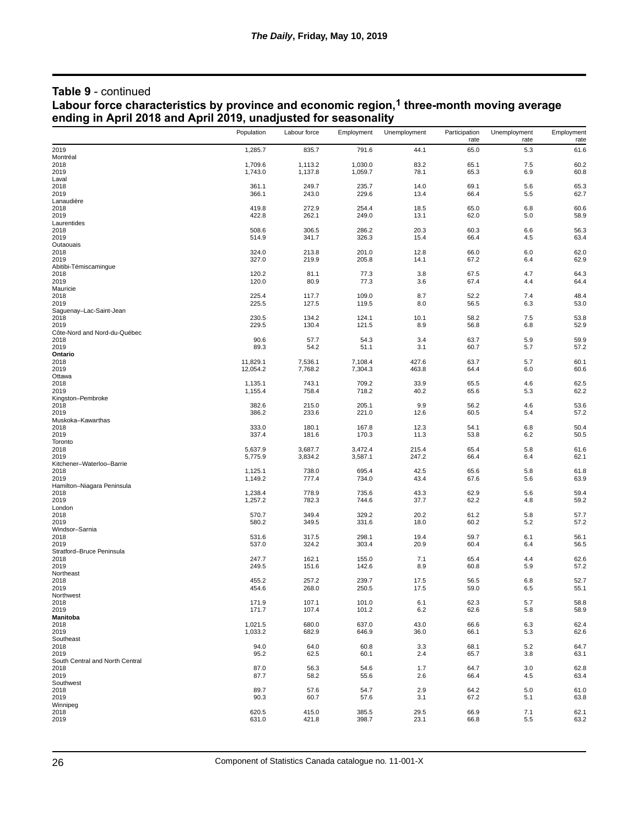#### **Table 9** - continued **Labour force characteristics by province and economic region,1 three-month moving average ending in April 2018 and April 2019, unadjusted for seasonality**

|                                         | Population         | Labour force       | Employment         | Unemployment | Participation<br>rate | Unemployment<br>rate | Employment<br>rate |
|-----------------------------------------|--------------------|--------------------|--------------------|--------------|-----------------------|----------------------|--------------------|
| 2019                                    | 1,285.7            | 835.7              | 791.6              | 44.1         | 65.0                  | 5.3                  | 61.6               |
| Montréal                                |                    |                    |                    |              |                       |                      |                    |
| 2018<br>2019                            | 1,709.6<br>1,743.0 | 1,113.2<br>1,137.8 | 1,030.0<br>1,059.7 | 83.2<br>78.1 | 65.1<br>65.3          | 7.5<br>6.9           | 60.2<br>60.8       |
| Laval                                   |                    |                    |                    |              |                       |                      |                    |
| 2018                                    | 361.1              | 249.7              | 235.7              | 14.0         | 69.1                  | 5.6                  | 65.3<br>62.7       |
| 2019<br>Lanaudière                      | 366.1              | 243.0              | 229.6              | 13.4         | 66.4                  | 5.5                  |                    |
| 2018                                    | 419.8              | 272.9              | 254.4              | 18.5         | 65.0                  | 6.8                  | 60.6               |
| 2019                                    | 422.8              | 262.1              | 249.0              | 13.1         | 62.0                  | 5.0                  | 58.9               |
| Laurentides<br>2018                     | 508.6              | 306.5              | 286.2              | 20.3         | 60.3                  | 6.6                  | 56.3               |
| 2019                                    | 514.9              | 341.7              | 326.3              | 15.4         | 66.4                  | 4.5                  | 63.4               |
| Outaouais                               |                    |                    |                    |              |                       |                      |                    |
| 2018<br>2019                            | 324.0<br>327.0     | 213.8<br>219.9     | 201.0<br>205.8     | 12.8<br>14.1 | 66.0<br>67.2          | 6.0<br>6.4           | 62.0<br>62.9       |
| Abitibi-Témiscamingue                   |                    |                    |                    |              |                       |                      |                    |
| 2018                                    | 120.2              | 81.1               | 77.3               | 3.8          | 67.5                  | 4.7                  | 64.3               |
| 2019<br>Mauricie                        | 120.0              | 80.9               | 77.3               | 3.6          | 67.4                  | 4.4                  | 64.4               |
| 2018                                    | 225.4              | 117.7              | 109.0              | 8.7          | 52.2                  | 7.4                  | 48.4               |
| 2019                                    | 225.5              | 127.5              | 119.5              | 8.0          | 56.5                  | 6.3                  | 53.0               |
| Saguenay-Lac-Saint-Jean<br>2018         | 230.5              | 134.2              | 124.1              | 10.1         | 58.2                  | 7.5                  | 53.8               |
| 2019                                    | 229.5              | 130.4              | 121.5              | 8.9          | 56.8                  | 6.8                  | 52.9               |
| Côte-Nord and Nord-du-Québec            |                    |                    |                    |              |                       |                      |                    |
| 2018<br>2019                            | 90.6<br>89.3       | 57.7<br>54.2       | 54.3<br>51.1       | 3.4<br>3.1   | 63.7<br>60.7          | 5.9<br>5.7           | 59.9<br>57.2       |
| Ontario                                 |                    |                    |                    |              |                       |                      |                    |
| 2018                                    | 11,829.1           | 7,536.1            | 7,108.4            | 427.6        | 63.7                  | 5.7<br>6.0           | 60.1               |
| 2019<br>Ottawa                          | 12,054.2           | 7,768.2            | 7,304.3            | 463.8        | 64.4                  |                      | 60.6               |
| 2018                                    | 1,135.1            | 743.1              | 709.2              | 33.9         | 65.5                  | 4.6                  | 62.5               |
| 2019                                    | 1,155.4            | 758.4              | 718.2              | 40.2         | 65.6                  | 5.3                  | 62.2               |
| Kingston-Pembroke<br>2018               | 382.6              | 215.0              | 205.1              | 9.9          | 56.2                  | 4.6                  | 53.6               |
| 2019                                    | 386.2              | 233.6              | 221.0              | 12.6         | 60.5                  | 5.4                  | 57.2               |
| Muskoka-Kawarthas                       |                    |                    |                    |              |                       |                      |                    |
| 2018<br>2019                            | 333.0<br>337.4     | 180.1<br>181.6     | 167.8<br>170.3     | 12.3<br>11.3 | 54.1<br>53.8          | 6.8<br>6.2           | 50.4<br>50.5       |
| Toronto                                 |                    |                    |                    |              |                       |                      |                    |
| 2018                                    | 5,637.9            | 3,687.7            | 3,472.4            | 215.4        | 65.4                  | 5.8                  | 61.6               |
| 2019<br>Kitchener-Waterloo-Barrie       | 5,775.9            | 3,834.2            | 3,587.1            | 247.2        | 66.4                  | 6.4                  | 62.1               |
| 2018                                    | 1,125.1            | 738.0              | 695.4              | 42.5         | 65.6                  | 5.8                  | 61.8               |
| 2019<br>Hamilton-Niagara Peninsula      | 1,149.2            | 777.4              | 734.0              | 43.4         | 67.6                  | 5.6                  | 63.9               |
| 2018                                    | 1,238.4            | 778.9              | 735.6              | 43.3         | 62.9                  | 5.6                  | 59.4               |
| 2019                                    | 1,257.2            | 782.3              | 744.6              | 37.7         | 62.2                  | 4.8                  | 59.2               |
| London                                  | 570.7              | 349.4              | 329.2              | 20.2         | 61.2                  | 5.8                  |                    |
| 2018<br>2019                            | 580.2              | 349.5              | 331.6              | 18.0         | 60.2                  | 5.2                  | 57.7<br>57.2       |
| Windsor-Sarnia                          |                    |                    |                    |              |                       |                      |                    |
| 2018<br>2019                            | 531.6<br>537.0     | 317.5<br>324.2     | 298.1<br>303.4     | 19.4<br>20.9 | 59.7<br>60.4          | 6.1<br>6.4           | 56.1<br>56.5       |
| Stratford-Bruce Peninsula               |                    |                    |                    |              |                       |                      |                    |
| 2018                                    | 247.7              | 162.1              | 155.0              | 7.1          | 65.4                  | 4.4                  | 62.6               |
| 2019<br>Northeast                       | 249.5              | 151.6              | 142.6              | 8.9          | 60.8                  | 5.9                  | 57.2               |
| 2018                                    | 455.2              | 257.2              | 239.7              | 17.5         | 56.5                  | 6.8                  | 52.7               |
| 2019                                    | 454.6              | 268.0              | 250.5              | 17.5         | 59.0                  | 6.5                  | 55.1               |
| Northwest<br>2018                       | 171.9              | 107.1              | 101.0              | 6.1          | 62.3                  | 5.7                  | 58.8               |
| 2019                                    | 171.7              | 107.4              | 101.2              | 6.2          | 62.6                  | 5.8                  | 58.9               |
| Manitoba                                |                    |                    |                    |              |                       |                      |                    |
| 2018<br>2019                            | 1,021.5<br>1,033.2 | 680.0<br>682.9     | 637.0<br>646.9     | 43.0<br>36.0 | 66.6<br>66.1          | 6.3<br>5.3           | 62.4<br>62.6       |
| Southeast                               |                    |                    |                    |              |                       |                      |                    |
| 2018                                    | 94.0               | 64.0               | 60.8               | 3.3          | 68.1                  | 5.2                  | 64.7               |
| 2019<br>South Central and North Central | 95.2               | 62.5               | 60.1               | 2.4          | 65.7                  | 3.8                  | 63.1               |
| 2018                                    | 87.0               | 56.3               | 54.6               | 1.7          | 64.7                  | 3.0                  | 62.8               |
| 2019                                    | 87.7               | 58.2               | 55.6               | 2.6          | 66.4                  | 4.5                  | 63.4               |
| Southwest<br>2018                       | 89.7               | 57.6               | 54.7               | 2.9          | 64.2                  | 5.0                  | 61.0               |
| 2019                                    | 90.3               | 60.7               | 57.6               | 3.1          | 67.2                  | 5.1                  | 63.8               |
| Winnipeg                                |                    |                    |                    |              |                       |                      |                    |
| 2018<br>2019                            | 620.5<br>631.0     | 415.0<br>421.8     | 385.5<br>398.7     | 29.5<br>23.1 | 66.9<br>66.8          | 7.1<br>5.5           | 62.1<br>63.2       |
|                                         |                    |                    |                    |              |                       |                      |                    |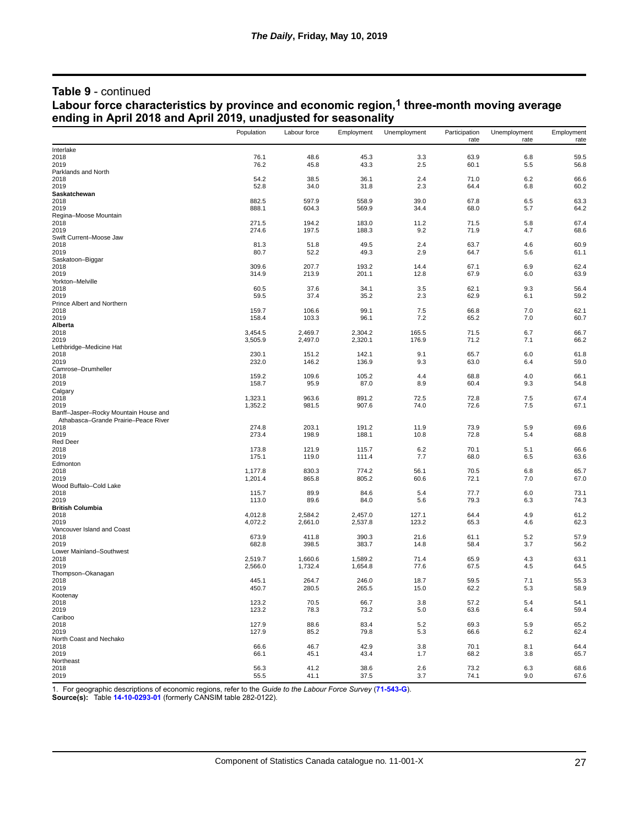#### **Table 9** - continued

#### **Labour force characteristics by province and economic region,1 three-month moving average ending in April 2018 and April 2019, unadjusted for seasonality**

|                                       | Population         | Labour force       | Employment         | Unemployment | Participation<br>rate | Unemployment<br>rate | Employment<br>rate |
|---------------------------------------|--------------------|--------------------|--------------------|--------------|-----------------------|----------------------|--------------------|
| Interlake                             |                    |                    |                    |              |                       |                      |                    |
| 2018                                  | 76.1               | 48.6               | 45.3               | 3.3          | 63.9                  | 6.8                  | 59.5               |
| 2019                                  | 76.2               | 45.8               | 43.3               | 2.5          | 60.1                  | 5.5                  | 56.8               |
| Parklands and North                   |                    |                    |                    |              |                       |                      |                    |
| 2018<br>2019                          | 54.2<br>52.8       | 38.5<br>34.0       | 36.1<br>31.8       | 2.4<br>2.3   | 71.0<br>64.4          | 6.2<br>6.8           | 66.6<br>60.2       |
| Saskatchewan                          |                    |                    |                    |              |                       |                      |                    |
| 2018                                  | 882.5              | 597.9              | 558.9              | 39.0         | 67.8                  | 6.5                  | 63.3               |
| 2019                                  | 888.1              | 604.3              | 569.9              | 34.4         | 68.0                  | 5.7                  | 64.2               |
| Regina-Moose Mountain                 |                    |                    |                    |              |                       |                      |                    |
| 2018                                  | 271.5              | 194.2              | 183.0              | 11.2         | 71.5                  | 5.8                  | 67.4               |
| 2019                                  | 274.6              | 197.5              | 188.3              | 9.2          | 71.9                  | 4.7                  | 68.6               |
| Swift Current-Moose Jaw               |                    |                    |                    |              |                       |                      |                    |
| 2018<br>2019                          | 81.3<br>80.7       | 51.8<br>52.2       | 49.5<br>49.3       | 2.4<br>2.9   | 63.7<br>64.7          | 4.6<br>5.6           | 60.9<br>61.1       |
| Saskatoon-Biggar                      |                    |                    |                    |              |                       |                      |                    |
| 2018                                  | 309.6              | 207.7              | 193.2              | 14.4         | 67.1                  | 6.9                  | 62.4               |
| 2019                                  | 314.9              | 213.9              | 201.1              | 12.8         | 67.9                  | 6.0                  | 63.9               |
| Yorkton-Melville                      |                    |                    |                    |              |                       |                      |                    |
| 2018                                  | 60.5               | 37.6               | 34.1               | 3.5          | 62.1                  | 9.3                  | 56.4               |
| 2019                                  | 59.5               | 37.4               | 35.2               | 2.3          | 62.9                  | 6.1                  | 59.2               |
| Prince Albert and Northern            |                    |                    |                    |              |                       |                      |                    |
| 2018<br>2019                          | 159.7<br>158.4     | 106.6<br>103.3     | 99.1<br>96.1       | 7.5<br>7.2   | 66.8<br>65.2          | 7.0<br>7.0           | 62.1<br>60.7       |
| Alberta                               |                    |                    |                    |              |                       |                      |                    |
| 2018                                  | 3,454.5            | 2,469.7            | 2,304.2            | 165.5        | 71.5                  | 6.7                  | 66.7               |
| 2019                                  | 3,505.9            | 2,497.0            | 2,320.1            | 176.9        | 71.2                  | 7.1                  | 66.2               |
| Lethbridge-Medicine Hat               |                    |                    |                    |              |                       |                      |                    |
| 2018                                  | 230.1              | 151.2              | 142.1              | 9.1          | 65.7                  | 6.0                  | 61.8               |
| 2019                                  | 232.0              | 146.2              | 136.9              | 9.3          | 63.0                  | 6.4                  | 59.0               |
| Camrose-Drumheller                    |                    |                    | 105.2              |              | 68.8                  | 4.0                  | 66.1               |
| 2018<br>2019                          | 159.2<br>158.7     | 109.6<br>95.9      | 87.0               | 4.4<br>8.9   | 60.4                  | 9.3                  | 54.8               |
| Calgary                               |                    |                    |                    |              |                       |                      |                    |
| 2018                                  | 1,323.1            | 963.6              | 891.2              | 72.5         | 72.8                  | 7.5                  | 67.4               |
| 2019                                  | 1,352.2            | 981.5              | 907.6              | 74.0         | 72.6                  | 7.5                  | 67.1               |
| Banff-Jasper-Rocky Mountain House and |                    |                    |                    |              |                       |                      |                    |
| Athabasca-Grande Prairie-Peace River  |                    |                    |                    |              |                       |                      |                    |
| 2018                                  | 274.8              | 203.1              | 191.2              | 11.9         | 73.9<br>72.8          | 5.9<br>5.4           | 69.6               |
| 2019<br><b>Red Deer</b>               | 273.4              | 198.9              | 188.1              | 10.8         |                       |                      | 68.8               |
| 2018                                  | 173.8              | 121.9              | 115.7              | 6.2          | 70.1                  | 5.1                  | 66.6               |
| 2019                                  | 175.1              | 119.0              | 111.4              | 7.7          | 68.0                  | 6.5                  | 63.6               |
| Edmonton                              |                    |                    |                    |              |                       |                      |                    |
| 2018                                  | 1,177.8            | 830.3              | 774.2              | 56.1         | 70.5                  | 6.8                  | 65.7               |
| 2019                                  | 1,201.4            | 865.8              | 805.2              | 60.6         | 72.1                  | 7.0                  | 67.0               |
| Wood Buffalo-Cold Lake                |                    |                    |                    |              |                       |                      |                    |
| 2018<br>2019                          | 115.7<br>113.0     | 89.9<br>89.6       | 84.6<br>84.0       | 5.4<br>5.6   | 77.7<br>79.3          | 6.0<br>6.3           | 73.1<br>74.3       |
| <b>British Columbia</b>               |                    |                    |                    |              |                       |                      |                    |
| 2018                                  | 4,012.8            | 2,584.2            | 2,457.0            | 127.1        | 64.4                  | 4.9                  | 61.2               |
| 2019                                  | 4,072.2            | 2,661.0            | 2,537.8            | 123.2        | 65.3                  | 4.6                  | 62.3               |
| Vancouver Island and Coast            |                    |                    |                    |              |                       |                      |                    |
| 2018                                  | 673.9              | 411.8              | 390.3              | 21.6         | 61.1                  | 5.2                  | 57.9               |
| 2019                                  | 682.8              | 398.5              | 383.7              | 14.8         | 58.4                  | 3.7                  | 56.2               |
| Lower Mainland-Southwest              |                    |                    |                    |              |                       |                      |                    |
| 2018<br>2019                          | 2,519.7<br>2,566.0 | 1,660.6<br>1,732.4 | 1,589.2<br>1,654.8 | 71.4<br>77.6 | 65.9<br>67.5          | 4.3<br>4.5           | 63.1<br>64.5       |
| Thompson-Okanagan                     |                    |                    |                    |              |                       |                      |                    |
| 2018                                  | 445.1              | 264.7              | 246.0              | 18.7         | 59.5                  | 7.1                  | 55.3               |
| 2019                                  | 450.7              | 280.5              | 265.5              | 15.0         | 62.2                  | 5.3                  | 58.9               |
| Kootenay                              |                    |                    |                    |              |                       |                      |                    |
| 2018                                  | 123.2              | 70.5               | 66.7               | 3.8          | 57.2                  | 5.4                  | 54.1               |
| 2019                                  | 123.2              | 78.3               | 73.2               | 5.0          | 63.6                  | 6.4                  | 59.4               |
| Cariboo                               |                    |                    |                    |              |                       |                      |                    |
| 2018                                  | 127.9              | 88.6               | 83.4               | 5.2          | 69.3                  | 5.9                  | 65.2               |
| 2019<br>North Coast and Nechako       | 127.9              | 85.2               | 79.8               | 5.3          | 66.6                  | 6.2                  | 62.4               |
| 2018                                  | 66.6               | 46.7               | 42.9               | 3.8          | 70.1                  | 8.1                  | 64.4               |
| 2019                                  | 66.1               | 45.1               | 43.4               | 1.7          | 68.2                  | 3.8                  | 65.7               |
| Northeast                             |                    |                    |                    |              |                       |                      |                    |
| 2018                                  | 56.3               | 41.2               | 38.6               | 2.6          | 73.2                  | 6.3                  | 68.6               |
| 2019                                  | 55.5               | 41.1               | 37.5               | 3.7          | 74.1                  | 9.0                  | 67.6               |

1. For geographic descriptions of economic regions, refer to the *Guide to the Labour Force Survey* (**[71-543-G](https://www150.statcan.gc.ca/en/catalogue/71-543-G)**).

**Source(s):** Table **[14-10-0293-01](https://www150.statcan.gc.ca/t1/tbl1/en/tv.action?pid=1410029301)** (formerly CANSIM table 282-0122).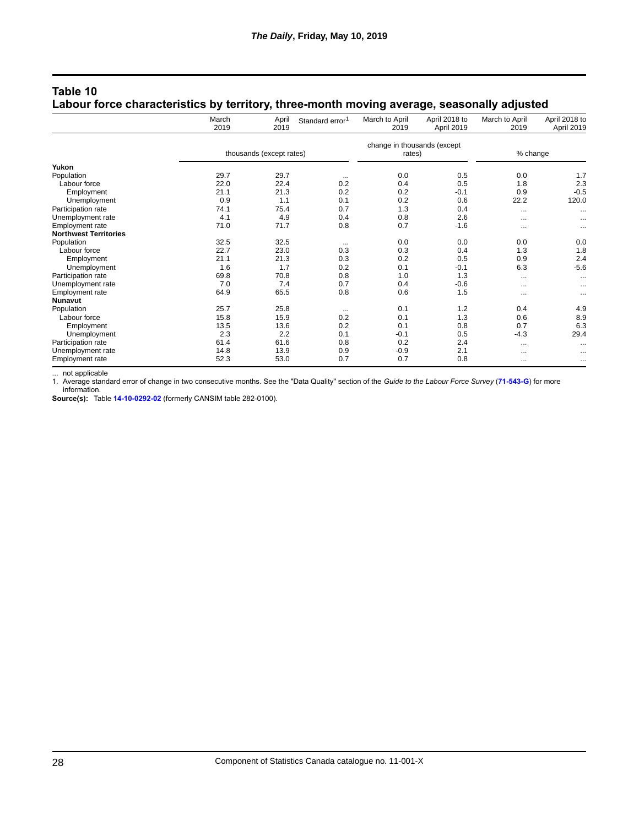|                              | March<br>2019            | April<br>2019 | Standard error <sup>1</sup> | March to April<br>2019                | April 2018 to<br>April 2019 | March to April<br>2019 | April 2018 to<br>April 2019 |
|------------------------------|--------------------------|---------------|-----------------------------|---------------------------------------|-----------------------------|------------------------|-----------------------------|
|                              | thousands (except rates) |               |                             | change in thousands (except<br>rates) |                             | % change               |                             |
| Yukon                        |                          |               |                             |                                       |                             |                        |                             |
| Population                   | 29.7                     | 29.7          |                             | 0.0                                   | 0.5                         | 0.0                    | 1.7                         |
|                              |                          |               | $\cdots$                    |                                       |                             |                        |                             |
| Labour force                 | 22.0                     | 22.4          | 0.2<br>0.2                  | 0.4                                   | 0.5                         | 1.8                    | 2.3                         |
| Employment                   | 21.1                     | 21.3          |                             | 0.2                                   | $-0.1$                      | 0.9                    | $-0.5$                      |
| Unemployment                 | 0.9                      | 1.1           | 0.1                         | 0.2                                   | 0.6                         | 22.2                   | 120.0                       |
| Participation rate           | 74.1                     | 75.4          | 0.7                         | 1.3                                   | 0.4                         | $\cdots$               | $\ddotsc$                   |
| Unemployment rate            | 4.1                      | 4.9           | 0.4                         | 0.8                                   | 2.6                         | $\cdots$               |                             |
| Employment rate              | 71.0                     | 71.7          | 0.8                         | 0.7                                   | $-1.6$                      | $\cdots$               |                             |
| <b>Northwest Territories</b> |                          |               |                             |                                       |                             |                        |                             |
| Population                   | 32.5                     | 32.5          | $\cdots$                    | 0.0                                   | 0.0                         | 0.0                    | 0.0                         |
| Labour force                 | 22.7                     | 23.0          | 0.3                         | 0.3                                   | 0.4                         | 1.3                    | 1.8                         |
| Employment                   | 21.1                     | 21.3          | 0.3                         | 0.2                                   | 0.5                         | 0.9                    | 2.4                         |
| Unemployment                 | 1.6                      | 1.7           | 0.2                         | 0.1                                   | $-0.1$                      | 6.3                    | $-5.6$                      |
| Participation rate           | 69.8                     | 70.8          | 0.8                         | 1.0                                   | 1.3                         | $\cdots$               | $\cdots$                    |
| Unemployment rate            | 7.0                      | 7.4           | 0.7                         | 0.4                                   | $-0.6$                      | $\cdots$               |                             |
| Employment rate              | 64.9                     | 65.5          | 0.8                         | 0.6                                   | 1.5                         | $\cdots$               |                             |
| <b>Nunavut</b>               |                          |               |                             |                                       |                             |                        |                             |
| Population                   | 25.7                     | 25.8          | $\cdots$                    | 0.1                                   | 1.2                         | 0.4                    | 4.9                         |
| Labour force                 | 15.8                     | 15.9          | 0.2                         | 0.1                                   | 1.3                         | 0.6                    | 8.9                         |
| Employment                   | 13.5                     | 13.6          | 0.2                         | 0.1                                   | 0.8                         | 0.7                    | 6.3                         |
| Unemployment                 | 2.3                      | 2.2           | 0.1                         | $-0.1$                                | 0.5                         | $-4.3$                 | 29.4                        |
| Participation rate           | 61.4                     | 61.6          | 0.8                         | 0.2                                   | 2.4                         | $\cdots$               | $\cdots$                    |
| Unemployment rate            | 14.8                     | 13.9          | 0.9                         | $-0.9$                                | 2.1                         | $\cdots$               |                             |
| Employment rate              | 52.3                     | 53.0          | 0.7                         | 0.7                                   | 0.8                         | $\cdots$               | $\cdots$                    |

#### **Table 10 Labour force characteristics by territory, three-month moving average, seasonally adjusted**

... not applicable

1. Average standard error of change in two consecutive months. See the "Data Quality" section of the *Guide to the Labour Force Survey* (**[71-543-G](https://www150.statcan.gc.ca/en/catalogue/71-543-G)**) for more information.

**Source(s):** Table **[14-10-0292-02](https://www150.statcan.gc.ca/t1/tbl1/en/tv.action?pid=1410029202)** (formerly CANSIM table 282-0100).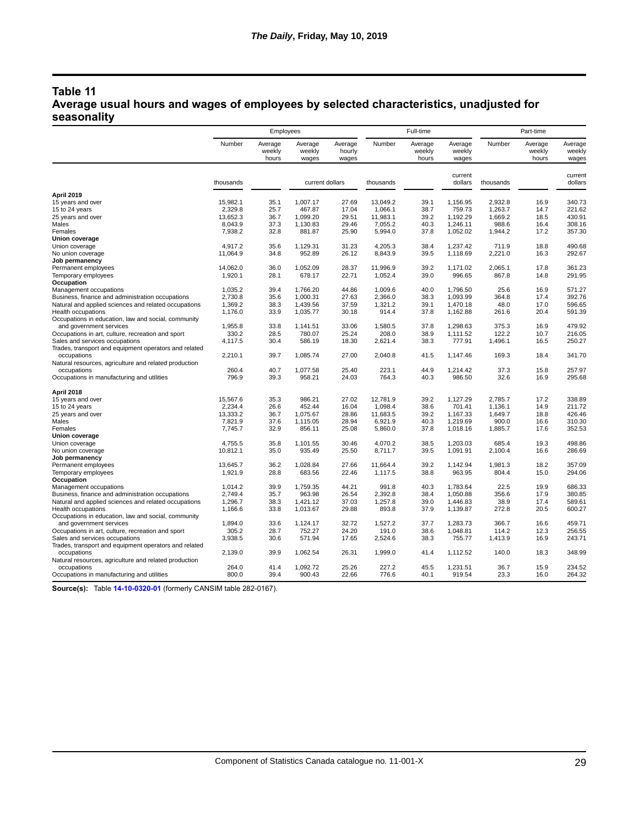## **Table 11 Average usual hours and wages of employees by selected characteristics, unadjusted for seasonality**

|                                                                           | Employees          |                            |                            | Full-time                  |                  |                            | Part-time                  |               |                            |                            |
|---------------------------------------------------------------------------|--------------------|----------------------------|----------------------------|----------------------------|------------------|----------------------------|----------------------------|---------------|----------------------------|----------------------------|
|                                                                           | Number             | Average<br>weekly<br>hours | Average<br>weekly<br>wages | Average<br>hourly<br>wages | Number           | Average<br>weekly<br>hours | Average<br>weekly<br>wages | Number        | Average<br>weekly<br>hours | Average<br>weekly<br>wages |
|                                                                           | thousands          |                            | current dollars            |                            | thousands        |                            | current<br>dollars         | thousands     |                            | current<br>dollars         |
| April 2019                                                                |                    |                            |                            |                            |                  |                            |                            |               |                            |                            |
| 15 years and over                                                         | 15,982.1           | 35.1                       | 1,007.17                   | 27.69                      | 13,049.2         | 39.1                       | 1,156.95                   | 2,932.8       | 16.9                       | 340.73                     |
| 15 to 24 years                                                            | 2,329.8            | 25.7                       | 467.87                     | 17.04                      | 1.066.1          | 38.7                       | 759.73                     | 1.263.7       | 14.7                       | 221.62                     |
| 25 years and over                                                         | 13,652.3           | 36.7                       | 1,099.20                   | 29.51                      | 11,983.1         | 39.2                       | 1,192.29                   | 1,669.2       | 18.5                       | 430.91                     |
| Males                                                                     | 8,043.9            | 37.3                       | 1,130.83                   | 29.46                      | 7,055.2          | 40.3                       | 1,246.11                   | 988.6         | 16.4                       | 308.16                     |
| Females                                                                   | 7,938.2            | 32.8                       | 881.87                     | 25.90                      | 5,994.0          | 37.8                       | 1,052.02                   | 1,944.2       | 17.2                       | 357.30                     |
| Union coverage                                                            |                    |                            |                            |                            |                  |                            |                            |               |                            |                            |
| Union coverage                                                            | 4.917.2            | 35.6                       | 1,129.31                   | 31.23                      | 4.205.3          | 38.4                       | 1.237.42                   | 711.9         | 18.8                       | 490.68                     |
| No union coverage                                                         | 11,064.9           | 34.8                       | 952.89                     | 26.12                      | 8,843.9          | 39.5                       | 1,118.69                   | 2,221.0       | 16.3                       | 292.67                     |
| Job permanency                                                            |                    |                            |                            |                            |                  |                            |                            |               |                            |                            |
| Permanent employees                                                       | 14,062.0           | 36.0                       | 1,052.09                   | 28.37                      | 11,996.9         | 39.2                       | 1,171.02                   | 2,065.1       | 17.8                       | 361.23                     |
| Temporary employees                                                       | 1,920.1            | 28.1                       | 678.17                     | 22.71                      | 1,052.4          | 39.0                       | 996.65                     | 867.8         | 14.8                       | 291.95                     |
| Occupation                                                                |                    |                            |                            |                            |                  |                            |                            |               |                            |                            |
| Management occupations                                                    | 1,035.2            | 39.4                       | 1,766.20                   | 44.86                      | 1,009.6          | 40.0                       | 1,796.50                   | 25.6          | 16.9                       | 571.27                     |
| Business, finance and administration occupations                          | 2,730.8<br>1,369.2 | 35.6                       | 1.000.31                   | 27.63<br>37.59             | 2.366.0          | 38.3<br>39.1               | 1.093.99<br>1,470.18       | 364.8<br>48.0 | 17.4<br>17.0               | 392.76<br>596.65           |
| Natural and applied sciences and related occupations                      |                    | 38.3                       | 1,439.56                   |                            | 1,321.2<br>914.4 |                            |                            |               |                            |                            |
| Health occupations<br>Occupations in education, law and social, community | 1,176.0            | 33.9                       | 1,035.77                   | 30.18                      |                  | 37.8                       | 1,162.88                   | 261.6         | 20.4                       | 591.39                     |
| and government services                                                   | 1,955.8            | 33.8                       | 1,141.51                   | 33.06                      | 1,580.5          | 37.8                       | 1,298.63                   | 375.3         | 16.9                       | 479.92                     |
| Occupations in art, culture, recreation and sport                         | 330.2              | 28.5                       | 780.07                     | 25.24                      | 208.0            | 38.9                       | 1,111.52                   | 122.2         | 10.7                       | 216.05                     |
| Sales and services occupations                                            | 4,117.5            | 30.4                       | 586.19                     | 18.30                      | 2,621.4          | 38.3                       | 777.91                     | 1,496.1       | 16.5                       | 250.27                     |
| Trades, transport and equipment operators and related                     |                    |                            |                            |                            |                  |                            |                            |               |                            |                            |
| occupations                                                               | 2,210.1            | 39.7                       | 1,085.74                   | 27.00                      | 2,040.8          | 41.5                       | 1,147.46                   | 169.3         | 18.4                       | 341.70                     |
| Natural resources, agriculture and related production                     |                    |                            |                            |                            |                  |                            |                            |               |                            |                            |
| occupations                                                               | 260.4              | 40.7                       | 1,077.58                   | 25.40                      | 223.1            | 44.9                       | 1,214.42                   | 37.3          | 15.8                       | 257.97                     |
| Occupations in manufacturing and utilities                                | 796.9              | 39.3                       | 958.21                     | 24.03                      | 764.3            | 40.3                       | 986.50                     | 32.6          | 16.9                       | 295.68                     |
| April 2018                                                                |                    |                            |                            |                            |                  |                            |                            |               |                            |                            |
| 15 years and over                                                         | 15,567.6           | 35.3                       | 986.21                     | 27.02                      | 12,781.9         | 39.2                       | 1,127.29                   | 2,785.7       | 17.2                       | 338.89                     |
| 15 to 24 years                                                            | 2.234.4            | 26.6                       | 452.44                     | 16.04                      | 1,098.4          | 38.6                       | 701.41                     | 1,136.1       | 14.9                       | 211.72                     |
| 25 years and over                                                         | 13,333.2           | 36.7                       | 1,075.67                   | 28.86                      | 11,683.5         | 39.2                       | 1,167.33                   | 1,649.7       | 18.8                       | 426.46                     |
| Males                                                                     | 7,821.9            | 37.6                       | 1,115.05                   | 28.94                      | 6,921.9          | 40.3                       | 1,219.69                   | 900.0         | 16.6                       | 310.30                     |
| Females                                                                   | 7,745.7            | 32.9                       | 856.11                     | 25.08                      | 5,860.0          | 37.8                       | 1,018.16                   | 1,885.7       | 17.6                       | 352.53                     |
| Union coverage                                                            |                    |                            |                            |                            |                  |                            |                            |               |                            |                            |
| Union coverage                                                            | 4,755.5            | 35.8                       | 1,101.55                   | 30.46                      | 4,070.2          | 38.5                       | 1,203.03                   | 685.4         | 19.3                       | 498.86                     |
| No union coverage                                                         | 10,812.1           | 35.0                       | 935.49                     | 25.50                      | 8,711.7          | 39.5                       | 1,091.91                   | 2,100.4       | 16.6                       | 286.69                     |
| Job permanency                                                            |                    |                            |                            |                            |                  |                            |                            |               |                            |                            |
| Permanent employees                                                       | 13,645.7           | 36.2                       | 1,028.84                   | 27.66                      | 11,664.4         | 39.2                       | 1,142.94                   | 1,981.3       | 18.2                       | 357.09                     |
| Temporary employees                                                       | 1,921.9            | 28.8                       | 683.56                     | 22.46                      | 1,117.5          | 38.8                       | 963.95                     | 804.4         | 15.0                       | 294.06                     |
| Occupation                                                                |                    |                            |                            |                            |                  |                            |                            |               |                            |                            |
| Management occupations                                                    | 1,014.2            | 39.9                       | 1,759.35                   | 44.21                      | 991.8            | 40.3                       | 1,783.64                   | 22.5          | 19.9                       | 686.33                     |
| Business, finance and administration occupations                          | 2,749.4            | 35.7                       | 963.98                     | 26.54                      | 2,392.8          | 38.4                       | 1,050.88                   | 356.6         | 17.9                       | 380.85                     |
| Natural and applied sciences and related occupations                      | 1,296.7            | 38.3                       | 1,421.12                   | 37.03                      | 1,257.8          | 39.0                       | 1,446.83                   | 38.9          | 17.4                       | 589.61                     |
| Health occupations                                                        | 1,166.6            | 33.8                       | 1,013.67                   | 29.88                      | 893.8            | 37.9                       | 1,139.87                   | 272.8         | 20.5                       | 600.27                     |
| Occupations in education, law and social, community                       |                    |                            |                            |                            |                  |                            |                            |               |                            |                            |
| and government services                                                   | 1,894.0            | 33.6                       | 1,124.17                   | 32.72                      | 1,527.2          | 37.7                       | 1,283.73                   | 366.7         | 16.6                       | 459.71                     |
| Occupations in art, culture, recreation and sport                         | 305.2              | 28.7                       | 752.27                     | 24.20                      | 191.0            | 38.6                       | 1,048.81                   | 114.2         | 12.3                       | 256.55                     |
| Sales and services occupations                                            | 3,938.5            | 30.6                       | 571.94                     | 17.65                      | 2,524.6          | 38.3                       | 755.77                     | 1,413.9       | 16.9                       | 243.71                     |
| Trades, transport and equipment operators and related                     |                    |                            |                            |                            |                  |                            |                            |               |                            |                            |
| occupations                                                               | 2,139.0            | 39.9                       | 1,062.54                   | 26.31                      | 1,999.0          | 41.4                       | 1,112.52                   | 140.0         | 18.3                       | 348.99                     |
| Natural resources, agriculture and related production<br>occupations      | 264.0              | 41.4                       | 1,092.72                   | 25.26                      | 227.2            | 45.5                       | 1,231.51                   | 36.7          | 15.9                       | 234.52                     |
| Occupations in manufacturing and utilities                                | 800.0              | 39.4                       | 900.43                     | 22.66                      | 776.6            | 40.1                       | 919.54                     | 23.3          | 16.0                       | 264.32                     |
|                                                                           |                    |                            |                            |                            |                  |                            |                            |               |                            |                            |

**Source(s):** Table **[14-10-0320-01](https://www150.statcan.gc.ca/t1/tbl1/en/tv.action?pid=1410032001)** (formerly CANSIM table 282-0167).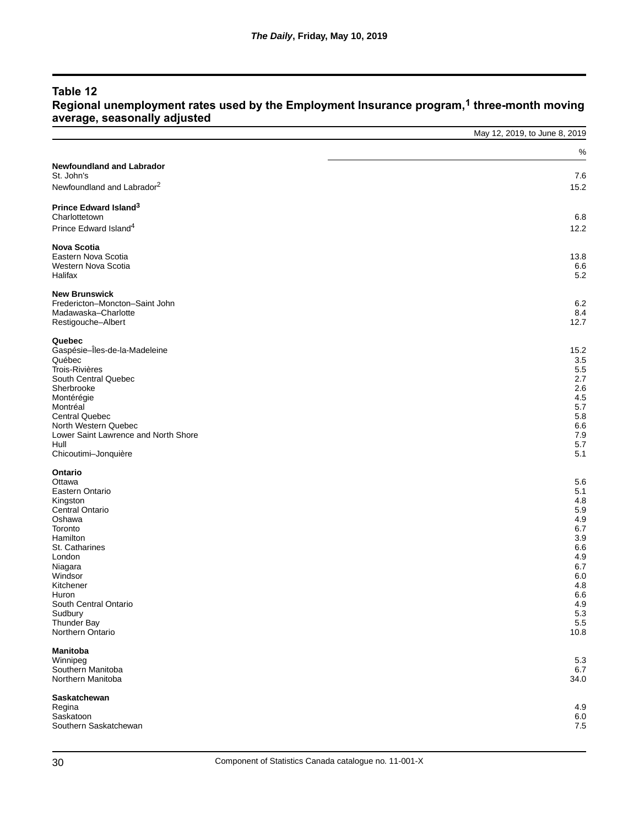## **Table 12**

#### **Regional unemployment rates used by the Employment Insurance program,1 three-month moving average, seasonally adjusted**

|                                                       | May 12, 2019, to June 8, 2019 |
|-------------------------------------------------------|-------------------------------|
|                                                       | %                             |
| <b>Newfoundland and Labrador</b><br>St. John's        | 7.6                           |
| Newfoundland and Labrador <sup>2</sup>                | 15.2                          |
| Prince Edward Island <sup>3</sup>                     |                               |
| Charlottetown<br>Prince Edward Island <sup>4</sup>    | 6.8<br>12.2                   |
| <b>Nova Scotia</b>                                    |                               |
| Eastern Nova Scotia<br>Western Nova Scotia<br>Halifax | 13.8<br>6.6<br>5.2            |
| <b>New Brunswick</b>                                  |                               |
| Fredericton-Moncton-Saint John<br>Madawaska-Charlotte | 6.2<br>8.4                    |
| Restigouche-Albert                                    | 12.7                          |
| Quebec<br>Gaspésie-Îles-de-la-Madeleine               | 15.2                          |
| Québec                                                | 3.5                           |
| <b>Trois-Rivières</b>                                 | 5.5                           |
| South Central Quebec<br>Sherbrooke                    | 2.7<br>2.6                    |
| Montérégie                                            | 4.5                           |
| Montréal                                              | 5.7                           |
| <b>Central Quebec</b>                                 | 5.8                           |
| North Western Quebec                                  | 6.6                           |
| Lower Saint Lawrence and North Shore<br>Hull          | 7.9<br>5.7                    |
| Chicoutimi-Jonquière                                  | 5.1                           |
| Ontario                                               |                               |
| Ottawa                                                | 5.6                           |
| Eastern Ontario                                       | 5.1<br>4.8                    |
| Kingston<br>Central Ontario                           | 5.9                           |
| Oshawa                                                | 4.9                           |
| Toronto                                               | 6.7                           |
| Hamilton                                              | 3.9                           |
| St. Catharines<br>London                              | 6.6<br>4.9                    |
| Niagara                                               | 6.7                           |
| Windsor                                               | 6.0                           |
| Kitchener                                             | 4.8                           |
| Huron<br>South Central Ontario                        | 6.6<br>4.9                    |
| Sudbury                                               | 5.3                           |
| Thunder Bay                                           | 5.5                           |
| Northern Ontario                                      | 10.8                          |
| <b>Manitoba</b>                                       |                               |
| Winnipeg<br>Southern Manitoba                         | 5.3<br>6.7                    |
| Northern Manitoba                                     | 34.0                          |
| Saskatchewan                                          |                               |
| Regina                                                | 4.9                           |
| Saskatoon<br>Southern Saskatchewan                    | 6.0<br>7.5                    |
|                                                       |                               |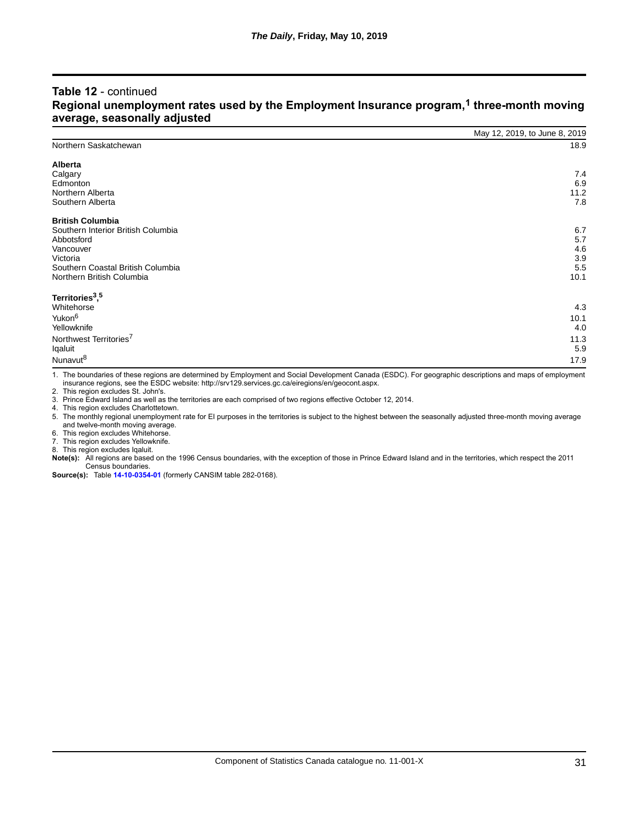#### **Table 12** - continued **Regional unemployment rates used by the Employment Insurance program,1 three-month moving average, seasonally adjusted**

|                                         | May 12, 2019, to June 8, 2019 |
|-----------------------------------------|-------------------------------|
| Northern Saskatchewan                   | 18.9                          |
| Alberta                                 |                               |
| Calgary                                 | 7.4                           |
| Edmonton                                | 6.9                           |
| Northern Alberta                        | 11.2                          |
| Southern Alberta                        | 7.8                           |
| <b>British Columbia</b>                 |                               |
| Southern Interior British Columbia      | 6.7                           |
| Abbotsford                              | 5.7                           |
| Vancouver                               | 4.6                           |
| Victoria                                | 3.9                           |
| Southern Coastal British Columbia       | 5.5                           |
| Northern British Columbia               | 10.1                          |
| Territories <sup>3</sup> , <sup>5</sup> |                               |
| Whitehorse                              | 4.3                           |
| Yukon <sup>6</sup>                      | 10.1                          |
| Yellowknife                             | 4.0                           |
| Northwest Territories <sup>7</sup>      | 11.3                          |
| Iqaluit                                 | 5.9                           |
| Nunavut <sup>8</sup>                    | 17.9                          |
|                                         |                               |

1. The boundaries of these regions are determined by Employment and Social Development Canada (ESDC). For geographic descriptions and maps of employment insurance regions, see the ESDC website: http://srv129.services.gc.ca/eiregions/en/geocont.aspx.

2. This region excludes St. John's.

3. Prince Edward Island as well as the territories are each comprised of two regions effective October 12, 2014.

4. This region excludes Charlottetown.

5. The monthly regional unemployment rate for EI purposes in the territories is subject to the highest between the seasonally adjusted three-month moving average and twelve-month moving average.

6. This region excludes Whitehorse.

7. This region excludes Yellowknife.

8. This region excludes Iqaluit.

**Note(s):** All regions are based on the 1996 Census boundaries, with the exception of those in Prince Edward Island and in the territories, which respect the 2011 Census boundaries.

**Source(s):** Table **[14-10-0354-01](https://www150.statcan.gc.ca/t1/tbl1/en/tv.action?pid=1410035401)** (formerly CANSIM table 282-0168).